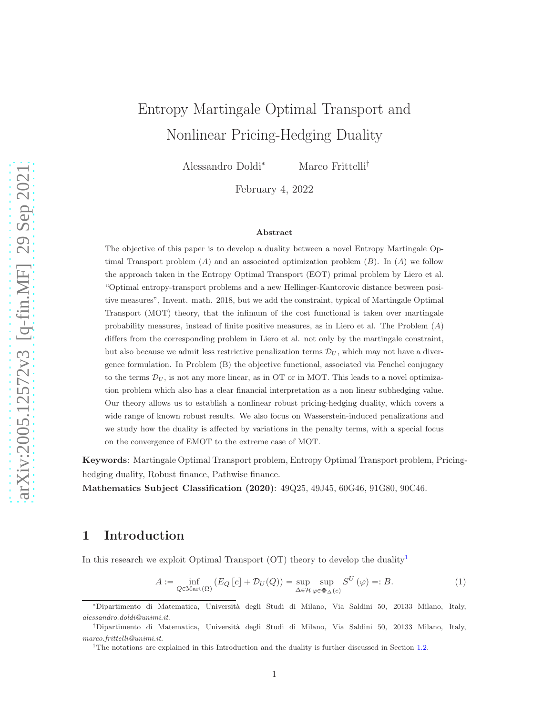# Entropy Martingale Optimal Transport and Nonlinear Pricing-Hedging Duality

Alessandro Doldi<sup>∗</sup> Marco Frittelli†

February 4, 2022

#### Abstract

The objective of this paper is to develop a duality between a novel Entropy Martingale Optimal Transport problem  $(A)$  and an associated optimization problem  $(B)$ . In  $(A)$  we follow the approach taken in the Entropy Optimal Transport (EOT) primal problem by Liero et al. "Optimal entropy-transport problems and a new Hellinger-Kantorovic distance between positive measures", Invent. math. 2018, but we add the constraint, typical of Martingale Optimal Transport (MOT) theory, that the infimum of the cost functional is taken over martingale probability measures, instead of finite positive measures, as in Liero et al. The Problem  $(A)$ differs from the corresponding problem in Liero et al. not only by the martingale constraint, but also because we admit less restrictive penalization terms  $\mathcal{D}_U$ , which may not have a divergence formulation. In Problem (B) the objective functional, associated via Fenchel conjugacy to the terms  $\mathcal{D}_U$ , is not any more linear, as in OT or in MOT. This leads to a novel optimization problem which also has a clear financial interpretation as a non linear subhedging value. Our theory allows us to establish a nonlinear robust pricing-hedging duality, which covers a wide range of known robust results. We also focus on Wasserstein-induced penalizations and we study how the duality is affected by variations in the penalty terms, with a special focus on the convergence of EMOT to the extreme case of MOT.

Keywords: Martingale Optimal Transport problem, Entropy Optimal Transport problem, Pricinghedging duality, Robust finance, Pathwise finance.

Mathematics Subject Classification (2020): 49Q25, 49J45, 60G46, 91G80, 90C46.

## 1 Introduction

In this research we exploit Optimal Transport (OT) theory to develop the duality<sup>[1](#page-0-0)</sup>

<span id="page-0-1"></span>
$$
A := \inf_{Q \in \text{Mart}(\Omega)} \left( E_Q \left[ c \right] + \mathcal{D}_U(Q) \right) = \sup_{\Delta \in \mathcal{H}} \sup_{\varphi \in \Phi_{\Delta}(c)} S^U \left( \varphi \right) =: B. \tag{1}
$$

<sup>∗</sup>Dipartimento di Matematica, Universit`a degli Studi di Milano, Via Saldini 50, 20133 Milano, Italy, alessandro.doldi@unimi.it.

<sup>†</sup>Dipartimento di Matematica, Universit`a degli Studi di Milano, Via Saldini 50, 20133 Milano, Italy, marco.frittelli@unimi.it.

<span id="page-0-0"></span><sup>&</sup>lt;sup>1</sup>The notations are explained in this Introduction and the duality is further discussed in Section [1.2.](#page-10-0)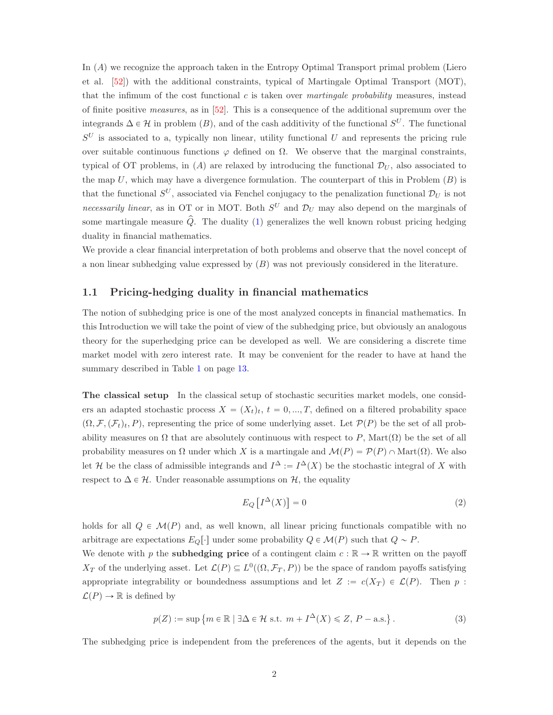In  $(A)$  we recognize the approach taken in the Entropy Optimal Transport primal problem (Liero et al. [\[52\]](#page-56-0)) with the additional constraints, typical of Martingale Optimal Transport (MOT), that the infimum of the cost functional  $c$  is taken over *martingale probability* measures, instead of finite positive measures, as in [\[52\]](#page-56-0). This is a consequence of the additional supremum over the integrands  $\Delta \in \mathcal{H}$  in problem  $(B)$ , and of the cash additivity of the functional  $S^U$ . The functional  $S^U$  is associated to a, typically non linear, utility functional U and represents the pricing rule over suitable continuous functions  $\varphi$  defined on  $\Omega$ . We observe that the marginal constraints, typical of OT problems, in (A) are relaxed by introducing the functional  $\mathcal{D}_U$ , also associated to the map U, which may have a divergence formulation. The counterpart of this in Problem  $(B)$  is that the functional  $S^U$ , associated via Fenchel conjugacy to the penalization functional  $\mathcal{D}_U$  is not necessarily linear, as in OT or in MOT. Both  $S^U$  and  $\mathcal{D}_U$  may also depend on the marginals of some martingale measure  $\hat{Q}$ . The duality [\(1\)](#page-0-1) generalizes the well known robust pricing hedging duality in financial mathematics.

We provide a clear financial interpretation of both problems and observe that the novel concept of a non linear subhedging value expressed by  $(B)$  was not previously considered in the literature.

## 1.1 Pricing-hedging duality in financial mathematics

The notion of subhedging price is one of the most analyzed concepts in financial mathematics. In this Introduction we will take the point of view of the subhedging price, but obviously an analogous theory for the superhedging price can be developed as well. We are considering a discrete time market model with zero interest rate. It may be convenient for the reader to have at hand the summary described in Table [1](#page-12-0) on page [13.](#page-12-0)

The classical setup In the classical setup of stochastic securities market models, one considers an adapted stochastic process  $X = (X_t)_t, t = 0, ..., T$ , defined on a filtered probability space  $(\Omega, \mathcal{F}, \mathcal{F}_t)_t, P$ , representing the price of some underlying asset. Let  $\mathcal{P}(P)$  be the set of all probability measures on  $\Omega$  that are absolutely continuous with respect to P, Mart $(\Omega)$  be the set of all probability measures on  $\Omega$  under which X is a martingale and  $\mathcal{M}(P) = \mathcal{P}(P) \cap \text{Mart}(\Omega)$ . We also let H be the class of admissible integrands and  $I^{\Delta} := I^{\Delta}(X)$  be the stochastic integral of X with respect to  $\Delta \in \mathcal{H}$ . Under reasonable assumptions on  $\mathcal{H}$ , the equality

<span id="page-1-0"></span>
$$
E_Q\left[I^\Delta(X)\right] = 0\tag{2}
$$

holds for all  $Q \in \mathcal{M}(P)$  and, as well known, all linear pricing functionals compatible with no arbitrage are expectations  $E_Q[\cdot]$  under some probability  $Q \in \mathcal{M}(P)$  such that  $Q \sim P$ .

We denote with p the **subhedging price** of a contingent claim  $c : \mathbb{R} \to \mathbb{R}$  written on the payoff  $X_T$  of the underlying asset. Let  $\mathcal{L}(P) \subseteq L^0((\Omega, \mathcal{F}_T, P))$  be the space of random payoffs satisfying appropriate integrability or boundedness assumptions and let  $Z := c(X_T) \in \mathcal{L}(P)$ . Then p:  $\mathcal{L}(P) \to \mathbb{R}$  is defined by

<span id="page-1-1"></span>
$$
p(Z) := \sup \left\{ m \in \mathbb{R} \mid \exists \Delta \in \mathcal{H} \text{ s.t. } m + I^{\Delta}(X) \leq Z, P - \text{a.s.} \right\}.
$$
 (3)

The subhedging price is independent from the preferences of the agents, but it depends on the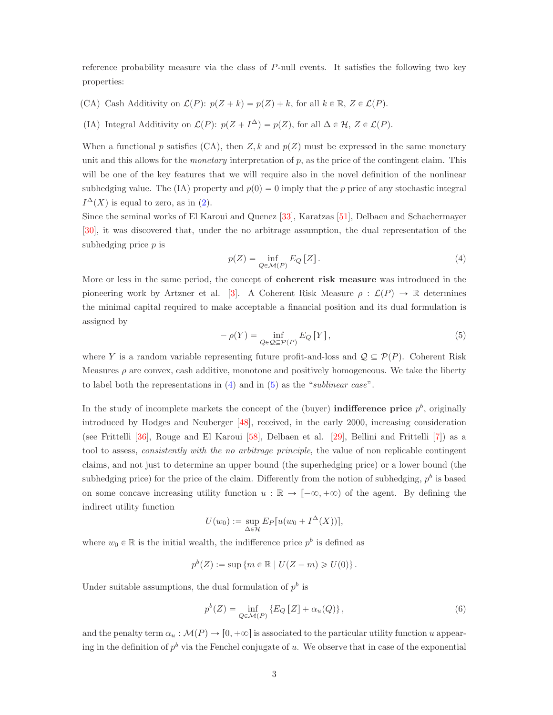reference probability measure via the class of  $P$ -null events. It satisfies the following two key properties:

- (CA) Cash Additivity on  $\mathcal{L}(P)$ :  $p(Z + k) = p(Z) + k$ , for all  $k \in \mathbb{R}$ ,  $Z \in \mathcal{L}(P)$ .
- (IA) Integral Additivity on  $\mathcal{L}(P)$ :  $p(Z + I^{\Delta}) = p(Z)$ , for all  $\Delta \in \mathcal{H}, Z \in \mathcal{L}(P)$ .

When a functional p satisfies (CA), then  $Z, k$  and  $p(Z)$  must be expressed in the same monetary unit and this allows for the *monetary* interpretation of  $p$ , as the price of the contingent claim. This will be one of the key features that we will require also in the novel definition of the nonlinear subhedging value. The (IA) property and  $p(0) = 0$  imply that the p price of any stochastic integral  $I^{\Delta}(X)$  is equal to zero, as in [\(2\)](#page-1-0).

Since the seminal works of El Karoui and Quenez [\[33\]](#page-55-0), Karatzas [\[51\]](#page-56-1), Delbaen and Schachermayer [\[30\]](#page-54-0), it was discovered that, under the no arbitrage assumption, the dual representation of the subhedging price  $p$  is

<span id="page-2-0"></span>
$$
p(Z) = \inf_{Q \in \mathcal{M}(P)} E_Q[Z]. \tag{4}
$$

More or less in the same period, the concept of coherent risk measure was introduced in the pioneering work by Artzner et al. [\[3\]](#page-53-0). A Coherent Risk Measure  $\rho : \mathcal{L}(P) \to \mathbb{R}$  determines the minimal capital required to make acceptable a financial position and its dual formulation is assigned by

<span id="page-2-1"></span>
$$
-\rho(Y) = \inf_{Q \in \mathcal{Q} \subseteq \mathcal{P}(P)} E_Q \left[ Y \right],\tag{5}
$$

where Y is a random variable representing future profit-and-loss and  $\mathcal{Q} \subseteq \mathcal{P}(P)$ . Coherent Risk Measures  $\rho$  are convex, cash additive, monotone and positively homogeneous. We take the liberty to label both the representations in [\(4\)](#page-2-0) and in [\(5\)](#page-2-1) as the "sublinear case".

In the study of incomplete markets the concept of the (buyer) **indifference price**  $p<sup>b</sup>$ , originally introduced by Hodges and Neuberger [\[48\]](#page-56-2), received, in the early 2000, increasing consideration (see Frittelli [\[36\]](#page-55-1), Rouge and El Karoui [\[58\]](#page-56-3), Delbaen et al. [\[29\]](#page-54-1), Bellini and Frittelli [\[7\]](#page-53-1)) as a tool to assess, consistently with the no arbitrage principle, the value of non replicable contingent claims, and not just to determine an upper bound (the superhedging price) or a lower bound (the subhedging price) for the price of the claim. Differently from the notion of subhedging,  $p<sup>b</sup>$  is based on some concave increasing utility function  $u : \mathbb{R} \to [-\infty, +\infty)$  of the agent. By defining the indirect utility function

$$
U(w_0) := \sup_{\Delta \in \mathcal{H}} E_P[u(w_0 + I^{\Delta}(X))],
$$

where  $w_0 \in \mathbb{R}$  is the initial wealth, the indifference price  $p^b$  is defined as

$$
p^{b}(Z) := \sup \left\{ m \in \mathbb{R} \mid U(Z - m) \geq U(0) \right\}.
$$

Under suitable assumptions, the dual formulation of  $p<sup>b</sup>$  is

<span id="page-2-2"></span>
$$
p^{b}(Z) = \inf_{Q \in \mathcal{M}(P)} \left\{ E_Q \left[ Z \right] + \alpha_u(Q) \right\},\tag{6}
$$

and the penalty term  $\alpha_u : \mathcal{M}(P) \to [0, +\infty]$  is associated to the particular utility function u appearing in the definition of  $p^b$  via the Fenchel conjugate of u. We observe that in case of the exponential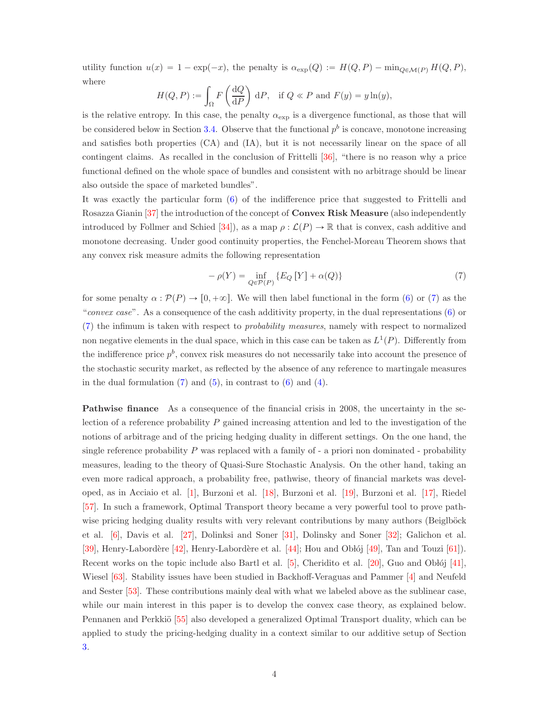utility function  $u(x) = 1 - \exp(-x)$ , the penalty is  $\alpha_{\exp}(Q) := H(Q, P) - \min_{Q \in \mathcal{M}(P)} H(Q, P)$ , where

$$
H(Q, P) := \int_{\Omega} F\left(\frac{\mathrm{d}Q}{\mathrm{d}P}\right) \mathrm{d}P, \quad \text{if } Q \ll P \text{ and } F(y) = y \ln(y),
$$

is the relative entropy. In this case, the penalty  $\alpha_{\exp}$  is a divergence functional, as those that will be considered below in Section [3.4.](#page-31-0) Observe that the functional  $p<sup>b</sup>$  is concave, monotone increasing and satisfies both properties (CA) and (IA), but it is not necessarily linear on the space of all contingent claims. As recalled in the conclusion of Frittelli [\[36\]](#page-55-1), "there is no reason why a price functional defined on the whole space of bundles and consistent with no arbitrage should be linear also outside the space of marketed bundles".

It was exactly the particular form [\(6\)](#page-2-2) of the indifference price that suggested to Frittelli and Rosazza Gianin [\[37\]](#page-55-2) the introduction of the concept of Convex Risk Measure (also independently introduced by Follmer and Schied [\[34\]](#page-55-3)), as a map  $\rho : \mathcal{L}(P) \to \mathbb{R}$  that is convex, cash additive and monotone decreasing. Under good continuity properties, the Fenchel-Moreau Theorem shows that any convex risk measure admits the following representation

<span id="page-3-0"></span>
$$
-\rho(Y) = \inf_{Q \in \mathcal{P}(P)} \{ E_Q \left[ Y \right] + \alpha(Q) \}
$$
\n<sup>(7)</sup>

for some penalty  $\alpha : \mathcal{P}(P) \to [0, +\infty]$ . We will then label functional in the form [\(6\)](#page-2-2) or [\(7\)](#page-3-0) as the "convex case". As a consequence of the cash additivity property, in the dual representations [\(6\)](#page-2-2) or [\(7\)](#page-3-0) the infimum is taken with respect to probability measures, namely with respect to normalized non negative elements in the dual space, which in this case can be taken as  $L^1(P)$ . Differently from the indifference price  $p^b$ , convex risk measures do not necessarily take into account the presence of the stochastic security market, as reflected by the absence of any reference to martingale measures in the dual formulation  $(7)$  and  $(5)$ , in contrast to  $(6)$  and  $(4)$ .

Pathwise finance As a consequence of the financial crisis in 2008, the uncertainty in the selection of a reference probability  $P$  gained increasing attention and led to the investigation of the notions of arbitrage and of the pricing hedging duality in different settings. On the one hand, the single reference probability  $P$  was replaced with a family of  $\overline{\phantom{a}}$  a priori non dominated  $\overline{\phantom{a}}$  - probability measures, leading to the theory of Quasi-Sure Stochastic Analysis. On the other hand, taking an even more radical approach, a probability free, pathwise, theory of financial markets was developed, as in Acciaio et al. [\[1\]](#page-53-2), Burzoni et al. [\[18\]](#page-54-2), Burzoni et al. [\[19\]](#page-54-3), Burzoni et al. [\[17\]](#page-54-4), Riedel [\[57\]](#page-56-4). In such a framework, Optimal Transport theory became a very powerful tool to prove pathwise pricing hedging duality results with very relevant contributions by many authors (Beiglböck et al. [\[6\]](#page-53-3), Davis et al. [\[27\]](#page-54-5), Dolinksi and Soner [\[31\]](#page-55-4), Dolinsky and Soner [\[32\]](#page-55-5); Galichon et al. [\[39\]](#page-55-6), Henry-Labordère  $[42]$ , Henry-Labordère et al.  $[44]$ ; Hou and Oblój [\[49\]](#page-56-5), Tan and Touzi [\[61\]](#page-56-6)). Recent works on the topic include also Bartl et al.  $[5]$ , Cheridito et al.  $[20]$ , Guo and Oblój  $[41]$ , Wiesel [\[63\]](#page-56-7). Stability issues have been studied in Backhoff-Veraguas and Pammer [\[4\]](#page-53-5) and Neufeld and Sester [\[53\]](#page-56-8). These contributions mainly deal with what we labeled above as the sublinear case, while our main interest in this paper is to develop the convex case theory, as explained below. Pennanen and Perkkiö [\[55\]](#page-56-9) also developed a generalized Optimal Transport duality, which can be applied to study the pricing-hedging duality in a context similar to our additive setup of Section [3.](#page-28-0)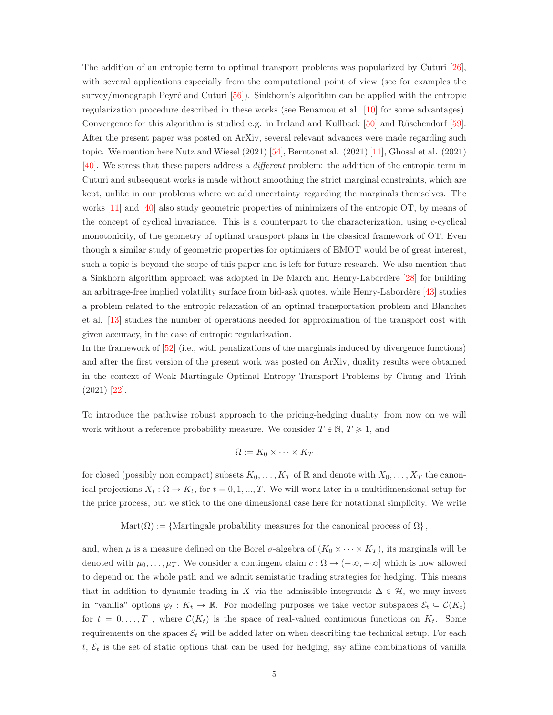The addition of an entropic term to optimal transport problems was popularized by Cuturi [\[26\]](#page-54-7), with several applications especially from the computational point of view (see for examples the survey/monograph Peyré and Cuturi  $[56]$ . Sinkhorn's algorithm can be applied with the entropic regularization procedure described in these works (see Benamou et al. [\[10\]](#page-53-6) for some advantages). Convergence for this algorithm is studied e.g. in Ireland and Kullback  $[50]$  and Rüschendorf  $[59]$ . After the present paper was posted on ArXiv, several relevant advances were made regarding such topic. We mention here Nutz and Wiesel (2021) [\[54\]](#page-56-13), Berntonet al. (2021) [\[11\]](#page-53-7), Ghosal et al. (2021) [\[40\]](#page-55-10). We stress that these papers address a different problem: the addition of the entropic term in Cuturi and subsequent works is made without smoothing the strict marginal constraints, which are kept, unlike in our problems where we add uncertainty regarding the marginals themselves. The works [\[11\]](#page-53-7) and [\[40\]](#page-55-10) also study geometric properties of minimizers of the entropic OT, by means of the concept of cyclical invariance. This is a counterpart to the characterization, using  $c$ -cyclical monotonicity, of the geometry of optimal transport plans in the classical framework of OT. Even though a similar study of geometric properties for optimizers of EMOT would be of great interest, such a topic is beyond the scope of this paper and is left for future research. We also mention that a Sinkhorn algorithm approach was adopted in De March and Henry-Labord`ere [\[28\]](#page-54-8) for building an arbitrage-free implied volatility surface from bid-ask quotes, while Henry-Labordère [\[43\]](#page-55-11) studies a problem related to the entropic relaxation of an optimal transportation problem and Blanchet et al. [\[13\]](#page-53-8) studies the number of operations needed for approximation of the transport cost with given accuracy, in the case of entropic regularization.

In the framework of [\[52\]](#page-56-0) (i.e., with penalizations of the marginals induced by divergence functions) and after the first version of the present work was posted on ArXiv, duality results were obtained in the context of Weak Martingale Optimal Entropy Transport Problems by Chung and Trinh (2021) [\[22\]](#page-54-9).

To introduce the pathwise robust approach to the pricing-hedging duality, from now on we will work without a reference probability measure. We consider  $T \in \mathbb{N}, T \geq 1$ , and

$$
\Omega := K_0 \times \cdots \times K_T
$$

for closed (possibly non compact) subsets  $K_0, \ldots, K_T$  of  $\mathbb R$  and denote with  $X_0, \ldots, X_T$  the canonical projections  $X_t : \Omega \to K_t$ , for  $t = 0, 1, ..., T$ . We will work later in a multidimensional setup for the price process, but we stick to the one dimensional case here for notational simplicity. We write

#### Mart $(\Omega) := \{$ Martingale probability measures for the canonical process of  $\Omega\}$ ,

and, when  $\mu$  is a measure defined on the Borel  $\sigma$ -algebra of  $(K_0 \times \cdots \times K_T)$ , its marginals will be denoted with  $\mu_0, \ldots, \mu_T$ . We consider a contingent claim  $c : \Omega \to (-\infty, +\infty]$  which is now allowed to depend on the whole path and we admit semistatic trading strategies for hedging. This means that in addition to dynamic trading in X via the admissible integrands  $\Delta \in \mathcal{H}$ , we may invest in "vanilla" options  $\varphi_t : K_t \to \mathbb{R}$ . For modeling purposes we take vector subspaces  $\mathcal{E}_t \subseteq \mathcal{C}(K_t)$ for  $t = 0, \ldots, T$ , where  $\mathcal{C}(K_t)$  is the space of real-valued continuous functions on  $K_t$ . Some requirements on the spaces  $\mathcal{E}_t$  will be added later on when describing the technical setup. For each t,  $\mathcal{E}_t$  is the set of static options that can be used for hedging, say affine combinations of vanilla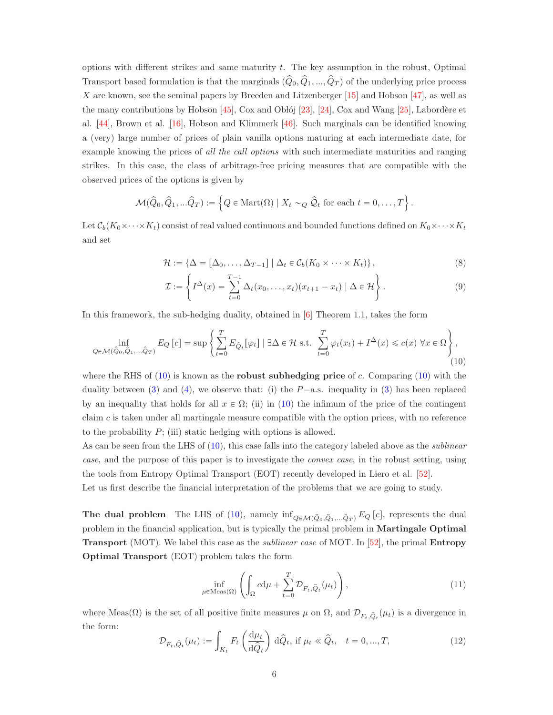options with different strikes and same maturity t. The key assumption in the robust, Optimal Transport based formulation is that the marginals  $(\hat{Q}_0, \hat{Q}_1, ..., \hat{Q}_T)$  of the underlying price process X are known, see the seminal papers by Breeden and Litzenberger  $[15]$  and Hobson  $[47]$ , as well as the many contributions by Hobson  $[45]$ , Cox and Oblój [\[23\]](#page-54-11), [\[24\]](#page-54-12), Cox and Wang [\[25\]](#page-54-13), Labordère et al. [\[44\]](#page-55-8), Brown et al. [\[16\]](#page-54-14), Hobson and Klimmerk [\[46\]](#page-55-13). Such marginals can be identified knowing a (very) large number of prices of plain vanilla options maturing at each intermediate date, for example knowing the prices of all the call options with such intermediate maturities and ranging strikes. In this case, the class of arbitrage-free pricing measures that are compatible with the observed prices of the options is given by

$$
\mathcal{M}(\widehat{Q}_0, \widehat{Q}_1, \ldots \widehat{Q}_T) := \left\{ Q \in \text{Mart}(\Omega) \mid X_t \sim_Q \widehat{Q}_t \text{ for each } t = 0, \ldots, T \right\}.
$$

Let  $\mathcal{C}_b(K_0\times \cdots \times K_t)$  consist of real valued continuous and bounded functions defined on  $K_0\times \cdots \times K_t$ and set

$$
\mathcal{H} := \{ \Delta = [\Delta_0, \dots, \Delta_{T-1}] \mid \Delta_t \in \mathcal{C}_b(K_0 \times \dots \times K_t) \},
$$
\n(8)

<span id="page-5-4"></span><span id="page-5-3"></span>
$$
\mathcal{I} := \left\{ I^{\Delta}(x) = \sum_{t=0}^{T-1} \Delta_t(x_0, \dots, x_t)(x_{t+1} - x_t) \mid \Delta \in \mathcal{H} \right\}.
$$
\n(9)

In this framework, the sub-hedging duality, obtained in [\[6\]](#page-53-3) Theorem 1.1, takes the form

<span id="page-5-0"></span>
$$
\inf_{Q \in \mathcal{M}(\hat{Q}_0, \hat{Q}_1, \dots, \hat{Q}_T)} E_Q \left[ c \right] = \sup \left\{ \sum_{t=0}^T E_{\hat{Q}_t} [\varphi_t] \mid \exists \Delta \in \mathcal{H} \text{ s.t. } \sum_{t=0}^T \varphi_t(x_t) + I^{\Delta}(x) \leq c(x) \; \forall x \in \Omega \right\},\tag{10}
$$

where the RHS of  $(10)$  is known as the **robust subhedging price** of c. Comparing  $(10)$  with the duality between [\(3\)](#page-1-1) and [\(4\)](#page-2-0), we observe that: (i) the  $P$ -a.s. inequality in (3) has been replaced by an inequality that holds for all  $x \in \Omega$ ; (ii) in [\(10\)](#page-5-0) the infimum of the price of the contingent claim  $c$  is taken under all martingale measure compatible with the option prices, with no reference to the probability  $P$ ; (iii) static hedging with options is allowed.

As can be seen from the LHS of  $(10)$ , this case falls into the category labeled above as the *sublinear* case, and the purpose of this paper is to investigate the convex case, in the robust setting, using the tools from Entropy Optimal Transport (EOT) recently developed in Liero et al. [\[52\]](#page-56-0).

Let us first describe the financial interpretation of the problems that we are going to study.

**The dual problem** The LHS of [\(10\)](#page-5-0), namely  $\inf_{Q \in \mathcal{M}(\hat{Q}_0, \hat{Q}_1,...\hat{Q}_T)} E_Q [c]$ , represents the dual problem in the financial application, but is typically the primal problem in Martingale Optimal **Transport** (MOT). We label this case as the *sublinear case* of MOT. In [\[52\]](#page-56-0), the primal **Entropy** Optimal Transport (EOT) problem takes the form

<span id="page-5-2"></span>
$$
\inf_{\mu \in \text{Meas}(\Omega)} \left( \int_{\Omega} c d\mu + \sum_{t=0}^{T} \mathcal{D}_{F_t, \hat{Q}_t}(\mu_t) \right), \tag{11}
$$

where Meas( $\Omega$ ) is the set of all positive finite measures  $\mu$  on  $\Omega$ , and  $\mathcal{D}_{F_t,\hat{Q}_t}(\mu_t)$  is a divergence in the form:

<span id="page-5-1"></span>
$$
\mathcal{D}_{F_t, \hat{Q}_t}(\mu_t) := \int_{K_t} F_t \left( \frac{\mathrm{d}\mu_t}{\mathrm{d}\hat{Q}_t} \right) \mathrm{d}\hat{Q}_t, \text{ if } \mu_t \ll \hat{Q}_t, \quad t = 0, ..., T,
$$
\n(12)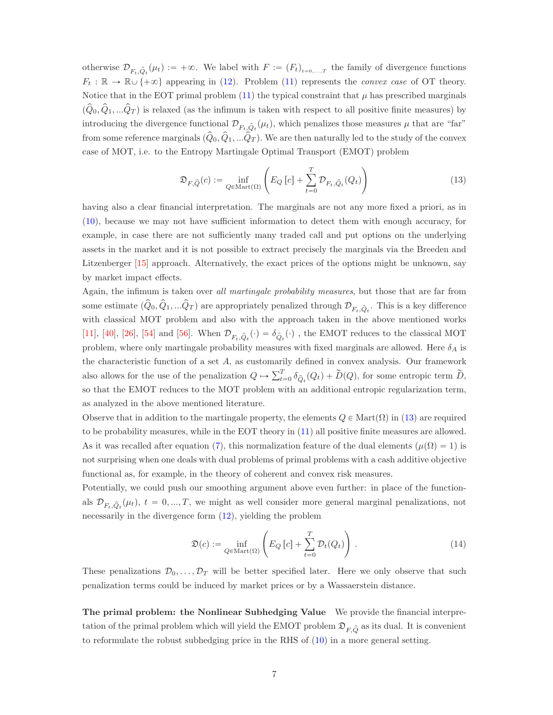otherwise  $\mathcal{D}_{F_t,\hat{Q}_t}(\mu_t) := +\infty$ . We label with  $F := (F_t)_{t=0,\dots,T}$  the family of divergence functions  $F_t : \mathbb{R} \to \mathbb{R} \cup \{+\infty\}$  appearing in [\(12\)](#page-5-1). Problem [\(11\)](#page-5-2) represents the *convex case* of OT theory. Notice that in the EOT primal problem  $(11)$  the typical constraint that  $\mu$  has prescribed marginals  $(\hat{Q}_0, \hat{Q}_1, \dots \hat{Q}_T)$  is relaxed (as the infimum is taken with respect to all positive finite measures) by introducing the divergence functional  $\mathcal{D}_{F_t,\hat{Q}_t}(\mu_t)$ , which penalizes those measures  $\mu$  that are "far" from some reference marginals  $(Q_0, Q_1, ...Q_T)$ . We are then naturally led to the study of the convex case of MOT, i.e. to the Entropy Martingale Optimal Transport (EMOT) problem

<span id="page-6-0"></span>
$$
\mathfrak{D}_{F,\hat{Q}}(c) := \inf_{Q \in \text{Mart}(\Omega)} \left( E_Q \left[ c \right] + \sum_{t=0}^T \mathcal{D}_{F_t, \hat{Q}_t}(Q_t) \right)
$$
(13)

having also a clear financial interpretation. The marginals are not any more fixed a priori, as in [\(10\)](#page-5-0), because we may not have sufficient information to detect them with enough accuracy, for example, in case there are not sufficiently many traded call and put options on the underlying assets in the market and it is not possible to extract precisely the marginals via the Breeden and Litzenberger [\[15\]](#page-54-10) approach. Alternatively, the exact prices of the options might be unknown, say by market impact effects.

Again, the infimum is taken over all martingale probability measures, but those that are far from some estimate  $(\hat{Q}_0, \hat{Q}_1, ... \hat{Q}_T)$  are appropriately penalized through  $\mathcal{D}_{F_t,\hat{Q}_t}$ . This is a key difference with classical MOT problem and also with the approach taken in the above mentioned works [\[11\]](#page-53-7), [\[40\]](#page-55-10), [\[26\]](#page-54-7), [\[54\]](#page-56-13) and [\[56\]](#page-56-10). When  $\mathcal{D}_{F_t,\hat{Q}_t}(\cdot) = \delta_{\hat{Q}_t}(\cdot)$ , the EMOT reduces to the classical MOT problem, where only martingale probability measures with fixed marginals are allowed. Here  $\delta_A$  is the characteristic function of a set  $A$ , as customarily defined in convex analysis. Our framework also allows for the use of the penalization  $Q \mapsto \sum_{t=0}^{T} \delta_{\hat{Q}_t}(Q_t) + \widetilde{D}(Q)$ , for some entropic term  $\widetilde{D}$ , so that the EMOT reduces to the MOT problem with an additional entropic regularization term, as analyzed in the above mentioned literature.

Observe that in addition to the martingale property, the elements  $Q \in \text{Mart}(\Omega)$  in [\(13\)](#page-6-0) are required to be probability measures, while in the EOT theory in [\(11\)](#page-5-2) all positive finite measures are allowed. As it was recalled after equation [\(7\)](#page-3-0), this normalization feature of the dual elements ( $\mu(\Omega) = 1$ ) is not surprising when one deals with dual problems of primal problems with a cash additive objective functional as, for example, in the theory of coherent and convex risk measures.

Potentially, we could push our smoothing argument above even further: in place of the functionals  $\mathcal{D}_{F_t, \hat{Q}_t}(\mu_t)$ ,  $t = 0, ..., T$ , we might as well consider more general marginal penalizations, not necessarily in the divergence form [\(12\)](#page-5-1), yielding the problem

<span id="page-6-1"></span>
$$
\mathfrak{D}(c) := \inf_{Q \in \text{Mart}(\Omega)} \left( E_Q \left[ c \right] + \sum_{t=0}^T \mathcal{D}_t(Q_t) \right). \tag{14}
$$

These penalizations  $\mathcal{D}_0, \ldots, \mathcal{D}_T$  will be better specified later. Here we only observe that such penalization terms could be induced by market prices or by a Wassaerstein distance.

The primal problem: the Nonlinear Subhedging Value We provide the financial interpretation of the primal problem which will yield the EMOT problem  $\mathfrak{D}_{F,\hat{Q}}$  as its dual. It is convenient to reformulate the robust subhedging price in the RHS of [\(10\)](#page-5-0) in a more general setting.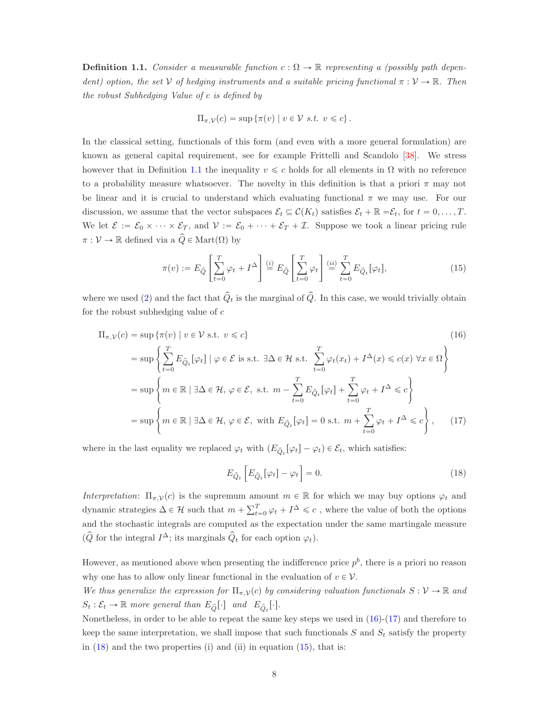<span id="page-7-0"></span>**Definition 1.1.** Consider a measurable function  $c : \Omega \to \mathbb{R}$  representing a (possibly path dependent) option, the set V of hedging instruments and a suitable pricing functional  $\pi : V \to \mathbb{R}$ . Then the robust Subhedging Value of c is defined by

$$
\Pi_{\pi,\mathcal{V}}(c) = \sup \{ \pi(v) \mid v \in \mathcal{V} \text{ s.t. } v \leq c \}.
$$

In the classical setting, functionals of this form (and even with a more general formulation) are known as general capital requirement, see for example Frittelli and Scandolo [\[38\]](#page-55-14). We stress however that in Definition [1.1](#page-7-0) the inequality  $v \leq c$  holds for all elements in  $\Omega$  with no reference to a probability measure whatsoever. The novelty in this definition is that a priori  $\pi$  may not be linear and it is crucial to understand which evaluating functional  $\pi$  we may use. For our discussion, we assume that the vector subspaces  $\mathcal{E}_t \subseteq \mathcal{C}(K_t)$  satisfies  $\mathcal{E}_t + \mathbb{R} = \mathcal{E}_t$ , for  $t = 0, \ldots, T$ . We let  $\mathcal{E} := \mathcal{E}_0 \times \cdots \times \mathcal{E}_T$ , and  $\mathcal{V} := \mathcal{E}_0 + \cdots + \mathcal{E}_T + \mathcal{I}$ . Suppose we took a linear pricing rule  $\pi : \mathcal{V} \to \mathbb{R}$  defined via a  $\hat{Q} \in \text{Mart}(\Omega)$  by

<span id="page-7-4"></span>
$$
\pi(v) := E_{\hat{Q}} \left[ \sum_{t=0}^{T} \varphi_t + I^{\Delta} \right] \stackrel{(i)}{=} E_{\hat{Q}} \left[ \sum_{t=0}^{T} \varphi_t \right] \stackrel{(ii)}{=} \sum_{t=0}^{T} E_{\hat{Q}_t} [\varphi_t], \tag{15}
$$

where we used [\(2\)](#page-1-0) and the fact that  $\hat{Q}_t$  is the marginal of  $\hat{Q}$ . In this case, we would trivially obtain for the robust subhedging value of  $c$ 

$$
\Pi_{\pi,\mathcal{V}}(c) = \sup \{ \pi(v) \mid v \in \mathcal{V} \text{ s.t. } v \leq c \}
$$
\n
$$
= \sup \left\{ \sum_{t=0}^{T} E_{\hat{Q}_t}[\varphi_t] \mid \varphi \in \mathcal{E} \text{ is s.t. } \exists \Delta \in \mathcal{H} \text{ s.t. } \sum_{t=0}^{T} \varphi_t(x_t) + I^{\Delta}(x) \leq c(x) \,\forall x \in \Omega \right\}
$$
\n
$$
= \sup \left\{ m \in \mathbb{R} \mid \exists \Delta \in \mathcal{H}, \,\varphi \in \mathcal{E}, \text{ s.t. } m - \sum_{t=0}^{T} E_{\hat{Q}_t}[\varphi_t] + \sum_{t=0}^{T} \varphi_t + I^{\Delta} \leq c \right\}
$$
\n
$$
= \sup \left\{ m \in \mathbb{R} \mid \exists \Delta \in \mathcal{H}, \,\varphi \in \mathcal{E}, \text{ with } E_{\hat{Q}_t}[\varphi_t] = 0 \text{ s.t. } m + \sum_{t=0}^{T} \varphi_t + I^{\Delta} \leq c \right\}, \tag{17}
$$

where in the last equality we replaced  $\varphi_t$  with  $(E_{\hat{Q}_t}[\varphi_t] - \varphi_t) \in \mathcal{E}_t$ , which satisfies:

<span id="page-7-3"></span><span id="page-7-2"></span><span id="page-7-1"></span>
$$
E_{\hat{Q}_t} \left[ E_{\hat{Q}_t} [\varphi_t] - \varphi_t \right] = 0. \tag{18}
$$

Interpretation:  $\Pi_{\pi,\mathcal{V}}(c)$  is the supremum amount  $m \in \mathbb{R}$  for which we may buy options  $\varphi_t$  and dynamic strategies  $\Delta \in \mathcal{H}$  such that  $m + \sum_{t=0}^{T} \varphi_t + I^{\Delta} \leq c$ , where the value of both the options and the stochastic integrals are computed as the expectation under the same martingale measure  $(\hat{Q}$  for the integral  $I^{\Delta}$ ; its marginals  $\hat{Q}_t$  for each option  $\varphi_t$ ).

However, as mentioned above when presenting the indifference price  $p^b$ , there is a priori no reason why one has to allow only linear functional in the evaluation of  $v \in V$ .

We thus generalize the expression for  $\Pi_{\pi,\mathcal{V}}(c)$  by considering valuation functionals  $S : \mathcal{V} \to \mathbb{R}$  and  $S_t : \mathcal{E}_t \to \mathbb{R}$  more general than  $E_{\hat{Q}}[\cdot]$  and  $E_{\hat{Q}_t}[\cdot]$ .

Nonetheless, in order to be able to repeat the same key steps we used in [\(16\)](#page-7-1)-[\(17\)](#page-7-2) and therefore to keep the same interpretation, we shall impose that such functionals  $S$  and  $S_t$  satisfy the property in  $(18)$  and the two properties (i) and (ii) in equation  $(15)$ , that is: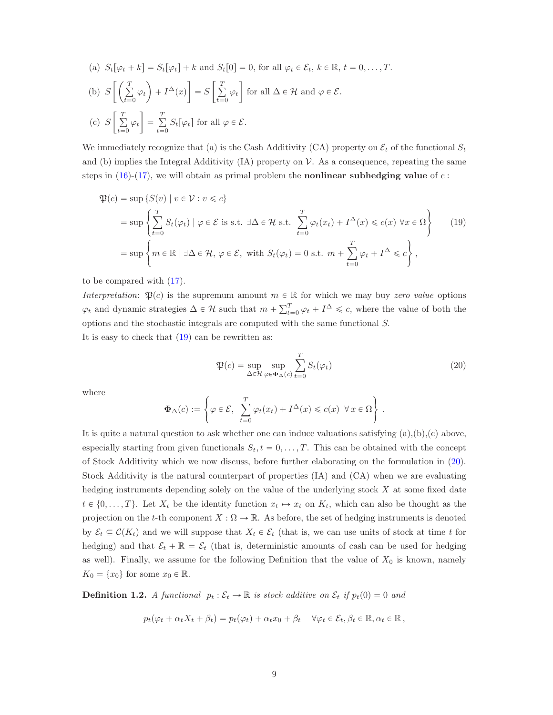(a) 
$$
S_t[\varphi_t + k] = S_t[\varphi_t] + k
$$
 and  $S_t[0] = 0$ , for all  $\varphi_t \in \mathcal{E}_t$ ,  $k \in \mathbb{R}$ ,  $t = 0, ..., T$ .  
\n(b)  $S\left[\left(\sum_{t=0}^T \varphi_t\right) + I^{\Delta}(x)\right] = S\left[\sum_{t=0}^T \varphi_t\right]$  for all  $\Delta \in \mathcal{H}$  and  $\varphi \in \mathcal{E}$ .  
\n(c)  $S\left[\sum_{t=0}^T \varphi_t\right] = \sum_{t=0}^T S_t[\varphi_t]$  for all  $\varphi \in \mathcal{E}$ .

We immediately recognize that (a) is the Cash Additivity (CA) property on  $\mathcal{E}_t$  of the functional  $S_t$ and (b) implies the Integral Additivity  $(IA)$  property on  $\mathcal V$ . As a consequence, repeating the same steps in [\(16\)](#page-7-1)-[\(17\)](#page-7-2), we will obtain as primal problem the **nonlinear subhedging value** of c:

$$
\mathfrak{P}(c) = \sup \left\{ S(v) \mid v \in \mathcal{V} : v \leq c \right\}
$$
\n
$$
= \sup \left\{ \sum_{t=0}^{T} S_t(\varphi_t) \mid \varphi \in \mathcal{E} \text{ is s.t. } \exists \Delta \in \mathcal{H} \text{ s.t. } \sum_{t=0}^{T} \varphi_t(x_t) + I^{\Delta}(x) \leq c(x) \,\forall x \in \Omega \right\} \tag{19}
$$
\n
$$
= \sup \left\{ m \in \mathbb{R} \mid \exists \Delta \in \mathcal{H}, \,\varphi \in \mathcal{E}, \text{ with } S_t(\varphi_t) = 0 \text{ s.t. } m + \sum_{t=0}^{T} \varphi_t + I^{\Delta} \leq c \right\},
$$

to be compared with [\(17\)](#page-7-2).

Interpretation:  $\mathfrak{P}(c)$  is the supremum amount  $m \in \mathbb{R}$  for which we may buy zero value options  $\varphi_t$  and dynamic strategies  $\Delta \in \mathcal{H}$  such that  $m + \sum_{t=0}^T \varphi_t + I^{\Delta} \leq c$ , where the value of both the options and the stochastic integrals are computed with the same functional S. It is easy to check that  $(19)$  can be rewritten as:

<span id="page-8-1"></span><span id="page-8-0"></span>
$$
\mathfrak{P}(c) = \sup_{\Delta \in \mathcal{H}} \sup_{\varphi \in \Phi_{\Delta}(c)} \sum_{t=0}^{T} S_t(\varphi_t)
$$
\n(20)

where

$$
\Phi_{\Delta}(c) := \left\{ \varphi \in \mathcal{E}, \ \sum_{t=0}^{T} \varphi_t(x_t) + I^{\Delta}(x) \leqslant c(x) \ \forall x \in \Omega \right\}.
$$

It is quite a natural question to ask whether one can induce valuations satisfying  $(a),(b),(c)$  above, especially starting from given functionals  $S_t$ ,  $t = 0, \ldots, T$ . This can be obtained with the concept of Stock Additivity which we now discuss, before further elaborating on the formulation in [\(20\)](#page-8-1). Stock Additivity is the natural counterpart of properties (IA) and (CA) when we are evaluating hedging instruments depending solely on the value of the underlying stock  $X$  at some fixed date  $t \in \{0, \ldots, T\}$ . Let  $X_t$  be the identity function  $x_t \mapsto x_t$  on  $K_t$ , which can also be thought as the projection on the t-th component  $X : \Omega \to \mathbb{R}$ . As before, the set of hedging instruments is denoted by  $\mathcal{E}_t \subseteq \mathcal{C}(K_t)$  and we will suppose that  $X_t \in \mathcal{E}_t$  (that is, we can use units of stock at time t for hedging) and that  $\mathcal{E}_t + \mathbb{R} = \mathcal{E}_t$  (that is, deterministic amounts of cash can be used for hedging as well). Finally, we assume for the following Definition that the value of  $X_0$  is known, namely  $K_0 = \{x_0\}$  for some  $x_0 \in \mathbb{R}$ .

**Definition 1.2.** A functional  $p_t : \mathcal{E}_t \to \mathbb{R}$  is stock additive on  $\mathcal{E}_t$  if  $p_t(0) = 0$  and

$$
p_t(\varphi_t + \alpha_t X_t + \beta_t) = p_t(\varphi_t) + \alpha_t x_0 + \beta_t \quad \forall \varphi_t \in \mathcal{E}_t, \beta_t \in \mathbb{R}, \alpha_t \in \mathbb{R},
$$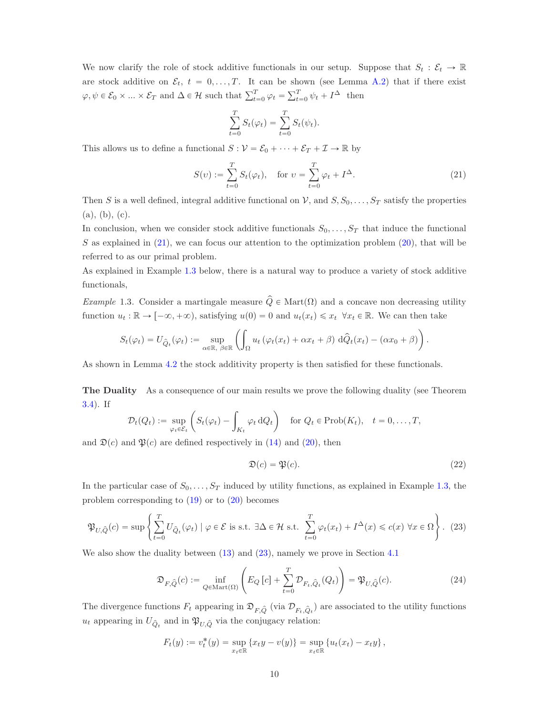We now clarify the role of stock additive functionals in our setup. Suppose that  $S_t : \mathcal{E}_t \to \mathbb{R}$ are stock additive on  $\mathcal{E}_t$ ,  $t = 0, \ldots, T$ . It can be shown (see Lemma [A.2\)](#page-48-0) that if there exist  $\varphi, \psi \in \mathcal{E}_0 \times ... \times \mathcal{E}_T$  and  $\Delta \in \mathcal{H}$  such that  $\sum_{t=0}^T \varphi_t = \sum_{t=0}^T \psi_t + I^{\Delta}$  then

$$
\sum_{t=0}^{T} S_t(\varphi_t) = \sum_{t=0}^{T} S_t(\psi_t).
$$

This allows us to define a functional  $S : \mathcal{V} = \mathcal{E}_0 + \cdots + \mathcal{E}_T + \mathcal{I} \to \mathbb{R}$  by

<span id="page-9-0"></span>
$$
S(v) := \sum_{t=0}^{T} S_t(\varphi_t), \quad \text{for } v = \sum_{t=0}^{T} \varphi_t + I^{\Delta}.
$$
 (21)

Then S is a well defined, integral additive functional on V, and  $S, S_0, \ldots, S_T$  satisfy the properties (a), (b), (c).

In conclusion, when we consider stock additive functionals  $S_0, \ldots, S_T$  that induce the functional S as explained in  $(21)$ , we can focus our attention to the optimization problem  $(20)$ , that will be referred to as our primal problem.

As explained in Example [1.3](#page-9-1) below, there is a natural way to produce a variety of stock additive functionals,

<span id="page-9-1"></span>Example 1.3. Consider a martingale measure  $\hat{Q} \in \text{Mart}(\Omega)$  and a concave non decreasing utility function  $u_t : \mathbb{R} \to [-\infty, +\infty)$ , satisfying  $u(0) = 0$  and  $u_t(x_t) \leq x_t \ \forall x_t \in \mathbb{R}$ . We can then take

$$
S_t(\varphi_t) = U_{\hat{Q}_t}(\varphi_t) := \sup_{\alpha \in \mathbb{R}, \ \beta \in \mathbb{R}} \left( \int_{\Omega} u_t \left( \varphi_t(x_t) + \alpha x_t + \beta \right) d\hat{Q}_t(x_t) - (\alpha x_0 + \beta) \right).
$$

As shown in Lemma [4.2](#page-34-0) the stock additivity property is then satisfied for these functionals.

The Duality As a consequence of our main results we prove the following duality (see Theorem [3.4\)](#page-29-0). If

$$
\mathcal{D}_t(Q_t) := \sup_{\varphi_t \in \mathcal{E}_t} \left( S_t(\varphi_t) - \int_{K_t} \varphi_t \, dQ_t \right) \quad \text{for } Q_t \in \text{Prob}(K_t), \quad t = 0, \dots, T,
$$

and  $\mathfrak{D}(c)$  and  $\mathfrak{P}(c)$  are defined respectively in [\(14\)](#page-6-1) and [\(20\)](#page-8-1), then

<span id="page-9-3"></span>
$$
\mathfrak{D}(c) = \mathfrak{P}(c). \tag{22}
$$

In the particular case of  $S_0, \ldots, S_T$  induced by utility functions, as explained in Example [1.3,](#page-9-1) the problem corresponding to [\(19\)](#page-8-0) or to [\(20\)](#page-8-1) becomes

<span id="page-9-2"></span>
$$
\mathfrak{P}_{U,\hat{Q}}(c) = \sup \left\{ \sum_{t=0}^{T} U_{\hat{Q}_t}(\varphi_t) \mid \varphi \in \mathcal{E} \text{ is s.t. } \exists \Delta \in \mathcal{H} \text{ s.t. } \sum_{t=0}^{T} \varphi_t(x_t) + I^{\Delta}(x) \leq c(x) \,\,\forall x \in \Omega \right\}. \tag{23}
$$

We also show the duality between  $(13)$  and  $(23)$ , namely we prove in Section [4.1](#page-33-0)

<span id="page-9-4"></span>
$$
\mathfrak{D}_{F,\hat{Q}}(c) := \inf_{Q \in \text{Mart}(\Omega)} \left( E_Q \left[ c \right] + \sum_{t=0}^T \mathcal{D}_{F_t, \hat{Q}_t}(Q_t) \right) = \mathfrak{P}_{U, \hat{Q}}(c). \tag{24}
$$

The divergence functions  $F_t$  appearing in  $\mathfrak{D}_{F,\hat{Q}}$  (via  $\mathcal{D}_{F_t,\hat{Q}_t}$ ) are associated to the utility functions  $u_t$  appearing in  $U_{\hat{Q}_t}$  and in  $\mathfrak{P}_{U,\hat{Q}}$  via the conjugacy relation:

$$
F_t(y) := v_t^*(y) = \sup_{x_t \in \mathbb{R}} \{x_t y - v(y)\} = \sup_{x_t \in \mathbb{R}} \{u_t(x_t) - x_t y\},\,
$$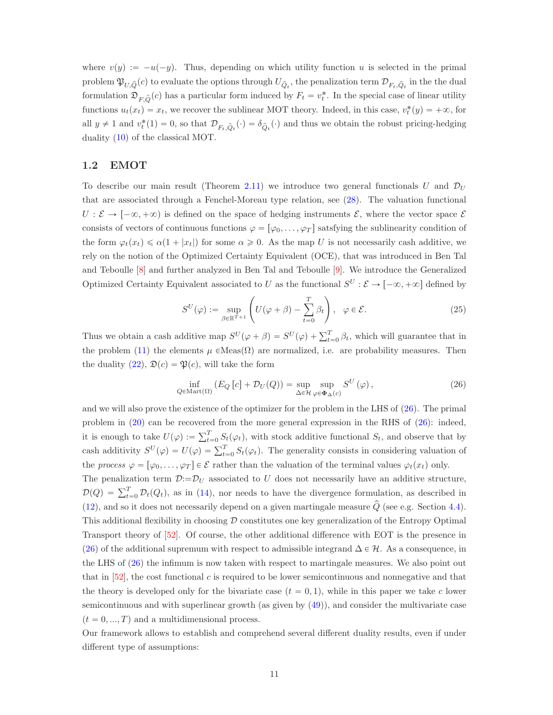where  $v(y) := -u(-y)$ . Thus, depending on which utility function u is selected in the primal problem  $\mathfrak{P}_{U,\hat{Q}}(c)$  to evaluate the options through  $U_{\hat{Q}_t}$ , the penalization term  $\mathcal{D}_{F_t,\hat{Q}_t}$  in the the dual formulation  $\mathfrak{D}_{F,\hat{Q}}(c)$  has a particular form induced by  $F_t = v_t^*$ . In the special case of linear utility functions  $u_t(x_t) = x_t$ , we recover the sublinear MOT theory. Indeed, in this case,  $v_t^*(y) = +\infty$ , for all  $y \neq 1$  and  $v_t^*(1) = 0$ , so that  $\mathcal{D}_{F_t,\hat{Q}_t}(\cdot) = \delta_{\hat{Q}_t}(\cdot)$  and thus we obtain the robust pricing-hedging duality [\(10\)](#page-5-0) of the classical MOT.

#### <span id="page-10-0"></span>1.2 EMOT

To describe our main result (Theorem [2.11\)](#page-19-0) we introduce two general functionals U and  $\mathcal{D}_U$ that are associated through a Fenchel-Moreau type relation, see [\(28\)](#page-14-0). The valuation functional  $U : \mathcal{E} \to [-\infty, +\infty)$  is defined on the space of hedging instruments  $\mathcal{E}$ , where the vector space  $\mathcal{E}$ consists of vectors of continuous functions  $\varphi = [\varphi_0, \ldots, \varphi_T]$  satsfying the sublinearity condition of the form  $\varphi_t(x_t) \leq \alpha(1 + |x_t|)$  for some  $\alpha \geq 0$ . As the map U is not necessarily cash additive, we rely on the notion of the Optimized Certainty Equivalent (OCE), that was introduced in Ben Tal and Teboulle [\[8\]](#page-53-9) and further analyzed in Ben Tal and Teboulle [\[9\]](#page-53-10). We introduce the Generalized Optimized Certainty Equivalent associated to U as the functional  $S^U : \mathcal{E} \to [-\infty, +\infty]$  defined by

<span id="page-10-2"></span>
$$
S^{U}(\varphi) := \sup_{\beta \in \mathbb{R}^{T+1}} \left( U(\varphi + \beta) - \sum_{t=0}^{T} \beta_t \right), \quad \varphi \in \mathcal{E}.
$$
 (25)

Thus we obtain a cash additive map  $S^{U}(\varphi + \beta) = S^{U}(\varphi) + \sum_{t=0}^{T} \beta_t$ , which will guarantee that in the problem [\(11\)](#page-5-2) the elements  $\mu \in \text{Meas}(\Omega)$  are normalized, i.e. are probability measures. Then the duality  $(22)$ ,  $\mathfrak{D}(c) = \mathfrak{P}(c)$ , will take the form

<span id="page-10-1"></span>
$$
\inf_{Q \in \text{Mart}(\Omega)} \left( E_Q \left[ c \right] + \mathcal{D}_U(Q) \right) = \sup_{\Delta \in \mathcal{H}} \sup_{\varphi \in \Phi_\Delta(c)} S^U \left( \varphi \right),\tag{26}
$$

and we will also prove the existence of the optimizer for the problem in the LHS of  $(26)$ . The primal problem in  $(20)$  can be recovered from the more general expression in the RHS of  $(26)$ : indeed, it is enough to take  $U(\varphi) := \sum_{t=0}^{T} S_t(\varphi_t)$ , with stock additive functional  $S_t$ , and observe that by cash additivity  $S^{U}(\varphi) = U(\varphi) = \sum_{t=0}^{T} S_t(\varphi_t)$ . The generality consists in considering valuation of the process  $\varphi = [\varphi_0, \dots, \varphi_T] \in \mathcal{E}$  rather than the valuation of the terminal values  $\varphi_t(x_t)$  only. The penalization term  $\mathcal{D}:=\mathcal{D}_U$  associated to U does not necessarily have an additive structure,  $\mathcal{D}(Q) = \sum_{t=0}^{T} \mathcal{D}_t(Q_t)$ , as in [\(14\)](#page-6-1), nor needs to have the divergence formulation, as described in [\(12\)](#page-5-1), and so it does not necessarily depend on a given martingale measure  $\hat{Q}$  (see e.g. Section [4.4\)](#page-37-0). This additional flexibility in choosing  $D$  constitutes one key generalization of the Entropy Optimal Transport theory of [\[52\]](#page-56-0). Of course, the other additional difference with EOT is the presence in [\(26\)](#page-10-1) of the additional supremum with respect to admissible integrand  $\Delta \in \mathcal{H}$ . As a consequence, in the LHS of [\(26\)](#page-10-1) the infimum is now taken with respect to martingale measures. We also point out that in  $[52]$ , the cost functional c is required to be lower semicontinuous and nonnegative and that the theory is developed only for the bivariate case  $(t = 0, 1)$ , while in this paper we take c lower semicontinuous and with superlinear growth (as given by [\(49\)](#page-19-1)), and consider the multivariate case  $(t = 0, ..., T)$  and a multidimensional process.

Our framework allows to establish and comprehend several different duality results, even if under different type of assumptions: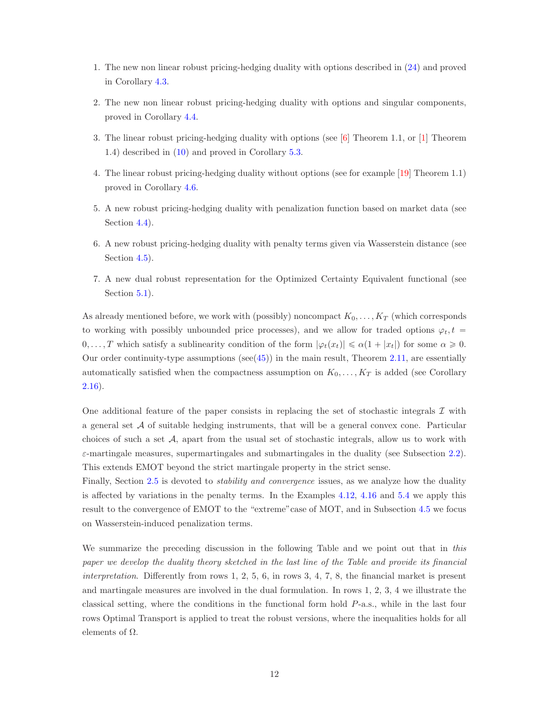- <span id="page-11-0"></span>1. The new non linear robust pricing-hedging duality with options described in [\(24\)](#page-9-4) and proved in Corollary [4.3.](#page-34-1)
- 2. The new non linear robust pricing-hedging duality with options and singular components, proved in Corollary [4.4.](#page-35-0)
- 3. The linear robust pricing-hedging duality with options (see [\[6\]](#page-53-3) Theorem 1.1, or [\[1\]](#page-53-2) Theorem 1.4) described in [\(10\)](#page-5-0) and proved in Corollary [5.3.](#page-45-0)
- 4. The linear robust pricing-hedging duality without options (see for example [\[19\]](#page-54-3) Theorem 1.1) proved in Corollary [4.6.](#page-36-0)
- 5. A new robust pricing-hedging duality with penalization function based on market data (see Section [4.4\)](#page-37-0).
- 6. A new robust pricing-hedging duality with penalty terms given via Wasserstein distance (see Section [4.5\)](#page-40-0).
- 7. A new dual robust representation for the Optimized Certainty Equivalent functional (see Section [5.1\)](#page-46-0).

As already mentioned before, we work with (possibly) noncompact  $K_0, \ldots, K_T$  (which corresponds to working with possibly unbounded price processes), and we allow for traded options  $\varphi_t, t =$  $0, \ldots, T$  which satisfy a sublinearity condition of the form  $|\varphi_t(x_t)| \leq \alpha(1 + |x_t|)$  for some  $\alpha \geq 0$ . Our order continuity-type assumptions ( $\sec(45)$  $\sec(45)$ ) in the main result, Theorem [2.11,](#page-19-0) are essentially automatically satisfied when the compactness assumption on  $K_0, \ldots, K_T$  is added (see Corollary [2.16\)](#page-21-0).

One additional feature of the paper consists in replacing the set of stochastic integrals  $\mathcal I$  with a general set  $A$  of suitable hedging instruments, that will be a general convex cone. Particular choices of such a set  $A$ , apart from the usual set of stochastic integrals, allow us to work with  $\varepsilon$ -martingale measures, supermartingales and submartingales in the duality (see Subsection [2.2\)](#page-16-0). This extends EMOT beyond the strict martingale property in the strict sense.

Finally, Section [2.5](#page-27-0) is devoted to *stability and convergence* issues, as we analyze how the duality is affected by variations in the penalty terms. In the Examples [4.12,](#page-39-0) [4.16](#page-41-0) and [5.4](#page-45-1) we apply this result to the convergence of EMOT to the "extreme"case of MOT, and in Subsection [4.5](#page-40-0) we focus on Wasserstein-induced penalization terms.

We summarize the preceding discussion in the following Table and we point out that in this paper we develop the duality theory sketched in the last line of the Table and provide its financial interpretation. Differently from rows  $1, 2, 5, 6$ , in rows  $3, 4, 7, 8$ , the financial market is present and martingale measures are involved in the dual formulation. In rows 1, 2, 3, 4 we illustrate the classical setting, where the conditions in the functional form hold P-a.s., while in the last four rows Optimal Transport is applied to treat the robust versions, where the inequalities holds for all elements of  $\Omega$ .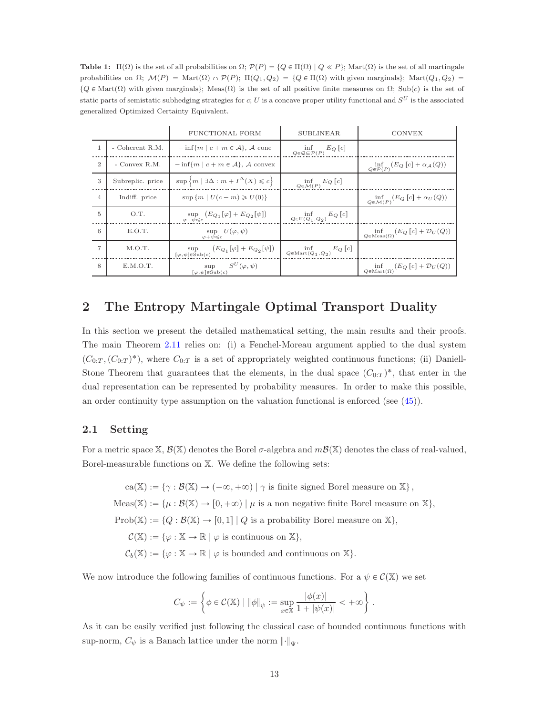<span id="page-12-0"></span>Table 1:  $\Pi(\Omega)$  is the set of all probabilities on  $\Omega$ ;  $\mathcal{P}(P) = \{Q \in \Pi(\Omega) \mid Q \ll P\}$ ; Mart $(\Omega)$  is the set of all martingale probabilities on  $\Omega$ ;  $\mathcal{M}(P) = \text{Mart}(\Omega) \cap \mathcal{P}(P)$ ;  $\Pi(Q_1, Q_2) = \{Q \in \Pi(\Omega) \text{ with given marginals}\}$ ; Mart $(Q_1, Q_2) =$  $\{Q \in \text{Mart}(\Omega)$  with given marginals}; Meas $(\Omega)$  is the set of all positive finite measures on  $\Omega$ ; Sub $(c)$  is the set of static parts of semistatic subhedging strategies for c; U is a concave proper utility functional and  $S^U$  is the associated generalized Optimized Certainty Equivalent.

|                |                  | FUNCTIONAL FORM                                                                                | <b>SUBLINEAR</b>                                            | <b>CONVEX</b>                                                     |
|----------------|------------------|------------------------------------------------------------------------------------------------|-------------------------------------------------------------|-------------------------------------------------------------------|
| $\mathbf{1}$   | - Coherent R.M.  | $-\inf\{m \mid c+m \in \mathcal{A}\}, \mathcal{A}$ cone                                        | $\inf_{Q \in \mathcal{Q} \subseteq \mathcal{P}(P)} E_Q [c]$ |                                                                   |
| $\overline{2}$ | $-$ Convex R.M.  | $-\inf\{m \mid c+m \in \mathcal{A}\}, \mathcal{A}$ convex                                      |                                                             | $\inf_{Q \in \mathcal{P}(P)} (E_Q [c] + \alpha_{\mathcal{A}}(Q))$ |
| 3              | Subreplic. price | $\sup \left\{ m \mid \exists \Delta : m + I^{\Delta}(X) \leqslant c \right\}$                  | $\inf_{Q \in \mathcal{M}(P)} E_Q[c]$                        |                                                                   |
| $\overline{4}$ | Indiff. price    | $\sup \{m   U(c-m) \geq U(0)\}\$                                                               |                                                             | $\inf_{Q \in \mathcal{M}(P)} (E_Q [c] + \alpha_U (Q))$            |
| 5              | O.T.             | sup $(E_{Q_1}[\varphi] + E_{Q_2}[\psi])$<br>$\omega + \psi \leq c$                             | $\inf_{Q\in \Pi(Q_1,Q_2)} E_Q [c]$                          |                                                                   |
| 6              | E.O.T.           | sup $U(\varphi, \psi)$<br>$\varphi + \psi \leqslant c$                                         |                                                             | $\inf_{Q \in \text{Meas}(\Omega)} (E_Q [c] + \mathcal{D}_U(Q))$   |
|                | M.O.T.           | sup $(E_{Q_1}[\varphi] + E_{Q_2}[\psi])$<br>$\lbrack \varphi,\psi \rbrack \in \mathrm{Sub}(c)$ | $\inf_{Q \in \text{Mart}(Q_1, Q_2)} E_Q[c]$                 |                                                                   |
| 8              | E.M.O.T.         | sup $S^{U}(\varphi,\psi)$<br>$\lbrack \varphi, \psi \rbrack \in \mathrm{Sub}(c)$               |                                                             | $\inf_{Q \in \text{Mart}(\Omega)} (E_Q [c] + \mathcal{D}_U(Q))$   |

# <span id="page-12-1"></span>2 The Entropy Martingale Optimal Transport Duality

In this section we present the detailed mathematical setting, the main results and their proofs. The main Theorem [2.11](#page-19-0) relies on: (i) a Fenchel-Moreau argument applied to the dual system  $(C_{0:T}, (C_{0:T})^*)$ , where  $C_{0:T}$  is a set of appropriately weighted continuous functions; (ii) Daniell-Stone Theorem that guarantees that the elements, in the dual space  $(C_{0:T})^*$ , that enter in the dual representation can be represented by probability measures. In order to make this possible, an order continuity type assumption on the valuation functional is enforced (see [\(45\)](#page-18-0)).

## <span id="page-12-2"></span>2.1 Setting

For a metric space X,  $\mathcal{B}(\mathbb{X})$  denotes the Borel  $\sigma$ -algebra and  $m\mathcal{B}(\mathbb{X})$  denotes the class of real-valued, Borel-measurable functions on X. We define the following sets:

 $ca(\mathbb{X}) := \{ \gamma : \mathcal{B}(\mathbb{X}) \to (-\infty, +\infty) \mid \gamma \text{ is finite signed Borel measure on } \mathbb{X} \},\$  $Meas(\mathbb{X}) := \{ \mu : \mathcal{B}(\mathbb{X}) \to [0, +\infty) \mid \mu \text{ is a non negative finite Borel measure on } \mathbb{X} \},\$  $Prob(X) := \{Q : \mathcal{B}(X) \to [0, 1] | Q \text{ is a probability Borel measure on } X\},\$  $\mathcal{C}(\mathbb{X}) := \{ \varphi : \mathbb{X} \to \mathbb{R} \mid \varphi \text{ is continuous on } \mathbb{X} \},\$  $\mathcal{C}_b(\mathbb{X}) := \{ \varphi : \mathbb{X} \to \mathbb{R} \mid \varphi \text{ is bounded and continuous on } \mathbb{X} \}.$ 

We now introduce the following families of continuous functions. For a  $\psi \in C(\mathbb{X})$  we set

$$
C_{\psi} := \left\{ \phi \in \mathcal{C}(\mathbb{X}) \mid \|\phi\|_{\psi} := \sup_{x \in \mathbb{X}} \frac{|\phi(x)|}{1 + |\psi(x)|} < +\infty \right\}.
$$

As it can be easily verified just following the classical case of bounded continuous functions with sup-norm,  $C_{\psi}$  is a Banach lattice under the norm  $\lVert \cdot \rVert_{\Psi}$ .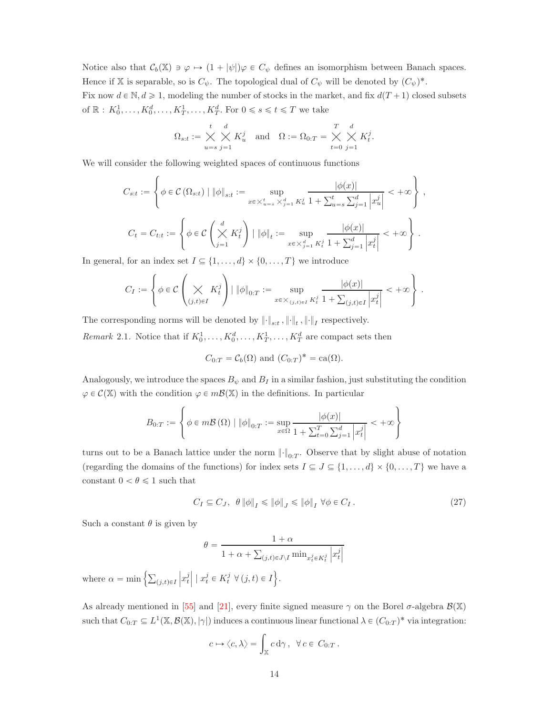Notice also that  $C_b(\mathbb{X}) \ni \varphi \mapsto (1 + |\psi|) \varphi \in C_{\psi}$  defines an isomorphism between Banach spaces. Hence if X is separable, so is  $C_{\psi}$ . The topological dual of  $C_{\psi}$  will be denoted by  $(C_{\psi})^*$ . Fix now  $d \in \mathbb{N}, d \geq 1$ , modeling the number of stocks in the market, and fix  $d(T + 1)$  closed subsets of  $\mathbb{R}: K_0^1, \ldots, K_0^d, \ldots, K_T^1, \ldots, K_T^d$ . For  $0 \le s \le t \le T$  we take

$$
\Omega_{s:t} := \bigtimes_{u=s}^{t} \bigtimes_{j=1}^{d} K_u^j \quad \text{and} \quad \Omega := \Omega_{0:T} = \bigtimes_{t=0}^{T} \bigtimes_{j=1}^{d} K_t^j.
$$

We will consider the following weighted spaces of continuous functions

$$
C_{s:t} := \left\{ \phi \in \mathcal{C} \left( \Omega_{s:t} \right) \mid \|\phi\|_{s:t} := \sup_{x \in \times_{u=s}^t \times_{j=1}^d K_u^j} \frac{|\phi(x)|}{1 + \sum_{u=s}^t \sum_{j=1}^d \left| x_u^j \right|} < +\infty \right\},\
$$
  

$$
C_t = C_{t:t} := \left\{ \phi \in \mathcal{C} \left( \bigtimes_{j=1}^d K_t^j \right) \mid \|\phi\|_t := \sup_{x \in \times_{j=1}^d K_t^j} \frac{|\phi(x)|}{1 + \sum_{j=1}^d \left| x_t^j \right|} < +\infty \right\}.
$$

In general, for an index set  $I \subseteq \{1, \ldots, d\} \times \{0, \ldots, T\}$  we introduce

$$
C_I:=\left\{\phi\in\mathcal{C}\left(\bigtimes_{(j,t)\in I}K_t^j\right)\bigm|\|\phi\|_{0:T}:=\sup_{x\in\times_{(j,t)\in I}K_t^j}\frac{|\phi(x)|}{1+\sum_{(j,t)\in I}\left|x_t^j\right|}<+\infty\right\}\,.
$$

The corresponding norms will be denoted by  $\left\|\cdot\right\|_{s:t}, \left\|\cdot\right\|_{t}, \left\|\cdot\right\|_{I}$  respectively.

Remark 2.1. Notice that if  $K_0^1, \ldots, K_0^d, \ldots, K_T^1, \ldots, K_T^d$  are compact sets then

$$
C_{0:T} = C_b(\Omega)
$$
 and  $(C_{0:T})^* = \text{ca}(\Omega)$ .

Analogously, we introduce the spaces  $B_{\psi}$  and  $B_{I}$  in a similar fashion, just substituting the condition  $\varphi \in \mathcal{C}(\mathbb{X})$  with the condition  $\varphi \in m\mathcal{B}(\mathbb{X})$  in the definitions. In particular

$$
B_{0:T} := \left\{ \phi \in m\mathcal{B}\left(\Omega\right) \mid \left\|\phi\right\|_{0:T} := \sup_{x \in \Omega} \frac{\left|\phi(x)\right|}{1 + \sum_{t=0}^{T} \sum_{j=1}^{d} \left|x_{t}^{j}\right|} < +\infty \right\}
$$

turns out to be a Banach lattice under the norm  $\lVert \cdot \rVert_{0:T}$ . Observe that by slight abuse of notation (regarding the domains of the functions) for index sets  $I \subseteq J \subseteq \{1, ..., d\} \times \{0, ..., T\}$  we have a constant  $0 < \theta \leq 1$  such that

<span id="page-13-0"></span>
$$
C_I \subseteq C_J, \ \theta \|\phi\|_I \le \|\phi\|_J \le \|\phi\|_I \ \forall \phi \in C_I \,. \tag{27}
$$

Such a constant  $\theta$  is given by

$$
\theta = \frac{1 + \alpha}{1 + \alpha + \sum_{(j,t) \in J \setminus I} \min_{x_t^j \in K_t^j} \left| x_t^j \right|}
$$

where  $\alpha = \min \left\{ \sum_{(j,t) \in I} \right\}$  $\left| x_t^j \right| \mid x_t^j \in K_t^j \ \forall \, (j,t) \in I \Big\}.$ 

As already mentioned in [\[55\]](#page-56-9) and [\[21\]](#page-54-15), every finite signed measure  $\gamma$  on the Borel  $\sigma$ -algebra  $\mathcal{B}(\mathbb{X})$ such that  $C_{0:T} \subseteq L^1(\mathbb{X}, \mathcal{B}(\mathbb{X}), |\gamma|)$  induces a continuous linear functional  $\lambda \in (C_{0:T})^*$  via integration:

$$
c \mapsto \langle c, \lambda \rangle = \int_{\mathbb{X}} c \, \mathrm{d} \gamma \,, \ \ \forall \, c \in C_{0:T} \,.
$$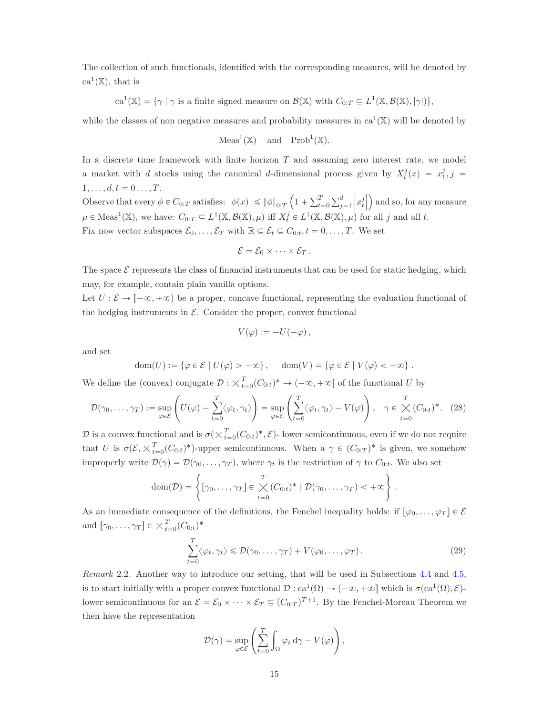The collection of such functionals, identified with the corresponding measures, will be denoted by  $ca^1(\mathbb{X})$ , that is

$$
ca^{1}(\mathbb{X}) = \{ \gamma \mid \gamma \text{ is a finite signed measure on } \mathcal{B}(\mathbb{X}) \text{ with } C_{0:T} \subseteq L^{1}(\mathbb{X}, \mathcal{B}(\mathbb{X}), |\gamma|) \},
$$

while the classes of non negative measures and probability measures in  $ca^1(\mathbb{X})$  will be denoted by

$$
\operatorname{Meas}^1(\mathbb{X}) \quad \text{and} \quad \operatorname{Prob}^1(\mathbb{X}).
$$

In a discrete time framework with finite horizon  $T$  and assuming zero interest rate, we model a market with d stocks using the canonical d-dimensional process given by  $X_t^j(x) = x_t^j, j =$  $1, \ldots, d, t = 0 \ldots, T.$ 

Observe that every  $\phi \in C_{0:T}$  satisfies:  $|\phi(x)| \leq \|\phi\|_{0:T} \left(1 + \sum_{t=0}^T \sum_{j=1}^d x_j\right)$  $\left\vert x_{t}^{j}\right\vert$ ) and so, for any measure  $\mu \in \text{Meas}^1(\mathbb{X})$ , we have:  $C_{0:T} \subseteq L^1(\mathbb{X}, \mathcal{B}(\mathbb{X}), \mu)$  iff  $X_t^j \in L^1(\mathbb{X}, \mathcal{B}(\mathbb{X}), \mu)$  for all j and all t. Fix now vector subspaces  $\mathcal{E}_0, \ldots, \mathcal{E}_T$  with  $\mathbb{R} \subseteq \mathcal{E}_t \subseteq C_{0:t}, t = 0, \ldots, T$ . We set

$$
\mathcal{E}=\mathcal{E}_0\times\cdots\times\mathcal{E}_T.
$$

The space  $\mathcal E$  represents the class of financial instruments that can be used for static hedging, which may, for example, contain plain vanilla options.

Let  $U : \mathcal{E} \to [-\infty, +\infty)$  be a proper, concave functional, representing the evaluation functional of the hedging instruments in  $\mathcal{E}$ . Consider the proper, convex functional

$$
V(\varphi) := -U(-\varphi) \,,
$$

and set

$$
\text{dom}(U) := \{ \varphi \in \mathcal{E} \mid U(\varphi) > -\infty \}, \quad \text{dom}(V) = \{ \varphi \in \mathcal{E} \mid V(\varphi) < +\infty \}.
$$

We define the (convex) conjugate  $\mathcal{D}: \times_{t=0}^{T}(C_{0:t})^* \to (-\infty, +\infty]$  of the functional U by

<span id="page-14-0"></span>
$$
\mathcal{D}(\gamma_0,\ldots,\gamma_T) := \sup_{\varphi \in \mathcal{E}} \left( U(\varphi) - \sum_{t=0}^T \langle \varphi_t, \gamma_t \rangle \right) = \sup_{\varphi \in \mathcal{E}} \left( \sum_{t=0}^T \langle \varphi_t, \gamma_t \rangle - V(\varphi) \right), \quad \gamma \in \bigtimes_{t=0}^T (C_{0:t})^*.
$$
 (28)

D is a convex functional and is  $\sigma(\times_{t=0}^T (C_{0:t})^*, \mathcal{E})$ - lower semicontinuous, even if we do not require that U is  $\sigma(\mathcal{E}, \times_{t=0}^T (C_{0:t})^*)$ -upper semicontinuous. When a  $\gamma \in (C_{0:T})^*$  is given, we somehow improperly write  $\mathcal{D}(\gamma) = \mathcal{D}(\gamma_0, \dots, \gamma_T)$ , where  $\gamma_t$  is the restriction of  $\gamma$  to  $C_{0:t}$ . We also set

$$
\text{dom}(\mathcal{D}) = \left\{ [\gamma_0, \dots, \gamma_T] \in \bigtimes_{t=0}^T (C_{0:t})^* \mid \mathcal{D}(\gamma_0, \dots, \gamma_T) < +\infty \right\}
$$

As an immediate consequence of the definitions, the Fenchel inequality holds: if  $[\varphi_0, \ldots, \varphi_T] \in \mathcal{E}$ and  $[\gamma_0, \ldots, \gamma_T] \in \times_{t=0}^T (C_{0:t})^*$ 

<span id="page-14-1"></span>
$$
\sum_{t=0}^{T} \langle \varphi_t, \gamma_t \rangle \leq \mathcal{D}(\gamma_0, \dots, \gamma_T) + V(\varphi_0, \dots, \varphi_T).
$$
\n(29)

.

<span id="page-14-2"></span>Remark 2.2. Another way to introduce our setting, that will be used in Subsections [4.4](#page-37-0) and [4.5,](#page-40-0) is to start initially with a proper convex functional  $\mathcal{D}: ca^1(\Omega) \to (-\infty, +\infty]$  which is  $\sigma(ca^1(\Omega), \mathcal{E})$ lower semicontinuous for an  $\mathcal{E} = \mathcal{E}_0 \times \cdots \times \mathcal{E}_T \subseteq (C_{0:T})^{T+1}$ . By the Fenchel-Moreau Theorem we then have the representation

$$
\mathcal{D}(\gamma) = \sup_{\varphi \in \mathcal{E}} \left( \sum_{t=0}^{T} \int_{\Omega} \varphi_t \, \mathrm{d}\gamma - V(\varphi) \right),
$$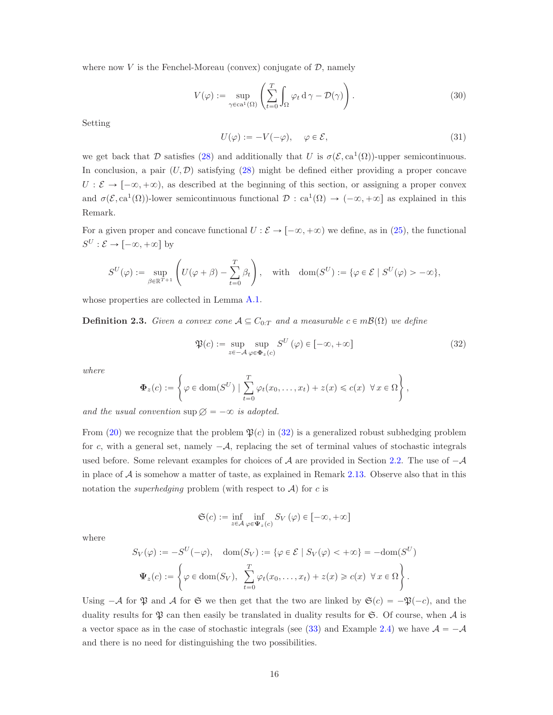where now  $V$  is the Fenchel-Moreau (convex) conjugate of  $D$ , namely

<span id="page-15-1"></span>
$$
V(\varphi) := \sup_{\gamma \in ca^1(\Omega)} \left( \sum_{t=0}^T \int_{\Omega} \varphi_t \, d\gamma - \mathcal{D}(\gamma) \right). \tag{30}
$$

Setting

<span id="page-15-2"></span>
$$
U(\varphi) := -V(-\varphi), \quad \varphi \in \mathcal{E}, \tag{31}
$$

we get back that D satisfies [\(28\)](#page-14-0) and additionally that U is  $\sigma(\mathcal{E}, ca^1(\Omega))$ -upper semicontinuous. In conclusion, a pair  $(U, \mathcal{D})$  satisfying [\(28\)](#page-14-0) might be defined either providing a proper concave  $U : \mathcal{E} \to [-\infty, +\infty)$ , as described at the beginning of this section, or assigning a proper convex and  $\sigma(\mathcal{E}, ca^1(\Omega))$ -lower semicontinuous functional  $\mathcal{D}: ca^1(\Omega) \to (-\infty, +\infty]$  as explained in this Remark.

For a given proper and concave functional  $U : \mathcal{E} \to [-\infty, +\infty)$  we define, as in [\(25\)](#page-10-2), the functional  $S^U : \mathcal{E} \to [-\infty, +\infty]$  by

$$
S^{U}(\varphi) := \sup_{\beta \in \mathbb{R}^{T+1}} \left( U(\varphi + \beta) - \sum_{t=0}^{T} \beta_{t} \right), \quad \text{with} \quad \text{dom}(S^{U}) := \{ \varphi \in \mathcal{E} \mid S^{U}(\varphi) > -\infty \},
$$

whose properties are collected in Lemma [A.1.](#page-47-0)

**Definition 2.3.** Given a convex cone  $A \subseteq C_{0:T}$  and a measurable  $c \in m\mathcal{B}(\Omega)$  we define

<span id="page-15-0"></span>
$$
\mathfrak{P}(c) := \sup_{z \in -\mathcal{A}} \sup_{\varphi \in \Phi_z(c)} S^U(\varphi) \in [-\infty, +\infty]
$$
\n(32)

where

$$
\Phi_z(c) := \left\{ \varphi \in \text{dom}(S^U) \mid \sum_{t=0}^T \varphi_t(x_0, \dots, x_t) + z(x) \leqslant c(x) \ \forall x \in \Omega \right\},\
$$

and the usual convention  $\sup \varnothing = -\infty$  is adopted.

From [\(20\)](#page-8-1) we recognize that the problem  $\mathfrak{P}(c)$  in [\(32\)](#page-15-0) is a generalized robust subhedging problem for c, with a general set, namely  $-\mathcal{A}$ , replacing the set of terminal values of stochastic integrals used before. Some relevant examples for choices of  $A$  are provided in Section [2.2.](#page-16-0) The use of  $-A$ in place of  $A$  is somehow a matter of taste, as explained in Remark [2.13.](#page-20-0) Observe also that in this notation the *superhedging* problem (with respect to  $A$ ) for c is

$$
\mathfrak{S}(c) := \inf_{z \in \mathcal{A}} \inf_{\varphi \in \Psi_z(c)} S_V(\varphi) \in [-\infty, +\infty]
$$

where

$$
S_V(\varphi) := -S^U(-\varphi), \quad \text{dom}(S_V) := \{ \varphi \in \mathcal{E} \mid S_V(\varphi) < +\infty \} = -\text{dom}(S^U)
$$

$$
\Psi_z(c) := \left\{ \varphi \in \text{dom}(S_V), \sum_{t=0}^T \varphi_t(x_0, \dots, x_t) + z(x) \geqslant c(x) \ \forall x \in \Omega \right\}.
$$

Using  $-\mathcal{A}$  for  $\mathfrak{P}$  and  $\mathcal{A}$  for  $\mathfrak{S}$  we then get that the two are linked by  $\mathfrak{S}(c) = -\mathfrak{P}(-c)$ , and the duality results for  $\mathfrak P$  can then easily be translated in duality results for  $\mathfrak S$ . Of course, when  $\mathcal A$  is a vector space as in the case of stochastic integrals (see [\(33\)](#page-16-1) and Example [2.4\)](#page-16-2) we have  $\mathcal{A} = -\mathcal{A}$ and there is no need for distinguishing the two possibilities.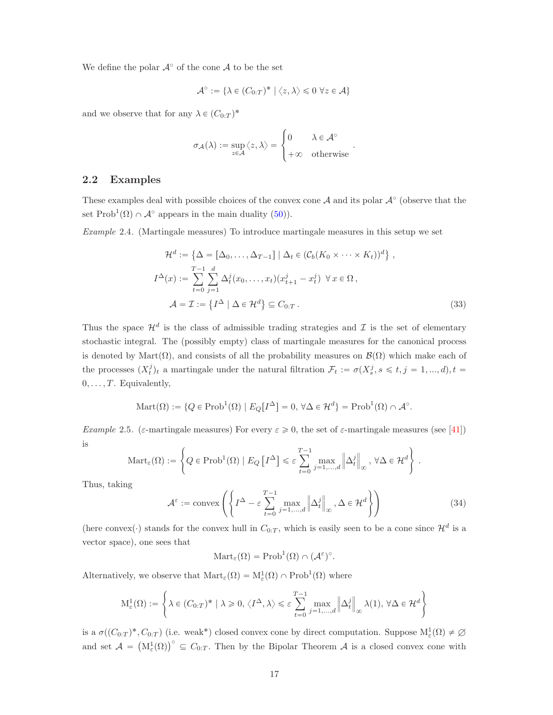We define the polar  $\mathcal{A}^{\circ}$  of the cone  $\mathcal{A}$  to be the set

$$
\mathcal{A}^{\circ} := \{ \lambda \in (C_{0:T})^* \mid \langle z, \lambda \rangle \leq 0 \ \forall z \in \mathcal{A} \}
$$

and we observe that for any  $\lambda \in (C_{0:T})^*$ 

$$
\sigma_{\mathcal{A}}(\lambda) := \sup_{z \in \mathcal{A}} \langle z, \lambda \rangle = \begin{cases} 0 & \lambda \in \mathcal{A}^{\circ} \\ +\infty & \text{otherwise} \end{cases}
$$

#### <span id="page-16-0"></span>2.2 Examples

These examples deal with possible choices of the convex cone  $A$  and its polar  $A^{\circ}$  (observe that the set  $\text{Prob}^1(\Omega) \cap \mathcal{A}^{\circ}$  appears in the main duality [\(50\)](#page-19-2)).

<span id="page-16-2"></span>Example 2.4. (Martingale measures) To introduce martingale measures in this setup we set

$$
\mathcal{H}^{d} := \left\{ \Delta = [\Delta_0, \dots, \Delta_{T-1}] \mid \Delta_t \in (\mathcal{C}_b(K_0 \times \dots \times K_t))^d \right\},
$$
  

$$
I^{\Delta}(x) := \sum_{t=0}^{T-1} \sum_{j=1}^{d} \Delta_t^j(x_0, \dots, x_t)(x_{t+1}^j - x_t^j) \quad \forall x \in \Omega,
$$
  

$$
\mathcal{A} = \mathcal{I} := \left\{ I^{\Delta} \mid \Delta \in \mathcal{H}^d \right\} \subseteq C_{0:T}.
$$
 (33)

<span id="page-16-1"></span>.

Thus the space  $\mathcal{H}^d$  is the class of admissible trading strategies and  $\mathcal I$  is the set of elementary stochastic integral. The (possibly empty) class of martingale measures for the canonical process is denoted by Mart $(\Omega)$ , and consists of all the probability measures on  $\mathcal{B}(\Omega)$  which make each of the processes  $(X_t^j)_t$  a martingale under the natural filtration  $\mathcal{F}_t := \sigma(X_s^j, s \leq t, j = 1, ..., d), t =$  $0, \ldots, T$ . Equivalently,

$$
\text{Mart}(\Omega) := \{ Q \in \text{Prob}^1(\Omega) \mid E_Q[I^{\Delta}] = 0, \forall \Delta \in \mathcal{H}^d \} = \text{Prob}^1(\Omega) \cap \mathcal{A}^{\circ}.
$$

Example 2.5. (ε-martingale measures) For every  $\varepsilon \geqslant 0$ , the set of  $\varepsilon$ -martingale measures (see [\[41\]](#page-55-9)) is

$$
\mathrm{Mart}_{\varepsilon}(\Omega) := \left\{ Q \in \mathrm{Prob}^1(\Omega) \mid E_Q \left[I^{\Delta}\right] \leq \varepsilon \sum_{t=0}^{T-1} \max_{j=1,\dots,d} \left\| \Delta_t^j \right\|_{\infty}, \, \forall \Delta \in \mathcal{H}^d \right\}.
$$

Thus, taking

<span id="page-16-3"></span>
$$
\mathcal{A}^{\varepsilon} := \text{convex}\left( \left\{ I^{\Delta} - \varepsilon \sum_{t=0}^{T-1} \max_{j=1,\dots,d} \left\| \Delta_t^j \right\|_{\infty}, \Delta \in \mathcal{H}^d \right\} \right) \tag{34}
$$

(here convex( $\cdot$ ) stands for the convex hull in  $C_{0:T}$ , which is easily seen to be a cone since  $\mathcal{H}^d$  is a vector space), one sees that

$$
Mart_{\varepsilon}(\Omega) = Prob^{1}(\Omega) \cap (\mathcal{A}^{\varepsilon})^{\circ}.
$$

Alternatively, we observe that  $\text{Mart}_{\varepsilon}(\Omega) = M_{\varepsilon}^1(\Omega) \cap \text{Prob}^1(\Omega)$  where

$$
\mathcal{M}_{\varepsilon}^{1}(\Omega) := \left\{ \lambda \in (C_{0:T})^{*} \mid \lambda \geqslant 0, \langle I^{\Delta}, \lambda \rangle \leqslant \varepsilon \sum_{t=0}^{T-1} \max_{j=1,\dots,d} \left\| \Delta_{t}^{j} \right\|_{\infty} \lambda(1), \, \forall \Delta \in \mathcal{H}^{d} \right\}
$$

is a  $\sigma((C_{0:T})^*, C_{0:T})$  (i.e. weak\*) closed convex cone by direct computation. Suppose  $M_{\varepsilon}^1(\Omega) \neq \emptyset$ and set  $\mathcal{A} = (\mathrm{M}_{\varepsilon}^1(\Omega))^{\circ} \subseteq C_{0:T}$ . Then by the Bipolar Theorem  $\mathcal{A}$  is a closed convex cone with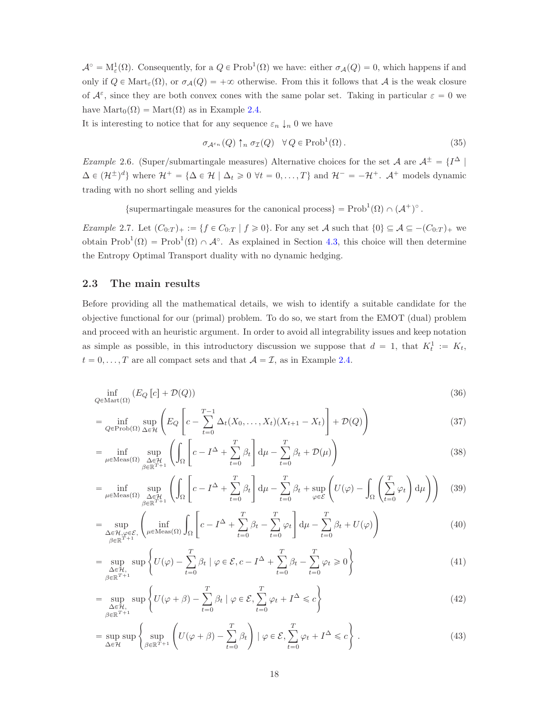$\mathcal{A}^{\circ} = M_{\varepsilon}^{1}(\Omega)$ . Consequently, for a  $Q \in \text{Prob}^{1}(\Omega)$  we have: either  $\sigma_{\mathcal{A}}(Q) = 0$ , which happens if and only if  $Q \in \text{Mart}_{\varepsilon}(\Omega)$ , or  $\sigma_{\mathcal{A}}(Q) = +\infty$  otherwise. From this it follows that A is the weak closure of  $\mathcal{A}^{\varepsilon}$ , since they are both convex cones with the same polar set. Taking in particular  $\varepsilon = 0$  we have  $\text{Mart}_0(\Omega) = \text{Mart}(\Omega)$  as in Example [2.4.](#page-16-2)

It is interesting to notice that for any sequence  $\varepsilon_n \downarrow_n 0$  we have

<span id="page-17-9"></span><span id="page-17-0"></span>
$$
\sigma_{\mathcal{A}^{\varepsilon_n}}(Q) \uparrow_n \sigma_{\mathcal{I}}(Q) \quad \forall Q \in \text{Prob}^1(\Omega).
$$
\n(35)

*Example 2.6.* (Super/submartingale measures) Alternative choices for the set  $A$  are  $A^{\pm} = \{I^{\Delta} \mid$  $\Delta \in (\mathcal{H}^{\pm})^d$  where  $\mathcal{H}^+ = {\Delta \in \mathcal{H} \mid \Delta_t \geq 0 \ \forall t = 0, ..., T}$  and  $\mathcal{H}^- = -\mathcal{H}^+$ .  $\mathcal{A}^+$  models dynamic trading with no short selling and yields

{supermartingale measures for the canonical process} = Prob<sup>1</sup>( $\Omega$ )  $\cap$  ( $\mathcal{A}^+$ )<sup>°</sup>.

<span id="page-17-8"></span>Example 2.7. Let  $(C_{0:T})_+ := \{f \in C_{0:T} \mid f \geq 0\}$ . For any set A such that  $\{0\} \subseteq \mathcal{A} \subseteq -(C_{0:T})_+$  we obtain  $Prob^1(\Omega) = Prob^1(\Omega) \cap \mathcal{A}^{\circ}$ . As explained in Section [4.3,](#page-36-1) this choice will then determine the Entropy Optimal Transport duality with no dynamic hedging.

#### 2.3 The main results

Before providing all the mathematical details, we wish to identify a suitable candidate for the objective functional for our (primal) problem. To do so, we start from the EMOT (dual) problem and proceed with an heuristic argument. In order to avoid all integrability issues and keep notation as simple as possible, in this introductory discussion we suppose that  $d = 1$ , that  $K_t^1 := K_t$ ,  $t = 0, \ldots, T$  are all compact sets and that  $A = \mathcal{I}$ , as in Example [2.4.](#page-16-2)

$$
\inf_{Q \in \text{Mart}(\Omega)} \left( E_Q \left[ c \right] + \mathcal{D}(Q) \right) \tag{36}
$$

$$
= \inf_{Q \in \text{Prob}(\Omega)} \sup_{\Delta \in \mathcal{H}} \left( E_Q \left[ c - \sum_{t=0}^{T-1} \Delta_t (X_0, \dots, X_t) (X_{t+1} - X_t) \right] + \mathcal{D}(Q) \right)
$$
(37)

<span id="page-17-2"></span><span id="page-17-1"></span>
$$
= \inf_{\mu \in \text{Meas}(\Omega)} \sup_{\substack{\Delta \in \mathcal{H} \\ \beta \in \mathbb{R}^{T+1}}} \left( \int_{\Omega} \left[ c - I^{\Delta} + \sum_{t=0}^{T} \beta_t \right] d\mu - \sum_{t=0}^{T} \beta_t + \mathcal{D}(\mu) \right)
$$
(38)

<span id="page-17-3"></span>
$$
= \inf_{\mu \in \text{Meas}(\Omega)} \sup_{\substack{\Delta \in \mathcal{H} \\ \beta \in \mathbb{R}^{T+1}}} \left( \int_{\Omega} \left[ c - I^{\Delta} + \sum_{t=0}^{T} \beta_t \right] d\mu - \sum_{t=0}^{T} \beta_t + \sup_{\varphi \in \mathcal{E}} \left( U(\varphi) - \int_{\Omega} \left( \sum_{t=0}^{T} \varphi_t \right) d\mu \right) \right) \tag{39}
$$

<span id="page-17-4"></span>
$$
= \sup_{\substack{\Delta \in \mathcal{H}, \varphi \in \mathcal{E}, \\ \beta \in \mathbb{R}^{T+1}}} \left( \inf_{\mu \in \text{Meas}(\Omega)} \int_{\Omega} \left[ c - I^{\Delta} + \sum_{t=0}^{T} \beta_t - \sum_{t=0}^{T} \varphi_t \right] d\mu - \sum_{t=0}^{T} \beta_t + U(\varphi) \right)
$$
(40)

<span id="page-17-5"></span>
$$
= \sup_{\substack{\Delta \in \mathcal{H}, \\ \beta \in \mathbb{R}^{T+1}}} \sup \left\{ U(\varphi) - \sum_{t=0}^{T} \beta_t \mid \varphi \in \mathcal{E}, c - I^{\Delta} + \sum_{t=0}^{T} \beta_t - \sum_{t=0}^{T} \varphi_t \ge 0 \right\}
$$
(41)

<span id="page-17-6"></span>
$$
= \sup_{\substack{\Delta \in \mathcal{H}, \\ \beta \in \mathbb{R}^{T+1}}} \sup \left\{ U(\varphi + \beta) - \sum_{t=0}^{T} \beta_t \mid \varphi \in \mathcal{E}, \sum_{t=0}^{T} \varphi_t + I^{\Delta} \leq c \right\}
$$
(42)

<span id="page-17-7"></span>
$$
= \sup_{\Delta \in \mathcal{H}} \sup \left\{ \sup_{\beta \in \mathbb{R}^{T+1}} \left( U(\varphi + \beta) - \sum_{t=0}^{T} \beta_t \right) \mid \varphi \in \mathcal{E}, \sum_{t=0}^{T} \varphi_t + I^{\Delta} \leq c \right\}.
$$
 (43)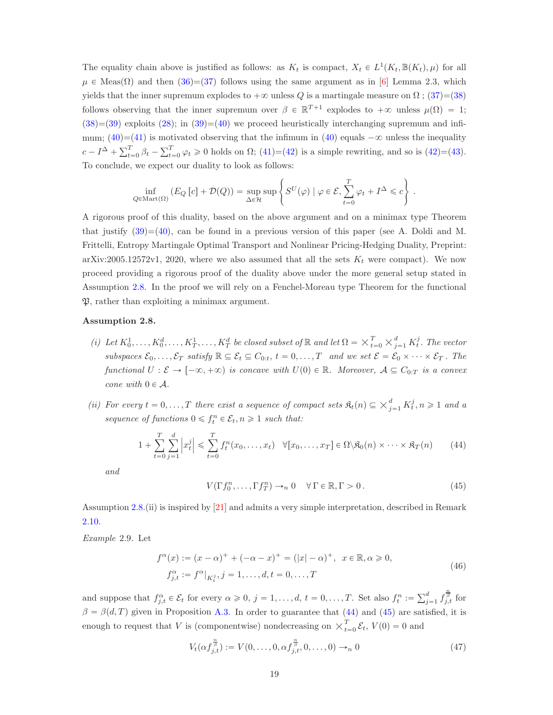The equality chain above is justified as follows: as  $K_t$  is compact,  $X_t \in L^1(K_t, \mathbb{B}(K_t), \mu)$  for all  $\mu \in \text{Meas}(\Omega)$  and then  $(36)=(37)$  $(36)=(37)$  follows using the same argument as in [\[6\]](#page-53-3) Lemma 2.3, which yields that the inner supremum explodes to  $+\infty$  unless Q is a martingale measure on  $\Omega$  ; [\(37\)](#page-17-1)=[\(38\)](#page-17-2) follows observing that the inner supremum over  $\beta \in \mathbb{R}^{T+1}$  explodes to  $+\infty$  unless  $\mu(\Omega) = 1$ ;  $(38)=(39)$  $(38)=(39)$  $(38)=(39)$  exploits  $(28)$ ; in  $(39)=(40)$  $(39)=(40)$  we proceed heuristically interchanging supremum and infi-mum; [\(40\)](#page-17-4)=[\(41\)](#page-17-5) is motivated observing that the infimum in (40) equals  $-\infty$  unless the inequality  $c - I^{\Delta} + \sum_{t=0}^{T} \beta_t - \sum_{t=0}^{T} \varphi_t \ge 0$  holds on  $\Omega$ ; [\(41\)](#page-17-5)=[\(42\)](#page-17-6) is a simple rewriting, and so is [\(42\)](#page-17-6)=[\(43\)](#page-17-7). To conclude, we expect our duality to look as follows:

$$
\inf_{Q \in \text{Mart}(\Omega)} \left( E_Q \left[ c \right] + \mathcal{D}(Q) \right) = \sup_{\Delta \in \mathcal{H}} \sup \left\{ S^U(\varphi) \mid \varphi \in \mathcal{E}, \sum_{t=0}^T \varphi_t + I^\Delta \leqslant c \right\}.
$$

A rigorous proof of this duality, based on the above argument and on a minimax type Theorem that justify  $(39)=(40)$  $(39)=(40)$ , can be found in a previous version of this paper (see A. Doldi and M. Frittelli, Entropy Martingale Optimal Transport and Nonlinear Pricing-Hedging Duality, Preprint: arXiv:2005.12572v1, 2020, where we also assumed that all the sets  $K_t$  were compact). We now proceed providing a rigorous proof of the duality above under the more general setup stated in Assumption [2.8.](#page-18-1) In the proof we will rely on a Fenchel-Moreau type Theorem for the functional P, rather than exploiting a minimax argument.

#### <span id="page-18-1"></span>Assumption 2.8.

- (i) Let  $K_0^1, \ldots, K_0^d, \ldots, K_T^1, \ldots, K_T^d$  be closed subset of  $\mathbb R$  and let  $\Omega = \times_{t=0}^T \times_{j=1}^d K_t^j$ . The vector subspaces  $\mathcal{E}_0, \ldots, \mathcal{E}_T$  satisfy  $\mathbb{R} \subseteq \mathcal{E}_t \subseteq C_{0:t}, t = 0, \ldots, T$  and we set  $\mathcal{E} = \mathcal{E}_0 \times \cdots \times \mathcal{E}_T$ . The functional  $U : \mathcal{E} \to [-\infty, +\infty)$  is concave with  $U(0) \in \mathbb{R}$ . Moreover,  $\mathcal{A} \subseteq C_{0:T}$  is a convex cone with  $0 \in \mathcal{A}$ .
- (ii) For every  $t = 0, \ldots, T$  there exist a sequence of compact sets  $\mathfrak{K}_t(n) \subseteq \times_{j=1}^d K_t^j, n \geq 1$  and a sequence of functions  $0 \leq f_t^n \in \mathcal{E}_t, n \geq 1$  such that:

<span id="page-18-2"></span>
$$
1 + \sum_{t=0}^{T} \sum_{j=1}^{d} \left| x_t^j \right| \leq \sum_{t=0}^{T} f_t^n(x_0, \dots, x_t) \quad \forall [x_0, \dots, x_T] \in \Omega \setminus \mathfrak{K}_0(n) \times \dots \times \mathfrak{K}_T(n) \tag{44}
$$

and

<span id="page-18-0"></span>
$$
V(\Gamma f_0^n, \dots, \Gamma f_T^n) \to_n 0 \quad \forall \Gamma \in \mathbb{R}, \Gamma > 0.
$$
 (45)

Assumption [2.8.](#page-18-1)(ii) is inspired by [\[21\]](#page-54-15) and admits a very simple interpretation, described in Remark [2.10.](#page-19-3)

<span id="page-18-5"></span><span id="page-18-4"></span>Example 2.9. Let

$$
f^{\alpha}(x) := (x - \alpha)^{+} + (-\alpha - x)^{+} = (|x| - \alpha)^{+}, \quad x \in \mathbb{R}, \alpha \ge 0,
$$
  

$$
f^{\alpha}_{j,t} := f^{\alpha}|_{K_t^j}, j = 1, \dots, d, t = 0, \dots, T
$$
 (46)

and suppose that  $f_{j,t}^{\alpha} \in \mathcal{E}_t$  for every  $\alpha \geqslant 0$ ,  $j = 1, \ldots, d$ ,  $t = 0, \ldots, T$ . Set also  $f_t^n := \sum_{j=1}^d f_{j,t}^{\frac{n}{\beta}}$  for  $\beta = \beta(d, T)$  given in Proposition [A.3.](#page-49-0) In order to guarantee that [\(44\)](#page-18-2) and [\(45\)](#page-18-0) are satisfied, it is enough to request that V is (componentwise) nondecreasing on  $\times_{t=0}^{T} \mathcal{E}_t$ ,  $V(0) = 0$  and

<span id="page-18-3"></span>
$$
V_t(\alpha f_{j,t}^{\frac{n}{\beta}}) := V(0, \dots, 0, \alpha f_{j,t}^{\frac{n}{\beta}}, 0, \dots, 0) \to_n 0
$$
\n(47)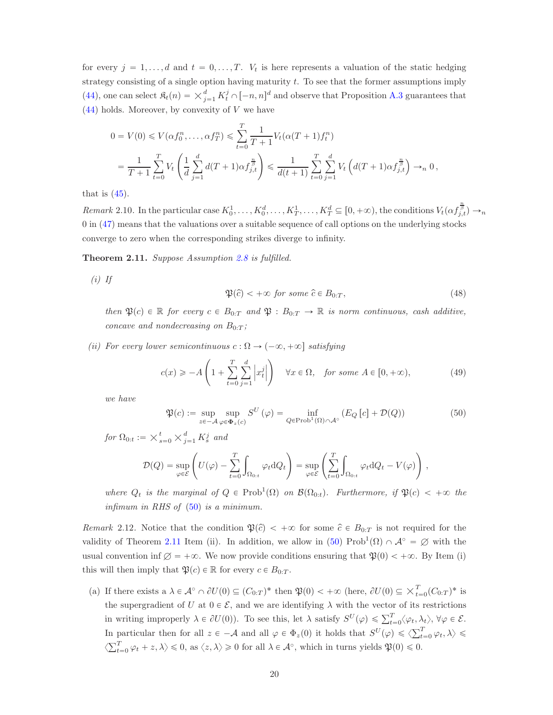for every  $j = 1, \ldots, d$  and  $t = 0, \ldots, T$ .  $V_t$  is here represents a valuation of the static hedging strategy consisting of a single option having maturity t. To see that the former assumptions imply [\(44\)](#page-18-2), one can select  $\mathfrak{K}_t(n) = \times_{j=1}^d K_t^j \cap [-n, n]^d$  and observe that Proposition [A.3](#page-49-0) guarantees that  $(44)$  holds. Moreover, by convexity of V we have

$$
0 = V(0) \leq V(\alpha f_0^n, \dots, \alpha f_T^n) \leq \sum_{t=0}^T \frac{1}{T+1} V_t(\alpha(T+1) f_t^n)
$$
  
= 
$$
\frac{1}{T+1} \sum_{t=0}^T V_t \left( \frac{1}{d} \sum_{j=1}^d d(T+1) \alpha f_{j,t}^{\frac{n}{\beta}} \right) \leq \frac{1}{d(t+1)} \sum_{t=0}^T \sum_{j=1}^d V_t \left( d(T+1) \alpha f_{j,t}^{\frac{n}{\beta}} \right) \to_n 0,
$$

that is  $(45)$ .

<span id="page-19-3"></span>Remark 2.10. In the particular case  $K_0^1, \ldots, K_0^d, \ldots, K_T^1, \ldots, K_T^d \subseteq [0, +\infty)$ , the conditions  $V_t(\alpha f_{j,t}^{\frac{n}{\beta}}) \to_n$ 0 in [\(47\)](#page-18-3) means that the valuations over a suitable sequence of call options on the underlying stocks converge to zero when the corresponding strikes diverge to infinity.

<span id="page-19-0"></span>Theorem 2.11. Suppose Assumption [2.8](#page-18-1) is fulfilled.

 $(i)$  If

<span id="page-19-4"></span>
$$
\mathfrak{P}(\hat{c}) < +\infty \text{ for some } \hat{c} \in B_{0:T},\tag{48}
$$

then  $\mathfrak{P}(c) \in \mathbb{R}$  for every  $c \in B_{0:T}$  and  $\mathfrak{P} : B_{0:T} \to \mathbb{R}$  is norm continuous, cash additive, concave and nondecreasing on  $B_{0:T}$ ;

(ii) For every lower semicontinuous  $c : \Omega \to (-\infty, +\infty]$  satisfying

<span id="page-19-1"></span>
$$
c(x) \ge -A\left(1 + \sum_{t=0}^{T} \sum_{j=1}^{d} \left| x_t^j \right| \right) \quad \forall x \in \Omega, \quad \text{for some } A \in [0, +\infty), \tag{49}
$$

we have

<span id="page-19-2"></span>
$$
\mathfrak{P}(c) := \sup_{z \in -\mathcal{A}} \sup_{\varphi \in \Phi_z(c)} S^U(\varphi) = \inf_{Q \in \text{Prob}^1(\Omega) \cap \mathcal{A}^\circ} \left( E_Q \left[ c \right] + \mathcal{D}(Q) \right) \tag{50}
$$

for  $\Omega_{0:t} := \times_{s=0}^t \times_{j=1}^d K_s^j$  and

$$
\mathcal{D}(Q) = \sup_{\varphi \in \mathcal{E}} \left( U(\varphi) - \sum_{t=0}^T \int_{\Omega_{0:t}} \varphi_t \, dQ_t \right) = \sup_{\varphi \in \mathcal{E}} \left( \sum_{t=0}^T \int_{\Omega_{0:t}} \varphi_t \, dQ_t - V(\varphi) \right),
$$

where  $Q_t$  is the marginal of  $Q \in Prob^1(\Omega)$  on  $\mathcal{B}(\Omega_{0:t})$ . Furthermore, if  $\mathfrak{P}(c) < +\infty$  the infimum in RHS of  $(50)$  is a minimum.

Remark 2.12. Notice that the condition  $\mathfrak{P}(\hat{c}) < +\infty$  for some  $\hat{c} \in B_{0:T}$  is not required for the validity of Theorem [2.11](#page-19-0) Item (ii). In addition, we allow in  $(50)$  Prob<sup>1</sup> $(\Omega) \cap \mathcal{A}^{\circ} = \emptyset$  with the usual convention inf  $\emptyset = +\infty$ . We now provide conditions ensuring that  $\mathfrak{P}(0) < +\infty$ . By Item (i) this will then imply that  $\mathfrak{P}(c) \in \mathbb{R}$  for every  $c \in B_{0:T}$ .

(a) If there exists a  $\lambda \in \mathcal{A}^{\circ} \cap \partial U(0) \subseteq (C_{0:T})^*$  then  $\mathfrak{P}(0) < +\infty$  (here,  $\partial U(0) \subseteq \times_{t=0}^{T} (C_{0:T})^*$  is the supergradient of U at  $0 \in \mathcal{E}$ , and we are identifying  $\lambda$  with the vector of its restrictions in writing improperly  $\lambda \in \partial U(0)$ . To see this, let  $\lambda$  satisfy  $S^U(\varphi) \leq \sum_{t=0}^T \langle \varphi_t, \lambda_t \rangle$ ,  $\forall \varphi \in \mathcal{E}$ . In particular then for all  $z \in -A$  and all  $\varphi \in \Phi_z(0)$  it holds that  $S^U(\varphi) \leq \langle \sum_{t=0}^T \varphi_t, \lambda \rangle \leq$  $\langle \sum_{t=0}^{T} \varphi_t + z, \lambda \rangle \leq 0$ , as  $\langle z, \lambda \rangle \geq 0$  for all  $\lambda \in \mathcal{A}^{\circ}$ , which in turns yields  $\mathfrak{P}(0) \leq 0$ .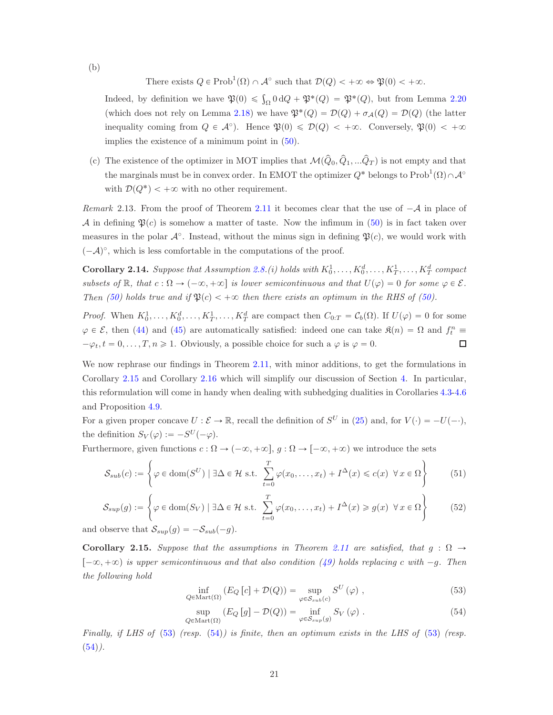There exists  $Q \in \text{Prob}^1(\Omega) \cap \mathcal{A}^{\circ}$  such that  $\mathcal{D}(Q) < +\infty \Leftrightarrow \mathfrak{P}(0) < +\infty$ .

Indeed, by definition we have  $\mathfrak{P}(0) \leq \int_{\Omega} 0 dQ + \mathfrak{P}^*(Q) = \mathfrak{P}^*(Q)$ , but from Lemma [2.20](#page-23-0) (which does not rely on Lemma [2.18\)](#page-22-0) we have  $\mathfrak{P}^*(Q) = \mathcal{D}(Q) + \sigma_{\mathcal{A}}(Q) = \mathcal{D}(Q)$  (the latter inequality coming from  $Q \in \mathcal{A}^{\circ}$ . Hence  $\mathfrak{P}(0) \leq \mathcal{D}(Q) < +\infty$ . Conversely,  $\mathfrak{P}(0) < +\infty$ implies the existence of a minimum point in  $(50)$ .

(c) The existence of the optimizer in MOT implies that  $\mathcal{M}(\hat{Q}_0, \hat{Q}_1, ... \hat{Q}_T)$  is not empty and that the marginals must be in convex order. In EMOT the optimizer  $Q^*$  belongs to  $\text{Prob}^1(\Omega) \cap \mathcal{A}^{\circ}$ with  $\mathcal{D}(Q^*) < +\infty$  with no other requirement.

<span id="page-20-0"></span>Remark 2.13. From the proof of Theorem [2.11](#page-19-0) it becomes clear that the use of  $-\mathcal{A}$  in place of A in defining  $\mathfrak{P}(c)$  is somehow a matter of taste. Now the infimum in [\(50\)](#page-19-2) is in fact taken over measures in the polar  $\mathcal{A}^{\circ}$ . Instead, without the minus sign in defining  $\mathfrak{P}(c)$ , we would work with  $(-A)^\circ$ , which is less comfortable in the computations of the proof.

<span id="page-20-4"></span>**Corollary 2.14.** Suppose that Assumption [2.8.](#page-18-1)(i) holds with  $K_0^1, \ldots, K_0^d, \ldots, K_T^1, \ldots, K_T^d$  compact subsets of  $\mathbb{R}$ , that  $c : \Omega \to (-\infty, +\infty]$  is lower semicontinuous and that  $U(\varphi) = 0$  for some  $\varphi \in \mathcal{E}$ . Then [\(50\)](#page-19-2) holds true and if  $\mathfrak{P}(c) < +\infty$  then there exists an optimum in the RHS of (50).

*Proof.* When  $K_0^1, \ldots, K_0^d, \ldots, K_T^1, \ldots, K_T^d$  are compact then  $C_{0:T} = C_b(\Omega)$ . If  $U(\varphi) = 0$  for some  $\varphi \in \mathcal{E}$ , then [\(44\)](#page-18-2) and [\(45\)](#page-18-0) are automatically satisfied: indeed one can take  $\Re(n) = \Omega$  and  $f_t^n \equiv$  $-\varphi_t, t = 0, \ldots, T, n \geq 1$ . Obviously, a possible choice for such a  $\varphi$  is  $\varphi = 0$ .  $\Box$ 

We now rephrase our findings in Theorem [2.11,](#page-19-0) with minor additions, to get the formulations in Corollary [2.15](#page-20-1) and Corollary [2.16](#page-21-0) which will simplify our discussion of Section [4.](#page-33-1) In particular, this reformulation will come in handy when dealing with subhedging dualities in Corollaries [4.3](#page-34-1)[-4.6](#page-36-0) and Proposition [4.9.](#page-38-0)

For a given proper concave  $U : \mathcal{E} \to \mathbb{R}$ , recall the definition of  $S^U$  in [\(25\)](#page-10-2) and, for  $V(\cdot) = -U(-\cdot)$ , the definition  $S_V(\varphi) := -S^U(-\varphi)$ .

Furthermore, given functions  $c : \Omega \to (-\infty, +\infty]$ ,  $g : \Omega \to [-\infty, +\infty)$  we introduce the sets

<span id="page-20-5"></span>
$$
S_{sub}(c) := \left\{ \varphi \in \text{dom}(S^U) \mid \exists \Delta \in \mathcal{H} \text{ s.t. } \sum_{t=0}^T \varphi(x_0, \dots, x_t) + I^{\Delta}(x) \leq c(x) \ \forall x \in \Omega \right\}
$$
(51)

<span id="page-20-6"></span>
$$
S_{sup}(g) := \left\{ \varphi \in \text{dom}(S_V) \mid \exists \Delta \in \mathcal{H} \text{ s.t. } \sum_{t=0}^{T} \varphi(x_0, \dots, x_t) + I^{\Delta}(x) \geq g(x) \ \forall x \in \Omega \right\}
$$
(52)

and observe that  $S_{sup}(g) = -S_{sub}(-g)$ .

<span id="page-20-1"></span>Corollary 2.15. Suppose that the assumptions in Theorem [2.11](#page-19-0) are satisfied, that  $g : \Omega \to$  $[-\infty, +\infty)$  is upper semicontinuous and that also condition [\(49\)](#page-19-1) holds replacing c with  $-g$ . Then the following hold

<span id="page-20-2"></span>
$$
\inf_{Q \in \text{Mart}(\Omega)} \left( E_Q \left[ c \right] + \mathcal{D}(Q) \right) = \sup_{\varphi \in \mathcal{S}_{sub}(c)} S^U \left( \varphi \right) ,\tag{53}
$$

<span id="page-20-3"></span>
$$
\sup_{Q \in \text{Mart}(\Omega)} \left( E_Q \left[ g \right] - \mathcal{D}(Q) \right) = \inf_{\varphi \in S_{sup}(g)} S_V \left( \varphi \right) . \tag{54}
$$

Finally, if LHS of [\(53\)](#page-20-2) (resp. [\(54\)](#page-20-3)) is finite, then an optimum exists in the LHS of (53) (resp.  $(54)$ .

(b)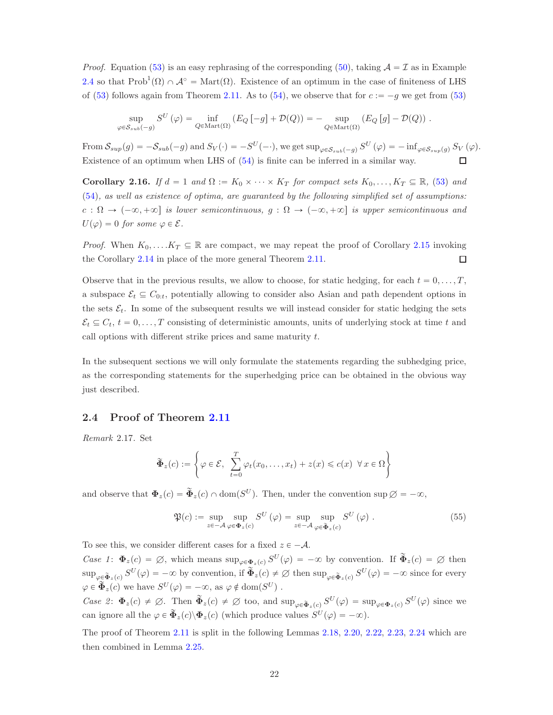*Proof.* Equation [\(53\)](#page-20-2) is an easy rephrasing of the corresponding [\(50\)](#page-19-2), taking  $A = I$  as in Example [2.4](#page-16-2) so that  $Prob^1(\Omega) \cap \mathcal{A}^{\circ} = Mart(\Omega)$ . Existence of an optimum in the case of finiteness of LHS of [\(53\)](#page-20-2) follows again from Theorem [2.11.](#page-19-0) As to [\(54\)](#page-20-3), we observe that for  $c := -g$  we get from (53)

$$
\sup_{\varphi \in S_{sub}(-g)} S^U(\varphi) = \inf_{Q \in \text{Mart}(\Omega)} \left( E_Q \left[ -g \right] + \mathcal{D}(Q) \right) = - \sup_{Q \in \text{Mart}(\Omega)} \left( E_Q \left[ g \right] - \mathcal{D}(Q) \right) .
$$

From  $S_{sup}(g) = -S_{sub}(-g)$  and  $S_V(\cdot) = -S^U(-\cdot)$ , we get  $\sup_{\varphi \in S_{sub}(-g)} S^U(\varphi) = -\inf_{\varphi \in S_{sup}(g)} S_V(\varphi)$ . Existence of an optimum when LHS of [\(54\)](#page-20-3) is finite can be inferred in a similar way.  $\Box$ 

<span id="page-21-0"></span>**Corollary 2.16.** If  $d = 1$  and  $\Omega := K_0 \times \cdots \times K_T$  for compact sets  $K_0, \ldots, K_T \subseteq \mathbb{R}$ , [\(53\)](#page-20-2) and [\(54\)](#page-20-3), as well as existence of optima, are guaranteed by the following simplified set of assumptions:  $c : \Omega \to (-\infty, +\infty]$  is lower semicontinuous,  $g : \Omega \to (-\infty, +\infty]$  is upper semicontinuous and  $U(\varphi) = 0$  for some  $\varphi \in \mathcal{E}$ .

*Proof.* When  $K_0, \ldots, K_T \subseteq \mathbb{R}$  are compact, we may repeat the proof of Corollary [2.15](#page-20-1) invoking the Corollary [2.14](#page-20-4) in place of the more general Theorem [2.11.](#page-19-0)  $\Box$ 

Observe that in the previous results, we allow to choose, for static hedging, for each  $t = 0, \ldots, T$ , a subspace  $\mathcal{E}_t \subseteq C_{0:t}$ , potentially allowing to consider also Asian and path dependent options in the sets  $\mathcal{E}_t$ . In some of the subsequent results we will instead consider for static hedging the sets  $\mathcal{E}_t \subseteq C_t$ ,  $t = 0, \ldots, T$  consisting of deterministic amounts, units of underlying stock at time t and call options with different strike prices and same maturity  $t$ .

In the subsequent sections we will only formulate the statements regarding the subhedging price, as the corresponding statements for the superhedging price can be obtained in the obvious way just described.

## 2.4 Proof of Theorem [2.11](#page-19-0)

Remark 2.17. Set

$$
\widetilde{\Phi}_z(c) := \left\{ \varphi \in \mathcal{E}, \sum_{t=0}^T \varphi_t(x_0, \dots, x_t) + z(x) \leq c(x) \ \forall x \in \Omega \right\}
$$

and observe that  $\Phi_z(c) = \tilde{\Phi}_z(c) \cap \text{dom}(S^U)$ . Then, under the convention sup  $\emptyset = -\infty$ ,

<span id="page-21-1"></span>
$$
\mathfrak{P}(c) := \sup_{z \in -\mathcal{A}} \sup_{\varphi \in \Phi_z(c)} S^U(\varphi) = \sup_{z \in -\mathcal{A}} \sup_{\varphi \in \widetilde{\Phi}_z(c)} S^U(\varphi) .
$$
\n(55)

To see this, we consider different cases for a fixed  $z \in -A$ .

Case 1:  $\Phi_z(c) = \emptyset$ , which means  $\sup_{\varphi \in \Phi_z(c)} S^U(\varphi) = -\infty$  by convention. If  $\tilde{\Phi}_z(c) = \emptyset$  then  $\sup_{\varphi\in \widetilde{\Phi}_z(c)} S^U(\varphi) = -\infty$  by convention, if  $\widetilde{\Phi}_z(c) \neq \varnothing$  then  $\sup_{\varphi\in \widetilde{\Phi}_z(c)} S^U(\varphi) = -\infty$  since for every  $\varphi \in \tilde{\Phi}_z(c)$  we have  $S^U(\varphi) = -\infty$ , as  $\varphi \notin \text{dom}(S^U)$ .

Case 2:  $\Phi_z(c) \neq \emptyset$ . Then  $\widetilde{\Phi}_z(c) \neq \emptyset$  too, and  $\sup_{\varphi \in \widetilde{\Phi}_z(c)} S^U(\varphi) = \sup_{\varphi \in \Phi_z(c)} S^U(\varphi)$  since we can ignore all the  $\varphi \in \tilde{\Phi}_z(c) \backslash \Phi_z(c)$  (which produce values  $S^U(\varphi) = -\infty$ ).

The proof of Theorem [2.11](#page-19-0) is split in the following Lemmas [2.18,](#page-22-0) [2.20,](#page-23-0) [2.22,](#page-24-0) [2.23,](#page-24-1) [2.24](#page-25-0) which are then combined in Lemma [2.25.](#page-25-1)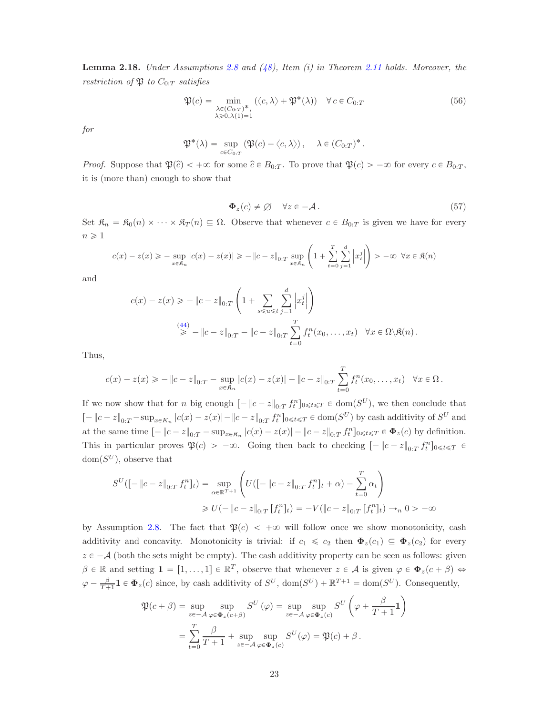<span id="page-22-0"></span>**Lemma 2.18.** Under Assumptions [2.8](#page-18-1) and  $(48)$ , Item  $(i)$  in Theorem [2.11](#page-19-0) holds. Moreover, the restriction of  $\mathfrak{P}$  to  $C_{0:T}$  satisfies

<span id="page-22-2"></span>
$$
\mathfrak{P}(c) = \min_{\substack{\lambda \in (C_0, T)^*, \\ \lambda \ge 0, \lambda(1) = 1}} (\langle c, \lambda \rangle + \mathfrak{P}^*(\lambda)) \quad \forall \, c \in C_{0:T}
$$
\n
$$
(56)
$$

for

$$
\mathfrak{P}^*(\lambda) = \sup_{c \in C_{0:T}} (\mathfrak{P}(c) - \langle c, \lambda \rangle), \quad \lambda \in (C_{0:T})^*.
$$

*Proof.* Suppose that  $\mathfrak{P}(\hat{c}) < +\infty$  for some  $\hat{c} \in B_{0:T}$ . To prove that  $\mathfrak{P}(c) > -\infty$  for every  $c \in B_{0:T}$ , it is (more than) enough to show that

<span id="page-22-1"></span>
$$
\Phi_z(c) \neq \emptyset \quad \forall z \in -\mathcal{A} \,. \tag{57}
$$

Set  $\mathfrak{K}_n = \mathfrak{K}_0(n) \times \cdots \times \mathfrak{K}_T(n) \subseteq \Omega$ . Observe that whenever  $c \in B_{0:T}$  is given we have for every  $n \geqslant 1$ 

$$
c(x) - z(x) \ge - \sup_{x \in \mathfrak{K}_n} |c(x) - z(x)| \ge - \|c - z\|_{0:T} \sup_{x \in \mathfrak{K}_n} \left( 1 + \sum_{t=0}^T \sum_{j=1}^d \left| x_t^j \right| \right) > -\infty \ \forall x \in \mathfrak{K}(n)
$$

and

$$
c(x) - z(x) \ge - \|c - z\|_{0:T} \left( 1 + \sum_{s \le u \le t} \sum_{j=1}^d \left| x_t^j \right| \right)
$$
  
\n
$$
\stackrel{(44)}{\ge} - \|c - z\|_{0:T} - \|c - z\|_{0:T} \sum_{t=0}^T f_t^n(x_0, \dots, x_t) \quad \forall x \in \Omega \setminus \mathfrak{K}(n).
$$

Thus,

$$
c(x) - z(x) \ge - \|c - z\|_{0:T} - \sup_{x \in \mathfrak{K}_n} |c(x) - z(x)| - \|c - z\|_{0:T} \sum_{t=0}^T f^n_t(x_0, \dots, x_t) \quad \forall x \in \Omega.
$$

If we now show that for *n* big enough  $[-\|c - z\|_{0:T} f_t^n]_{0 \le t \le T} \in \text{dom}(S^U)$ , we then conclude that  $[-\|c-z\|_{0:T} - \sup_{x \in K_n} |c(x) - z(x)| - \|c-z\|_{0:T} f_t^n]_{0 \le t \le T} \in \text{dom}(S^U)$  by cash additivity of  $S^U$  and at the same time  $\left[-\|c-z\|_{0:T} - \sup_{x \in \mathfrak{K}_n} |c(x) - z(x)| - \|c-z\|_{0:T} f_t^n\right]_{0 \le t \le T} \in \Phi_z(c)$  by definition. This in particular proves  $\mathfrak{P}(c) > -\infty$ . Going then back to checking  $[-\|c-z\|_{0:T} f_t^n]_{0 \leq t \leq T} \in$  $dom(S^U)$ , observe that

$$
S^{U}([ - \|c - z\|_{0:T} f_t^n]_t) = \sup_{\alpha \in \mathbb{R}^{T+1}} \left( U([ - \|c - z\|_{0:T} f_t^n]_t + \alpha) - \sum_{t=0}^T \alpha_t \right)
$$
  
\n
$$
\geq U(- \|c - z\|_{0:T} [f_t^n]_t) = -V(\|c - z\|_{0:T} [f_t^n]_t) \to_n 0 > -\infty
$$

by Assumption [2.8.](#page-18-1) The fact that  $\mathfrak{P}(c) < +\infty$  will follow once we show monotonicity, cash additivity and concavity. Monotonicity is trivial: if  $c_1 \leq c_2$  then  $\Phi_z(c_1) \subseteq \Phi_z(c_2)$  for every  $z \in -\mathcal{A}$  (both the sets might be empty). The cash additivity property can be seen as follows: given  $\beta \in \mathbb{R}$  and setting  $\mathbf{1} = [1, ..., 1] \in \mathbb{R}^T$ , observe that whenever  $z \in \mathcal{A}$  is given  $\varphi \in \Phi_z(c + \beta) \Leftrightarrow$  $\varphi - \frac{\beta}{T+1} \mathbf{1} \in \Phi_z(c)$  since, by cash additivity of  $S^U$ ,  $dom(S^U) + \mathbb{R}^{T+1} = dom(S^U)$ . Consequently,

$$
\mathfrak{P}(c+\beta) = \sup_{z \in -\mathcal{A}} \sup_{\varphi \in \Phi_z(c+\beta)} S^U(\varphi) = \sup_{z \in -\mathcal{A}} \sup_{\varphi \in \Phi_z(c)} S^U(\varphi + \frac{\beta}{T+1})
$$

$$
= \sum_{t=0}^T \frac{\beta}{T+1} + \sup_{z \in -\mathcal{A}} \sup_{\varphi \in \Phi_z(c)} S^U(\varphi) = \mathfrak{P}(c) + \beta.
$$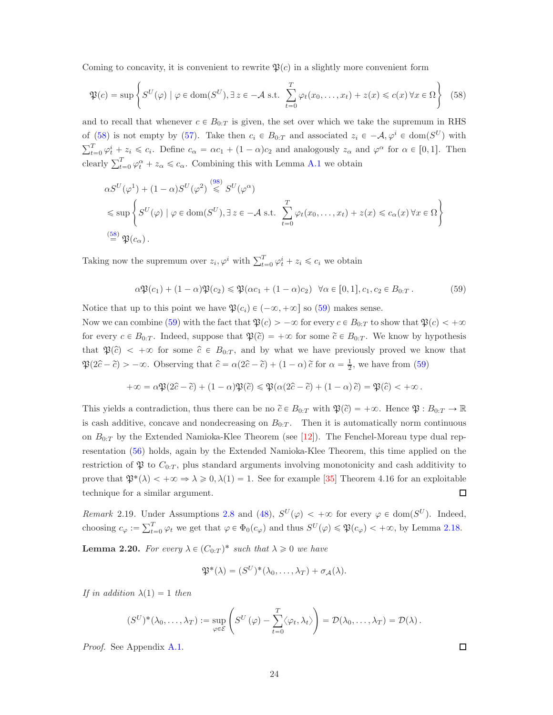Coming to concavity, it is convenient to rewrite  $\mathfrak{P}(c)$  in a slightly more convenient form

<span id="page-23-1"></span>
$$
\mathfrak{P}(c) = \sup \left\{ S^U(\varphi) \mid \varphi \in \text{dom}(S^U), \exists z \in -\mathcal{A} \text{ s.t. } \sum_{t=0}^T \varphi_t(x_0, \dots, x_t) + z(x) \leq c(x) \,\forall x \in \Omega \right\} \tag{58}
$$

and to recall that whenever  $c \in B_{0:T}$  is given, the set over which we take the supremum in RHS of [\(58\)](#page-23-1) is not empty by [\(57\)](#page-22-1). Take then  $c_i \in B_{0:T}$  and associated  $z_i \in -A, \varphi^i \in \text{dom}(S^U)$  with  $\sum_{t=0}^{T} \varphi_t^i + z_i \leq c_i$ . Define  $c_{\alpha} = \alpha c_1 + (1 - \alpha)c_2$  and analogously  $z_{\alpha}$  and  $\varphi^{\alpha}$  for  $\alpha \in [0, 1]$ . Then clearly  $\sum_{t=0}^{T} \varphi_t^{\alpha} + z_{\alpha} \leq c_{\alpha}$ . Combining this with Lemma [A.1](#page-47-0) we obtain

$$
\alpha S^{U}(\varphi^{1}) + (1 - \alpha)S^{U}(\varphi^{2}) \stackrel{(98)}{\leq} S^{U}(\varphi^{\alpha})
$$
  
\n
$$
\leq \sup \left\{ S^{U}(\varphi) \mid \varphi \in \text{dom}(S^{U}), \exists z \in -A \text{ s.t. } \sum_{t=0}^{T} \varphi_{t}(x_{0}, \dots, x_{t}) + z(x) \leq c_{\alpha}(x) \forall x \in \Omega \right\}
$$
  
\n
$$
\stackrel{(58)}{=} \mathfrak{P}(c_{\alpha}).
$$

Taking now the supremum over  $z_i, \varphi^i$  with  $\sum_{t=0}^T \varphi^i_t + z_i \leq c_i$  we obtain

<span id="page-23-2"></span>
$$
\alpha \mathfrak{P}(c_1) + (1 - \alpha) \mathfrak{P}(c_2) \le \mathfrak{P}(\alpha c_1 + (1 - \alpha)c_2) \quad \forall \alpha \in [0, 1], c_1, c_2 \in B_{0:T}.
$$
 (59)

Notice that up to this point we have  $\mathfrak{P}(c_i) \in (-\infty, +\infty]$  so [\(59\)](#page-23-2) makes sense.

Now we can combine [\(59\)](#page-23-2) with the fact that  $\mathfrak{P}(c) > -\infty$  for every  $c \in B_{0:T}$  to show that  $\mathfrak{P}(c) < +\infty$ for every  $c \in B_{0:T}$ . Indeed, suppose that  $\mathfrak{P}(\tilde{c}) = +\infty$  for some  $\tilde{c} \in B_{0:T}$ . We know by hypothesis that  $\mathfrak{P}(\hat{c}) < +\infty$  for some  $\hat{c} \in B_{0:T}$ , and by what we have previously proved we know that  $\mathfrak{P}(2\hat{c} - \tilde{c}) > -\infty$ . Observing that  $\hat{c} = \alpha(2\hat{c} - \tilde{c}) + (1 - \alpha)\tilde{c}$  for  $\alpha = \frac{1}{2}$ , we have from [\(59\)](#page-23-2)

$$
+\infty = \alpha \mathfrak{P}(2\hat{c} - \tilde{c}) + (1 - \alpha) \mathfrak{P}(\tilde{c}) \leq \mathfrak{P}(\alpha(2\hat{c} - \tilde{c}) + (1 - \alpha)\tilde{c}) = \mathfrak{P}(\hat{c}) < +\infty.
$$

This yields a contradiction, thus there can be no  $\tilde{c} \in B_{0:T}$  with  $\mathfrak{P}(\tilde{c}) = +\infty$ . Hence  $\mathfrak{P} : B_{0:T} \to \mathbb{R}$ is cash additive, concave and nondecreasing on  $B_{0:T}$ . Then it is automatically norm continuous on  $B_{0:T}$  by the Extended Namioka-Klee Theorem (see [\[12\]](#page-53-11)). The Fenchel-Moreau type dual representation [\(56\)](#page-22-2) holds, again by the Extended Namioka-Klee Theorem, this time applied on the restriction of  $\mathfrak P$  to  $C_{0:T}$ , plus standard arguments involving monotonicity and cash additivity to prove that  $\mathfrak{P}^*(\lambda) < +\infty \Rightarrow \lambda \geq 0, \lambda(1) = 1$ . See for example [\[35\]](#page-55-15) Theorem 4.16 for an exploitable technique for a similar argument.  $\Box$ 

Remark 2.19. Under Assumptions [2.8](#page-18-1) and [\(48\)](#page-19-4),  $S^{U}(\varphi) < +\infty$  for every  $\varphi \in \text{dom}(S^{U})$ . Indeed, choosing  $c_{\varphi} := \sum_{t=0}^{T} \varphi_t$  we get that  $\varphi \in \Phi_0(c_{\varphi})$  and thus  $S^U(\varphi) \leq \mathfrak{P}(c_{\varphi}) < +\infty$ , by Lemma [2.18.](#page-22-0)

<span id="page-23-0"></span>**Lemma 2.20.** For every  $\lambda \in (C_{0:T})^*$  such that  $\lambda \geq 0$  we have

$$
\mathfrak{P}^*(\lambda)=(S^U)^*(\lambda_0,\ldots,\lambda_T)+\sigma_{\mathcal{A}}(\lambda).
$$

If in addition  $\lambda(1) = 1$  then

$$
(S^U)^*(\lambda_0,\ldots,\lambda_T) := \sup_{\varphi \in \mathcal{E}} \left( S^U(\varphi) - \sum_{t=0}^T \langle \varphi_t, \lambda_t \rangle \right) = \mathcal{D}(\lambda_0,\ldots,\lambda_T) = \mathcal{D}(\lambda).
$$

Proof. See Appendix [A.1.](#page-52-0)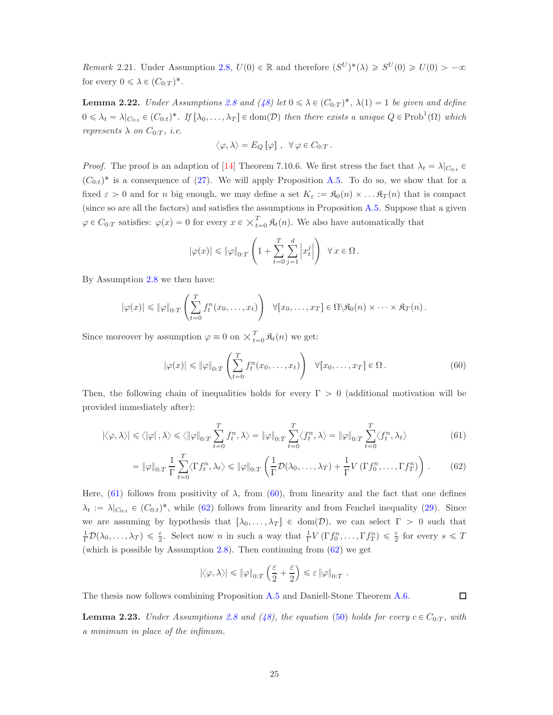<span id="page-24-5"></span>Remark 2.21. Under Assumption [2.8,](#page-18-1)  $U(0) \in \mathbb{R}$  and therefore  $(S^U)^*(\lambda) \geq S^U(0) \geq U(0) > -\infty$ for every  $0 \leq \lambda \in (C_{0:T})^*$ .

<span id="page-24-0"></span>**Lemma 2.22.** Under Assumptions [2.8](#page-18-1) and [\(48\)](#page-19-4) let  $0 \le \lambda \in (C_{0:T})^*$ ,  $\lambda(1) = 1$  be given and define  $0 \leq \lambda_t = \lambda|_{C_{0:t}} \in (C_{0:t})^*$ . If  $[\lambda_0, \ldots, \lambda_T] \in \text{dom}(\mathcal{D})$  then there exists a unique  $Q \in \text{Prob}^1(\Omega)$  which represents  $\lambda$  on  $C_{0:T}$ , *i.e.* 

$$
\langle \varphi, \lambda \rangle = E_Q \left[ \varphi \right], \ \ \forall \ \varphi \in C_{0:T} .
$$

*Proof.* The proof is an adaption of [\[14\]](#page-53-12) Theorem 7.10.6. We first stress the fact that  $\lambda_t = \lambda |_{C_{0:t}} \in$  $(C_{0:t})^*$  is a consequence of [\(27\)](#page-13-0). We will apply Proposition [A.5.](#page-50-0) To do so, we show that for a fixed  $\varepsilon > 0$  and for n big enough, we may define a set  $K_{\varepsilon} := \mathfrak{K}_0(n) \times \dots \mathfrak{K}_T(n)$  that is compact (since so are all the factors) and satisfies the assumptions in Proposition [A.5.](#page-50-0) Suppose that a given  $\varphi \in C_{0:T}$  satisfies:  $\varphi(x) = 0$  for every  $x \in \chi_{t=0}^T \mathfrak{K}_t(n)$ . We also have automatically that

$$
|\varphi(x)| \leq \|\varphi\|_{0:T} \left(1 + \sum_{t=0}^T \sum_{j=1}^d \left|x_t^j\right|\right) \ \ \forall \, x \in \Omega.
$$

By Assumption [2.8](#page-18-1) we then have:

$$
|\varphi(x)| \leq ||\varphi||_{0:T} \left(\sum_{t=0}^T f_t^n(x_0,\ldots,x_t)\right) \quad \forall [x_0,\ldots,x_T] \in \Omega \setminus \mathfrak{K}_0(n) \times \cdots \times \mathfrak{K}_T(n).
$$

Since moreover by assumption  $\varphi \equiv 0$  on  $\times_{t=0}^{T}$   $\mathfrak{K}_{t}(n)$  we get:

<span id="page-24-3"></span>
$$
|\varphi(x)| \leqslant \|\varphi\|_{0:T} \left(\sum_{t=0}^T f^n_t(x_0,\ldots,x_t)\right) \quad \forall [x_0,\ldots,x_T] \in \Omega \,.
$$
 (60)

Then, the following chain of inequalities holds for every  $\Gamma > 0$  (additional motivation will be provided immediately after):

$$
|\langle \varphi, \lambda \rangle| \le \langle |\varphi|, \lambda \rangle \le \langle |\varphi|_{0:T} \sum_{t=0}^{T} f_t^n, \lambda \rangle = \|\varphi\|_{0:T} \sum_{t=0}^{T} \langle f_t^n, \lambda \rangle = \|\varphi\|_{0:T} \sum_{t=0}^{T} \langle f_t^n, \lambda_t \rangle
$$
 (61)

$$
= \|\varphi\|_{0:T} \frac{1}{\Gamma} \sum_{t=0}^{T} \langle \Gamma f_t^n, \lambda_t \rangle \le \|\varphi\|_{0:T} \left(\frac{1}{\Gamma} \mathcal{D}(\lambda_0, \dots, \lambda_T) + \frac{1}{\Gamma} V(\Gamma f_0^n, \dots, \Gamma f_T^n)\right). \tag{62}
$$

Here, [\(61\)](#page-24-2) follows from positivity of  $\lambda$ , from [\(60\)](#page-24-3), from linearity and the fact that one defines  $\lambda_t := \lambda|_{C_{0:t}} \in (C_{0:t})^*$ , while [\(62\)](#page-24-4) follows from linearity and from Fenchel inequality [\(29\)](#page-14-1). Since we are assuming by hypothesis that  $[\lambda_0, \ldots, \lambda_T] \in \text{dom}(\mathcal{D})$ , we can select  $\Gamma > 0$  such that  $\frac{1}{\Gamma}\mathcal{D}(\lambda_0,\ldots,\lambda_T)\leq \frac{\varepsilon}{2}$ . Select now n in such a way that  $\frac{1}{\Gamma}V(\Gamma f_0^n,\ldots,\Gamma f_T^n)\leq \frac{\varepsilon}{2}$  for every  $s\leq T$ (which is possible by Assumption [2.8\)](#page-18-1). Then continuing from [\(62\)](#page-24-4) we get

$$
|\langle \varphi, \lambda \rangle| \leqslant \|\varphi\|_{0:T} \left(\frac{\varepsilon}{2} + \frac{\varepsilon}{2}\right) \leqslant \varepsilon \|\varphi\|_{0:T}.
$$

<span id="page-24-4"></span><span id="page-24-2"></span> $\Box$ 

The thesis now follows combining Proposition [A.5](#page-50-0) and Daniell-Stone Theorem [A.6.](#page-51-0)

<span id="page-24-1"></span>**Lemma 2.23.** Under Assumptions [2.8](#page-18-1) and [\(48\)](#page-19-4), the equation [\(50\)](#page-19-2) holds for every  $c \in C_{0:T}$ , with a minimum in place of the infimum.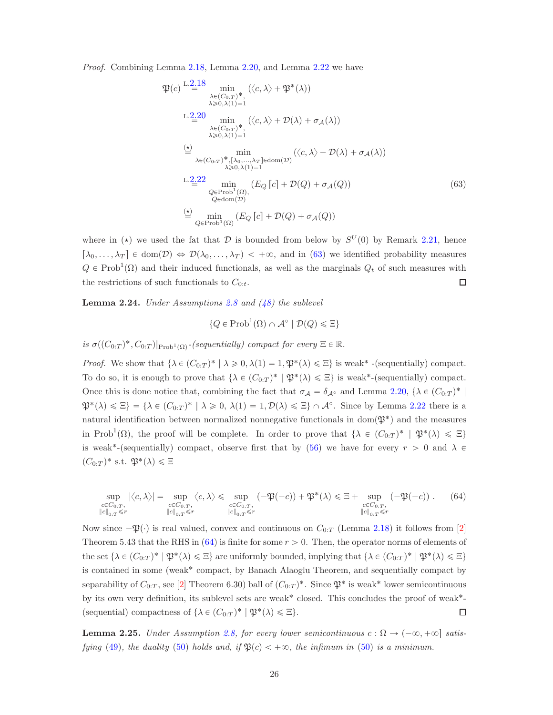Proof. Combining Lemma [2.18,](#page-22-0) Lemma [2.20,](#page-23-0) and Lemma [2.22](#page-24-0) we have

$$
\mathfrak{P}(c) \stackrel{\text{L.2.18}}{=} \min_{\substack{\lambda \in (C_{0:T})^*,\ \lambda \geq 0,\lambda(1)=1}} (\langle c, \lambda \rangle + \mathfrak{P}^*(\lambda))
$$
\nL.2.20\n
$$
\min_{\substack{\lambda \in (C_{0:T})^*,\ \lambda \geq 0,\lambda(1)=1}} (\langle c, \lambda \rangle + \mathcal{D}(\lambda) + \sigma_{\mathcal{A}}(\lambda))
$$
\n
$$
\stackrel{\text{(b)}}{\approx} \min_{\substack{\lambda \in (C_{0:T})^*,\ [\lambda_0,\ldots,\lambda_T] \in \text{dom}(\mathcal{D})}} (\langle c, \lambda \rangle + \mathcal{D}(\lambda) + \sigma_{\mathcal{A}}(\lambda))
$$
\nL.2.22\n
$$
\min_{\substack{\lambda \geq 0,\lambda(1)=1}} (E_Q[c] + \mathcal{D}(Q) + \sigma_{\mathcal{A}}(Q))
$$
\n
$$
\stackrel{\text{L.2.22}}{\approx} \min_{\substack{Q \in \text{Prob}^1(\Omega),\ Q \in \text{dom}(\mathcal{D})}} (E_Q[c] + \mathcal{D}(Q) + \sigma_{\mathcal{A}}(Q))
$$
\n
$$
\stackrel{\text{(c)}}{=} \min_{Q \in \text{Prob}^1(\Omega)} (E_Q[c] + \mathcal{D}(Q) + \sigma_{\mathcal{A}}(Q))
$$
\n
$$
(63)
$$

where in ( $\star$ ) we used the fat that D is bounded from below by  $S^{U}(0)$  by Remark [2.21,](#page-24-5) hence  $[\lambda_0, \ldots, \lambda_T] \in \text{dom}(\mathcal{D}) \Leftrightarrow \mathcal{D}(\lambda_0, \ldots, \lambda_T) < +\infty$ , and in [\(63\)](#page-25-2) we identified probability measures  $Q \in Prob^1(\Omega)$  and their induced functionals, as well as the marginals  $Q_t$  of such measures with the restrictions of such functionals to  $C_{0:t}$ .  $\Box$ 

<span id="page-25-0"></span>**Lemma 2.24.** Under Assumptions [2.8](#page-18-1) and  $(48)$  the sublevel

<span id="page-25-2"></span>
$$
\{Q \in \mathrm{Prob}^1(\Omega) \cap \mathcal{A}^\circ \mid \mathcal{D}(Q) \leq \Xi\}
$$

is  $\sigma((C_{0:T})^*, C_{0:T})|_{\text{Prob}^1(\Omega)}$ -(sequentially) compact for every  $\Xi \in \mathbb{R}$ .

*Proof.* We show that  $\{\lambda \in (C_{0:T})^* \mid \lambda \geq 0, \lambda(1) = 1, \mathfrak{P}^*(\lambda) \leq \Xi\}$  is weak<sup>\*</sup> -(sequentially) compact. To do so, it is enough to prove that  $\{\lambda \in (C_{0:T})^* \mid \mathfrak{P}^*(\lambda) \leq \Xi\}$  is weak\*-(sequentially) compact. Once this is done notice that, combining the fact that  $\sigma_{\mathcal{A}} = \delta_{\mathcal{A}^{\circ}}$  and Lemma [2.20,](#page-23-0)  $\{\lambda \in (C_{0:T})^* \mid$  $\mathfrak{P}^*(\lambda) \leq \Xi$ } = { $\lambda \in (C_{0:T})^* \mid \lambda \geq 0$ ,  $\lambda(1) = 1, \mathcal{D}(\lambda) \leq \Xi$ }  $\cap \mathcal{A}^{\circ}$ . Since by Lemma [2.22](#page-24-0) there is a natural identification between normalized nonnegative functionals in dom $(\mathfrak{P}^*)$  and the measures in Prob<sup>1</sup>( $\Omega$ ), the proof will be complete. In order to prove that  $\{\lambda \in (C_{0:T})^* \mid \mathfrak{P}^*(\lambda) \leq \Xi\}$ is weak<sup>\*</sup>-(sequentially) compact, observe first that by [\(56\)](#page-22-2) we have for every  $r > 0$  and  $\lambda \in$  $(C_{0:T})^*$  s.t.  $\mathfrak{P}^*(\lambda) \leq \Xi$ 

<span id="page-25-3"></span>
$$
\sup_{\substack{c \in C_{0:T},\\ \|c\|_{0:T} \le r}} |\langle c, \lambda \rangle| = \sup_{\substack{c \in C_{0:T},\\ \|c\|_{0:T} \le r}} \langle c, \lambda \rangle \le \sup_{\substack{c \in C_{0:T},\\ \|c\|_{0:T} \le r}} (-\mathfrak{P}(-c)) + \mathfrak{P}^*(\lambda) \le \Xi + \sup_{\substack{c \in C_{0:T},\\ \|c\|_{0:T} \le r}} (-\mathfrak{P}(-c)) \ . \tag{64}
$$

Now since  $-\mathfrak{P}(\cdot)$  is real valued, convex and continuous on  $C_{0:T}$  (Lemma [2.18\)](#page-22-0) it follows from [\[2\]](#page-53-13) Theorem 5.43 that the RHS in  $(64)$  is finite for some  $r > 0$ . Then, the operator norms of elements of the set  $\{\lambda \in (C_{0:T})^* \mid \mathfrak{P}^*(\lambda) \leq \Xi\}$  are uniformly bounded, implying that  $\{\lambda \in (C_{0:T})^* \mid \mathfrak{P}^*(\lambda) \leq \Xi\}$ is contained in some (weak˚ compact, by Banach Alaoglu Theorem, and sequentially compact by separability of  $C_{0:T}$ , see [\[2\]](#page-53-13) Theorem 6.30) ball of  $(C_{0:T})^*$ . Since  $\mathfrak{P}^*$  is weak\* lower semicontinuous by its own very definition, its sublevel sets are weak˚ closed. This concludes the proof of weak˚- (sequential) compactness of  $\{\lambda \in (C_{0:T})^* \mid \mathfrak{P}^*(\lambda) \leq \Xi\}.$  $\Box$ 

<span id="page-25-1"></span>**Lemma 2.25.** Under Assumption [2.8,](#page-18-1) for every lower semicontinuous  $c : \Omega \to (-\infty, +\infty]$  satis-fying [\(49\)](#page-19-1), the duality [\(50\)](#page-19-2) holds and, if  $\mathfrak{P}(c) < +\infty$ , the infimum in (50) is a minimum.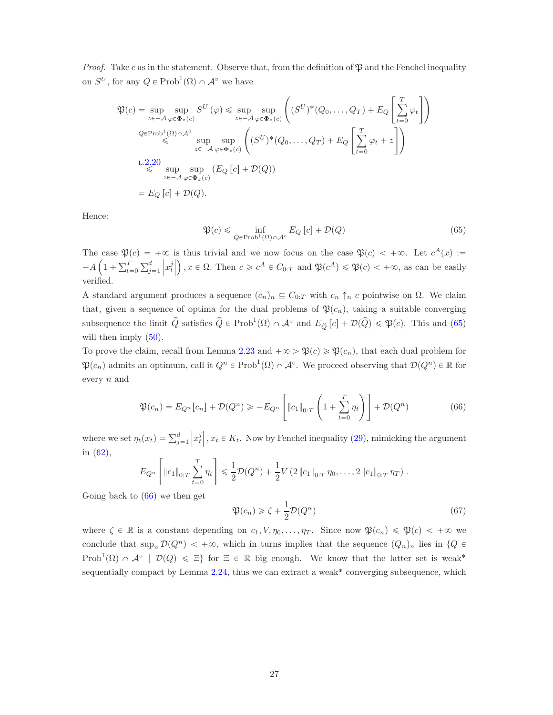*Proof.* Take c as in the statement. Observe that, from the definition of  $\mathfrak P$  and the Fenchel inequality on  $S^U$ , for any  $Q \in \text{Prob}^1(\Omega) \cap \mathcal{A}^{\circ}$  we have

$$
\mathfrak{P}(c) = \sup_{z \in -A} \sup_{\varphi \in \Phi_z(c)} S^U(\varphi) \le \sup_{z \in -A} \sup_{\varphi \in \Phi_z(c)} \left( (S^U)^*(Q_0, \dots, Q_T) + E_Q \left[ \sum_{t=0}^T \varphi_t \right] \right)
$$
  
\n
$$
\mathcal{Q} \in \text{Prob}^1(\Omega) \cap A^0 \le \sup_{z \in -A} \sup_{\varphi \in \Phi_z(c)} \left( (S^U)^*(Q_0, \dots, Q_T) + E_Q \left[ \sum_{t=0}^T \varphi_t + z \right] \right)
$$
  
\nL.2.20  
\n
$$
\le \sup_{z \in -A} \sup_{\varphi \in \Phi_z(c)} \left( E_Q [c] + \mathcal{D}(Q) \right)
$$
  
\n
$$
= E_Q [c] + \mathcal{D}(Q).
$$

Hence:

<span id="page-26-0"></span>
$$
\mathfrak{P}(c) \le \inf_{Q \in \text{Prob}^1(\Omega) \cap \mathcal{A}^\circ} E_Q[c] + \mathcal{D}(Q) \tag{65}
$$

The case  $\mathfrak{P}(c) = +\infty$  is thus trivial and we now focus on the case  $\mathfrak{P}(c) < +\infty$ . Let  $c^A(x) :=$  $-A\left(1+\sum_{t=0}^{T}\sum_{j=1}^{d}$  $\left\vert x_{t}^{j}\right\vert$  $(x, t)$ ,  $x \in \Omega$ . Then  $c \geq c^A \in C_{0:T}$  and  $\mathfrak{P}(c^A) \leq \mathfrak{P}(c) < +\infty$ , as can be easily verified.

A standard argument produces a sequence  $(c_n)_n \subseteq C_{0:T}$  with  $c_n \uparrow_n c$  pointwise on  $\Omega$ . We claim that, given a sequence of optima for the dual problems of  $\mathfrak{P}(c_n)$ , taking a suitable converging subsequence the limit  $\hat{Q}$  satisfies  $\hat{Q} \in \text{Prob}^1(\Omega) \cap \mathcal{A}^{\circ}$  and  $E_{\hat{Q}}[c] + \mathcal{D}(\hat{Q}) \leq \mathfrak{P}(c)$ . This and [\(65\)](#page-26-0) will then imply  $(50)$ .

To prove the claim, recall from Lemma [2.23](#page-24-1) and  $+\infty > \mathfrak{P}(c) \geq \mathfrak{P}(c_n)$ , that each dual problem for  $\mathfrak{P}(c_n)$  admits an optimum, call it  $Q^n \in \text{Prob}^1(\Omega) \cap \mathcal{A}^{\circ}$ . We proceed observing that  $\mathcal{D}(Q^n) \in \mathbb{R}$  for every n and

<span id="page-26-1"></span>
$$
\mathfrak{P}(c_n) = E_{Q^n}[c_n] + \mathcal{D}(Q^n) \ge -E_{Q^n}\left[\left\|c_1\right\|_{0:T}\left(1 + \sum_{t=0}^T \eta_t\right)\right] + \mathcal{D}(Q^n) \tag{66}
$$

where we set  $\eta_t(x_t) = \sum_{j=1}^d$  $\left|x_t^j\right|$ ,  $x_t \in K_t$ . Now by Fenchel inequality [\(29\)](#page-14-1), mimicking the argument in [\(62\)](#page-24-4),

$$
E_{Q^n}\left[\|c_1\|_{0:T}\sum_{t=0}^T\eta_t\right] \leq \frac{1}{2}\mathcal{D}(Q^n) + \frac{1}{2}V\left(2\|c_1\|_{0:T}\eta_0,\ldots,2\|c_1\|_{0:T}\eta_T\right).
$$

Going back to [\(66\)](#page-26-1) we then get

<span id="page-26-2"></span>
$$
\mathfrak{P}(c_n) \ge \zeta + \frac{1}{2}\mathcal{D}(Q^n) \tag{67}
$$

where  $\zeta \in \mathbb{R}$  is a constant depending on  $c_1, V, \eta_0, \ldots, \eta_T$ . Since now  $\mathfrak{P}(c_n) \leq \mathfrak{P}(c) < +\infty$  we conclude that  $\sup_n \mathcal{D}(Q^n) < +\infty$ , which in turns implies that the sequence  $(Q_n)_n$  lies in  $\{Q \in$ Prob<sup>1</sup> $(\Omega) \cap \mathcal{A}^{\circ}$  |  $\mathcal{D}(Q) \leq \Xi$ } for  $\Xi \in \mathbb{R}$  big enough. We know that the latter set is weak<sup>\*</sup> sequentially compact by Lemma  $2.24$ , thus we can extract a weak<sup>\*</sup> converging subsequence, which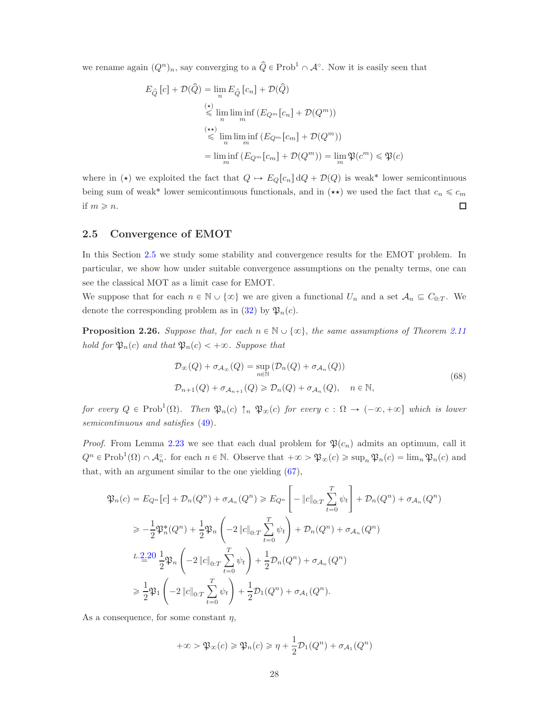we rename again  $(Q^n)_n$ , say converging to a  $\hat{Q} \in \text{Prob}^1 \cap \mathcal{A}^{\circ}$ . Now it is easily seen that

$$
E_{\hat{Q}}[c] + \mathcal{D}(\hat{Q}) = \lim_{n} E_{\hat{Q}}[c_n] + \mathcal{D}(\hat{Q})
$$
  
\n
$$
\leq \lim_{n} \liminf_{m} (E_{Q^m}[c_n] + \mathcal{D}(Q^m))
$$
  
\n
$$
\leq \lim_{n} \liminf_{m} (E_{Q^m}[c_m] + \mathcal{D}(Q^m))
$$
  
\n
$$
= \liminf_{m} (E_{Q^m}[c_m] + \mathcal{D}(Q^m)) = \lim_{m} \mathfrak{P}(c^m) \leq \mathfrak{P}(c)
$$

where in ( $\star$ ) we exploited the fact that  $Q \mapsto E_Q[c_n] \, dQ + \mathcal{D}(Q)$  is weak<sup>\*</sup> lower semicontinuous being sum of weak\* lower semicontinuous functionals, and in  $(\star \star)$  we used the fact that  $c_n \leq c_m$ if  $m \geqslant n$ .  $\Box$ 

### <span id="page-27-0"></span>2.5 Convergence of EMOT

In this Section [2.5](#page-27-0) we study some stability and convergence results for the EMOT problem. In particular, we show how under suitable convergence assumptions on the penalty terms, one can see the classical MOT as a limit case for EMOT.

We suppose that for each  $n \in \mathbb{N} \cup \{\infty\}$  we are given a functional  $U_n$  and a set  $\mathcal{A}_n \subseteq C_{0:T}$ . We denote the corresponding problem as in [\(32\)](#page-15-0) by  $\mathfrak{P}_n(c)$ .

<span id="page-27-2"></span>**Proposition 2.26.** Suppose that, for each  $n \in \mathbb{N} \cup \{\infty\}$ , the same assumptions of Theorem [2.11](#page-19-0) hold for  $\mathfrak{P}_n(c)$  and that  $\mathfrak{P}_n(c) < +\infty$ . Suppose that

$$
\mathcal{D}_{\infty}(Q) + \sigma_{\mathcal{A}_{\infty}}(Q) = \sup_{n \in \mathbb{N}} (\mathcal{D}_{n}(Q) + \sigma_{\mathcal{A}_{n}}(Q))
$$
\n
$$
\mathcal{D}_{n+1}(Q) + \sigma_{\mathcal{A}_{n+1}}(Q) \ge \mathcal{D}_{n}(Q) + \sigma_{\mathcal{A}_{n}}(Q), \quad n \in \mathbb{N},
$$
\n(68)

<span id="page-27-1"></span>for every  $Q \in \text{Prob}^1(\Omega)$ . Then  $\mathfrak{P}_n(c) \uparrow_n \mathfrak{P}_\infty(c)$  for every  $c : \Omega \to (-\infty, +\infty]$  which is lower semicontinuous and satisfies [\(49\)](#page-19-1).

*Proof.* From Lemma [2.23](#page-24-1) we see that each dual problem for  $\mathfrak{P}(c_n)$  admits an optimum, call it  $Q^n \in \text{Prob}^1(\Omega) \cap \mathcal{A}_n^{\circ}$  for each  $n \in \mathbb{N}$ . Observe that  $+\infty > \mathfrak{P}_\infty(c) \geq \sup_n \mathfrak{P}_n(c) = \lim_n \mathfrak{P}_n(c)$  and that, with an argument similar to the one yielding [\(67\)](#page-26-2),

$$
\mathfrak{P}_n(c) = E_{Q^n}[c] + \mathcal{D}_n(Q^n) + \sigma_{A_n}(Q^n) \ge E_{Q^n}\left[-\|c\|_{0:T} \sum_{t=0}^T \psi_t\right] + \mathcal{D}_n(Q^n) + \sigma_{A_n}(Q^n)
$$
  
\n
$$
\ge -\frac{1}{2} \mathfrak{P}_n^*(Q^n) + \frac{1}{2} \mathfrak{P}_n \left(-2\|c\|_{0:T} \sum_{t=0}^T \psi_t\right) + \mathcal{D}_n(Q^n) + \sigma_{A_n}(Q^n)
$$
  
\n
$$
L \cdot \frac{2 \cdot 20}{\pm} \mathfrak{P}_n \left(-2\|c\|_{0:T} \sum_{t=0}^T \psi_t\right) + \frac{1}{2} \mathcal{D}_n(Q^n) + \sigma_{A_n}(Q^n)
$$
  
\n
$$
\ge \frac{1}{2} \mathfrak{P}_1 \left(-2\|c\|_{0:T} \sum_{t=0}^T \psi_t\right) + \frac{1}{2} \mathcal{D}_1(Q^n) + \sigma_{A_1}(Q^n).
$$

As a consequence, for some constant  $\eta$ ,

$$
+\infty > \mathfrak{P}_{\infty}(c) \ge \mathfrak{P}_{n}(c) \ge \eta + \frac{1}{2} \mathcal{D}_{1}(Q^{n}) + \sigma_{\mathcal{A}_{1}}(Q^{n})
$$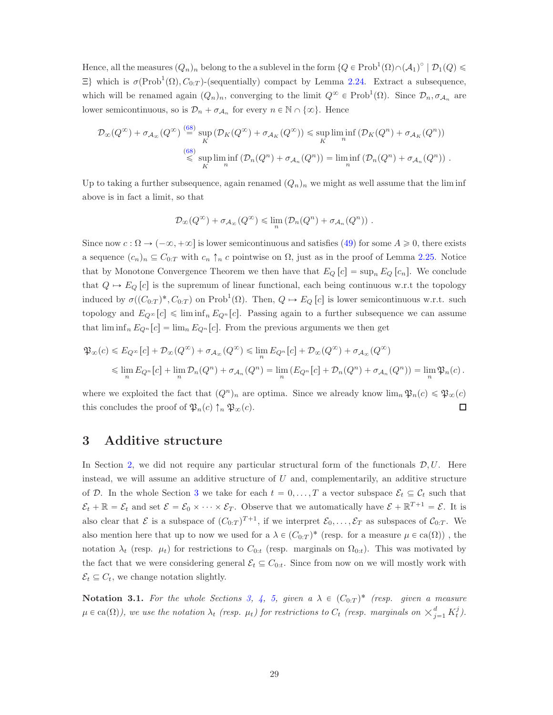Hence, all the measures  $(Q_n)_n$  belong to the a sublevel in the form  $\{Q \in Prob^1(\Omega) \cap (A_1)^\circ \mid \mathcal{D}_1(Q) \leq$  $\Xi$ } which is  $\sigma(\text{Prob}^1(\Omega), C_{0:T})$ -(sequentially) compact by Lemma [2.24.](#page-25-0) Extract a subsequence, which will be renamed again  $(Q_n)_n$ , converging to the limit  $Q^{\infty} \in \text{Prob}^1(\Omega)$ . Since  $\mathcal{D}_n, \sigma_{\mathcal{A}_n}$  are lower semicontinuous, so is  $\mathcal{D}_n + \sigma_{\mathcal{A}_n}$  for every  $n \in \mathbb{N} \cap \{\infty\}$ . Hence

$$
\mathcal{D}_{\infty}(Q^{\infty}) + \sigma_{\mathcal{A}_{\infty}}(Q^{\infty}) \stackrel{(68)}{=} \sup_{K} (\mathcal{D}_{K}(Q^{\infty}) + \sigma_{\mathcal{A}_{K}}(Q^{\infty})) \leq \sup_{K} \liminf_{n} (\mathcal{D}_{K}(Q^{n}) + \sigma_{\mathcal{A}_{K}}(Q^{n}))
$$
  
\n
$$
\stackrel{(68)}{\leq} \sup_{K} \liminf_{n} (\mathcal{D}_{n}(Q^{n}) + \sigma_{\mathcal{A}_{n}}(Q^{n})) = \liminf_{n} (\mathcal{D}_{n}(Q^{n}) + \sigma_{\mathcal{A}_{n}}(Q^{n})) .
$$

Up to taking a further subsequence, again renamed  $(Q_n)_n$  we might as well assume that the lim inf above is in fact a limit, so that

$$
\mathcal{D}_{\infty}(Q^{\infty}) + \sigma_{\mathcal{A}_{\infty}}(Q^{\infty}) \leq \lim_{n} (\mathcal{D}_{n}(Q^{n}) + \sigma_{\mathcal{A}_{n}}(Q^{n})).
$$

Since now  $c : \Omega \to (-\infty, +\infty]$  is lower semicontinuous and satisfies [\(49\)](#page-19-1) for some  $A \geq 0$ , there exists a sequence  $(c_n)_n \subseteq C_{0:T}$  with  $c_n \uparrow_n c$  pointwise on  $\Omega$ , just as in the proof of Lemma [2.25.](#page-25-1) Notice that by Monotone Convergence Theorem we then have that  $E_Q[c] = \sup_n E_Q[c_n]$ . We conclude that  $Q \mapsto E_Q [c]$  is the supremum of linear functional, each being continuous w.r.t the topology induced by  $\sigma((C_{0:T})^*, C_{0:T})$  on Prob<sup>1</sup> $(\Omega)$ . Then,  $Q \mapsto E_Q [c]$  is lower semicontinuous w.r.t. such topology and  $E_{\mathcal{Q}^{\infty}}[c] \leq \liminf_{n} E_{\mathcal{Q}^n}[c]$ . Passing again to a further subsequence we can assume that  $\liminf_{n} E_{Q^n}[c] = \lim_{n} E_{Q^n}[c]$ . From the previous arguments we then get

$$
\mathfrak{P}_{\infty}(c) \leqslant E_{Q^{\infty}}[c] + \mathcal{D}_{\infty}(Q^{\infty}) + \sigma_{\mathcal{A}_{\infty}}(Q^{\infty}) \leqslant \lim_{n} E_{Q^n}[c] + \mathcal{D}_{\infty}(Q^{\infty}) + \sigma_{\mathcal{A}_{\infty}}(Q^{\infty})
$$
  

$$
\leqslant \lim_{n} E_{Q^n}[c] + \lim_{n} \mathcal{D}_n(Q^n) + \sigma_{\mathcal{A}_n}(Q^n) = \lim_{n} \left( E_{Q^n}[c] + \mathcal{D}_n(Q^n) + \sigma_{\mathcal{A}_n}(Q^n) \right) = \lim_{n} \mathfrak{P}_n(c).
$$

where we exploited the fact that  $(Q^n)_n$  are optima. Since we already know  $\lim_n \mathfrak{P}_n(c) \leq \mathfrak{P}_\infty(c)$ this concludes the proof of  $\mathfrak{P}_n(c) \uparrow_n \mathfrak{P}_\infty(c)$ .  $\Box$ 

## <span id="page-28-0"></span>3 Additive structure

In Section [2,](#page-12-1) we did not require any particular structural form of the functionals  $\mathcal{D}, U$ . Here instead, we will assume an additive structure of  $U$  and, complementarily, an additive structure of D. In the whole Section [3](#page-28-0) we take for each  $t = 0, \ldots, T$  a vector subspace  $\mathcal{E}_t \subseteq \mathcal{C}_t$  such that  $\mathcal{E}_t + \mathbb{R} = \mathcal{E}_t$  and set  $\mathcal{E} = \mathcal{E}_0 \times \cdots \times \mathcal{E}_T$ . Observe that we automatically have  $\mathcal{E} + \mathbb{R}^{T+1} = \mathcal{E}$ . It is also clear that  $\mathcal E$  is a subspace of  $(C_{0:T})^{T+1}$ , if we interpret  $\mathcal E_0, \ldots, \mathcal E_T$  as subspaces of  $\mathcal C_{0:T}$ . We also mention here that up to now we used for a  $\lambda \in (C_{0:T})^*$  (resp. for a measure  $\mu \in ca(\Omega)$ ), the notation  $\lambda_t$  (resp.  $\mu_t$ ) for restrictions to  $C_{0:t}$  (resp. marginals on  $\Omega_{0:t}$ ). This was motivated by the fact that we were considering general  $\mathcal{E}_t \subseteq C_{0:t}$ . Since from now on we will mostly work with  $\mathcal{E}_t \subseteq C_t$ , we change notation slightly.

**Notation 3.1.** For the whole Sections [3,](#page-28-0) [4,](#page-33-1) [5,](#page-44-0) given a  $\lambda \in (C_{0:T})^*$  (resp. given a measure  $\mu \in \text{ca}(\Omega)$ ), we use the notation  $\lambda_t$  (resp.  $\mu_t$ ) for restrictions to  $C_t$  (resp. marginals on  $\times_{j=1}^d K_t^j$ ).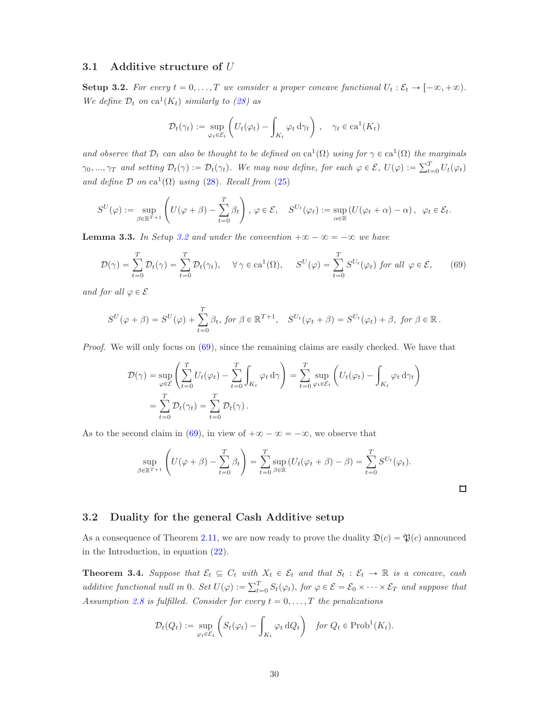#### <span id="page-29-4"></span>3.1 Additive structure of U

<span id="page-29-1"></span>**Setup 3.2.** For every  $t = 0, ..., T$  we consider a proper concave functional  $U_t : \mathcal{E}_t \to [-\infty, +\infty)$ . We define  $\mathcal{D}_t$  on  $ca^1(K_t)$  similarly to [\(28\)](#page-14-0) as

$$
\mathcal{D}_t(\gamma_t) := \sup_{\varphi_t \in \mathcal{E}_t} \left( U_t(\varphi_t) - \int_{K_t} \varphi_t \, d\gamma_t \right), \quad \gamma_t \in \text{ca}^1(K_t)
$$

and observe that  $\mathcal{D}_t$  can also be thought to be defined on  $ca^1(\Omega)$  using for  $\gamma \in ca^1(\Omega)$  the marginals  $\gamma_0, ..., \gamma_T$  and setting  $\mathcal{D}_t(\gamma) := \mathcal{D}_t(\gamma_t)$ . We may now define, for each  $\varphi \in \mathcal{E}$ ,  $U(\varphi) := \sum_{t=0}^T U_t(\varphi_t)$ and define  $\mathcal D$  on  $\text{ca}^1(\Omega)$  using [\(28\)](#page-14-0). Recall from [\(25\)](#page-10-2)

$$
S^{U}(\varphi) := \sup_{\beta \in \mathbb{R}^{T+1}} \left( U(\varphi + \beta) - \sum_{t=0}^{T} \beta_{t} \right), \, \varphi \in \mathcal{E}, \quad S^{U_{t}}(\varphi_{t}) := \sup_{\alpha \in \mathbb{R}} \left( U(\varphi_{t} + \alpha) - \alpha \right), \, \, \varphi_{t} \in \mathcal{E}_{t}.
$$

<span id="page-29-3"></span>**Lemma 3.3.** In Setup [3.2](#page-29-1) and under the convention  $+\infty - \infty = -\infty$  we have

<span id="page-29-2"></span>
$$
\mathcal{D}(\gamma) = \sum_{t=0}^{T} \mathcal{D}_t(\gamma) = \sum_{t=0}^{T} \mathcal{D}_t(\gamma_t), \quad \forall \gamma \in ca^1(\Omega), \quad S^U(\varphi) = \sum_{t=0}^{T} S^{U_t}(\varphi_t) \text{ for all } \varphi \in \mathcal{E}, \tag{69}
$$

and for all  $\varphi \in \mathcal{E}$ 

$$
S^{U}(\varphi+\beta)=S^{U}(\varphi)+\sum_{t=0}^{T}\beta_{t}, \text{ for }\beta\in\mathbb{R}^{T+1}, \quad S^{U_{t}}(\varphi_{t}+\beta)=S^{U_{t}}(\varphi_{t})+\beta, \text{ for }\beta\in\mathbb{R}.
$$

Proof. We will only focus on  $(69)$ , since the remaining claims are easily checked. We have that

$$
\mathcal{D}(\gamma) = \sup_{\varphi \in \mathcal{E}} \left( \sum_{t=0}^{T} U_t(\varphi_t) - \sum_{t=0}^{T} \int_{K_t} \varphi_t d\gamma \right) = \sum_{t=0}^{T} \sup_{\varphi_t \in \mathcal{E}_t} \left( U_t(\varphi_t) - \int_{K_t} \varphi_t d\gamma_t \right)
$$

$$
= \sum_{t=0}^{T} \mathcal{D}_t(\gamma_t) = \sum_{t=0}^{T} \mathcal{D}_t(\gamma).
$$

As to the second claim in [\(69\)](#page-29-2), in view of  $+\infty - \infty = -\infty$ , we observe that

$$
\sup_{\beta \in \mathbb{R}^{T+1}} \left( U(\varphi + \beta) - \sum_{t=0}^{T} \beta_t \right) = \sum_{t=0}^{T} \sup_{\beta \in \mathbb{R}} \left( U_t(\varphi_t + \beta) - \beta \right) = \sum_{t=0}^{T} S^{U_t}(\varphi_t).
$$

 $\Box$ 

#### 3.2 Duality for the general Cash Additive setup

As a consequence of Theorem [2.11,](#page-19-0) we are now ready to prove the duality  $\mathfrak{D}(c) = \mathfrak{P}(c)$  announced in the Introduction, in equation [\(22\)](#page-9-3).

<span id="page-29-0"></span>**Theorem 3.4.** Suppose that  $\mathcal{E}_t \subseteq C_t$  with  $X_t \in \mathcal{E}_t$  and that  $S_t : \mathcal{E}_t \to \mathbb{R}$  is a concave, cash additive functional null in 0. Set  $U(\varphi) := \sum_{t=0}^{T} S_t(\varphi_t)$ , for  $\varphi \in \mathcal{E} = \mathcal{E}_0 \times \cdots \times \mathcal{E}_T$  and suppose that Assumption [2.8](#page-18-1) is fulfilled. Consider for every  $t = 0, \ldots, T$  the penalizations

$$
\mathcal{D}_t(Q_t) := \sup_{\varphi_t \in \mathcal{E}_t} \left( S_t(\varphi_t) - \int_{K_t} \varphi_t \, dQ_t \right) \quad \text{for } Q_t \in \text{Prob}^1(K_t).
$$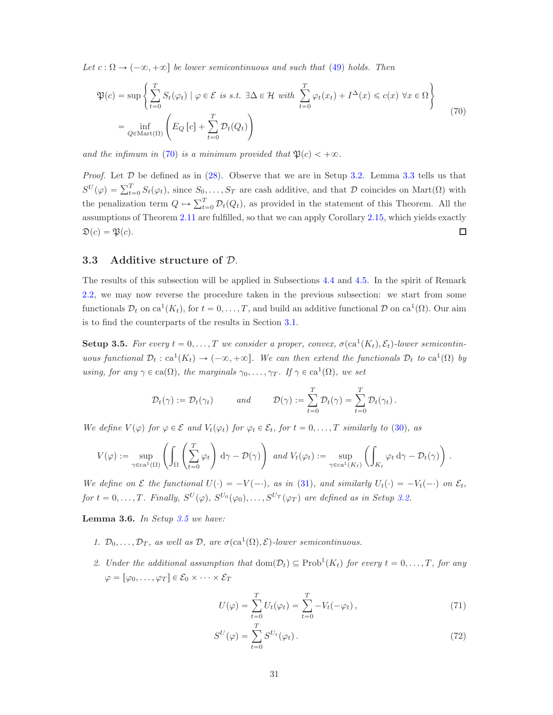Let  $c : \Omega \to (-\infty, +\infty]$  be lower semicontinuous and such that [\(49\)](#page-19-1) holds. Then

<span id="page-30-0"></span>
$$
\mathfrak{P}(c) = \sup \left\{ \sum_{t=0}^{T} S_t(\varphi_t) \mid \varphi \in \mathcal{E} \text{ is s.t. } \exists \Delta \in \mathcal{H} \text{ with } \sum_{t=0}^{T} \varphi_t(x_t) + I^{\Delta}(x) \leq c(x) \,\forall x \in \Omega \right\}
$$
\n
$$
= \inf_{Q \in \text{Mart}(\Omega)} \left( E_Q \left[ c \right] + \sum_{t=0}^{T} \mathcal{D}_t(Q_t) \right) \tag{70}
$$

and the infimum in [\(70\)](#page-30-0) is a minimum provided that  $\mathfrak{P}(c) < +\infty$ .

*Proof.* Let  $D$  be defined as in [\(28\)](#page-14-0). Observe that we are in Setup [3.2.](#page-29-1) Lemma [3.3](#page-29-3) tells us that  $S^{U}(\varphi) = \sum_{t=0}^{T} S_t(\varphi_t)$ , since  $S_0, \ldots, S_T$  are cash additive, and that D coincides on Mart $(\Omega)$  with the penalization term  $Q \mapsto \sum_{t=0}^{T} \mathcal{D}_t(Q_t)$ , as provided in the statement of this Theorem. All the assumptions of Theorem [2.11](#page-19-0) are fulfilled, so that we can apply Corollary [2.15,](#page-20-1) which yields exactly  $\mathfrak{D}(c) = \mathfrak{P}(c).$  $\Box$ 

#### 3.3 Additive structure of D.

The results of this subsection will be applied in Subsections [4.4](#page-37-0) and [4.5.](#page-40-0) In the spirit of Remark [2.2,](#page-14-2) we may now reverse the procedure taken in the previous subsection: we start from some functionals  $\mathcal{D}_t$  on  $ca^1(K_t)$ , for  $t = 0, \ldots, T$ , and build an additive functional  $\mathcal D$  on  $ca^1(\Omega)$ . Our aim is to find the counterparts of the results in Section [3.1.](#page-29-4)

<span id="page-30-1"></span>**Setup 3.5.** For every  $t = 0, ..., T$  we consider a proper, convex,  $\sigma(\text{ca}^1(K_t), \mathcal{E}_t)$ -lower semicontinuous functional  $\mathcal{D}_t$ :  $ca^1(K_t) \to (-\infty, +\infty]$ . We can then extend the functionals  $\mathcal{D}_t$  to  $ca^1(\Omega)$  by using, for any  $\gamma \in \text{ca}(\Omega)$ , the marginals  $\gamma_0, \dots, \gamma_T$ . If  $\gamma \in \text{ca}^1(\Omega)$ , we set

$$
\mathcal{D}_t(\gamma) := \mathcal{D}_t(\gamma_t) \quad \text{and} \quad \mathcal{D}(\gamma) := \sum_{t=0}^T \mathcal{D}_t(\gamma) = \sum_{t=0}^T \mathcal{D}_t(\gamma_t).
$$

We define  $V(\varphi)$  for  $\varphi \in \mathcal{E}$  and  $V_t(\varphi_t)$  for  $\varphi_t \in \mathcal{E}_t$ , for  $t = 0, \ldots, T$  similarly to [\(30\)](#page-15-1), as

$$
V(\varphi) := \sup_{\gamma \in ca^1(\Omega)} \left( \int_{\Omega} \left( \sum_{t=0}^T \varphi_t \right) d\gamma - \mathcal{D}(\gamma) \right) \ and \ V_t(\varphi_t) := \sup_{\gamma \in ca^1(K_t)} \left( \int_{K_t} \varphi_t d\gamma - \mathcal{D}_t(\gamma) \right).
$$

We define on  $\mathcal E$  the functional  $U(\cdot) = -V(-\cdot)$ , as in [\(31\)](#page-15-2), and similarly  $U_t(\cdot) = -V_t(-\cdot)$  on  $\mathcal E_t$ , for  $t = 0, \ldots, T$ . Finally,  $S^U(\varphi), S^{U_0}(\varphi_0), \ldots, S^{U_T}(\varphi_T)$  are defined as in Setup [3.2.](#page-29-1)

<span id="page-30-4"></span>**Lemma 3.6.** In Setup  $3.5$  we have:

- 1.  $\mathcal{D}_0, \ldots, \mathcal{D}_T$ , as well as  $\mathcal{D}$ , are  $\sigma(\text{ca}^1(\Omega), \mathcal{E})$ -lower semicontinuous.
- 2. Under the additional assumption that  $dom(\mathcal{D}_t) \subseteq Prob^1(K_t)$  for every  $t = 0, \ldots, T$ , for any  $\varphi = [\varphi_0, \ldots, \varphi_T] \in \mathcal{E}_0 \times \cdots \times \mathcal{E}_T$

<span id="page-30-2"></span>
$$
U(\varphi) = \sum_{t=0}^{T} U_t(\varphi_t) = \sum_{t=0}^{T} -V_t(-\varphi_t), \qquad (71)
$$

<span id="page-30-3"></span>
$$
S^{U}(\varphi) = \sum_{t=0}^{T} S^{U_t}(\varphi_t).
$$
\n(72)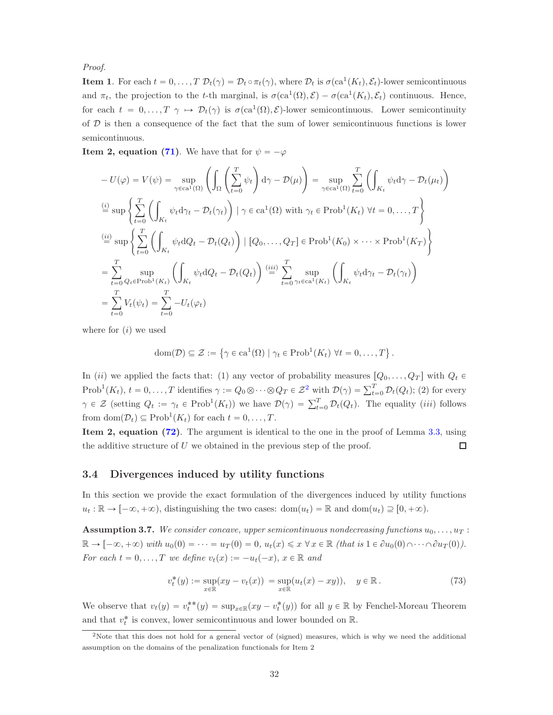Proof.

**Item 1.** For each  $t = 0, \ldots, T$   $\mathcal{D}_t(\gamma) = \mathcal{D}_t \circ \pi_t(\gamma)$ , where  $\mathcal{D}_t$  is  $\sigma(\text{ca}^1(K_t), \mathcal{E}_t)$ -lower semicontinuous and  $\pi_t$ , the projection to the t-th marginal, is  $\sigma(\text{ca}^1(\Omega), \mathcal{E}) - \sigma(\text{ca}^1(K_t), \mathcal{E}_t)$  continuous. Hence, for each  $t = 0, \ldots, T \gamma \mapsto \mathcal{D}_t(\gamma)$  is  $\sigma(\text{ca}^1(\Omega), \mathcal{E})$ -lower semicontinuous. Lower semicontinuity of  $D$  is then a consequence of the fact that the sum of lower semicontinuous functions is lower semicontinuous.

**Item 2, equation [\(71\)](#page-30-2)**. We have that for  $\psi = -\varphi$ 

$$
-U(\varphi) = V(\psi) = \sup_{\gamma \in ca^1(\Omega)} \left( \int_{\Omega} \left( \sum_{t=0}^T \psi_t \right) d\gamma - \mathcal{D}(\mu) \right) = \sup_{\gamma \in ca^1(\Omega)} \sum_{t=0}^T \left( \int_{K_t} \psi_t d\gamma - \mathcal{D}_t(\mu_t) \right)
$$
  
\n
$$
\stackrel{(i)}{=} \sup \left\{ \sum_{t=0}^T \left( \int_{K_t} \psi_t d\gamma_t - \mathcal{D}_t(\gamma_t) \right) \mid \gamma \in ca^1(\Omega) \text{ with } \gamma_t \in \text{Prob}^1(K_t) \ \forall t = 0, \dots, T \right\}
$$
  
\n
$$
\stackrel{(ii)}{=} \sup \left\{ \sum_{t=0}^T \left( \int_{K_t} \psi_t dQ_t - \mathcal{D}_t(Q_t) \right) \mid [Q_0, \dots, Q_T] \in \text{Prob}^1(K_0) \times \dots \times \text{Prob}^1(K_T) \right\}
$$
  
\n
$$
= \sum_{t=0}^T \sup_{Q_t \in \text{Prob}^1(K_t)} \left( \int_{K_t} \psi_t dQ_t - \mathcal{D}_t(Q_t) \right) \stackrel{(iii)}{=} \sum_{t=0}^T \sup_{\gamma_t \in ca^1(K_t)} \left( \int_{K_t} \psi_t d\gamma_t - \mathcal{D}_t(\gamma_t) \right)
$$
  
\n
$$
= \sum_{t=0}^T V_t(\psi_t) = \sum_{t=0}^T -U_t(\varphi_t)
$$

where for  $(i)$  we used

$$
\text{dom}(\mathcal{D}) \subseteq \mathcal{Z} := \left\{ \gamma \in \text{ca}^1(\Omega) \mid \gamma_t \in \text{Prob}^1(K_t) \ \forall t = 0, \dots, T \right\}.
$$

In *(ii)* we applied the facts that: (1) any vector of probability measures  $[Q_0, \ldots, Q_T]$  with  $Q_t \in$ Prob<sup>1</sup> $(K_t)$ ,  $t = 0, \ldots, T$  identifies  $\gamma := Q_0 \otimes \cdots \otimes Q_T \in \mathcal{Z}^2$  $\gamma := Q_0 \otimes \cdots \otimes Q_T \in \mathcal{Z}^2$  with  $\mathcal{D}(\gamma) = \sum_{t=0}^T \mathcal{D}_t(Q_t)$ ; (2) for every  $\gamma \in \mathcal{Z}$  (setting  $Q_t := \gamma_t \in \text{Prob}^1(K_t)$ ) we have  $\mathcal{D}(\gamma) = \sum_{t=0}^T \mathcal{D}_t(Q_t)$ . The equality *(iii)* follows from  $\text{dom}(\mathcal{D}_t) \subseteq \text{Prob}^1(K_t)$  for each  $t = 0, \ldots, T$ .

Item 2, equation [\(72\)](#page-30-3). The argument is identical to the one in the proof of Lemma [3.3,](#page-29-3) using the additive structure of  $U$  we obtained in the previous step of the proof.  $\Box$ 

#### <span id="page-31-0"></span>3.4 Divergences induced by utility functions

In this section we provide the exact formulation of the divergences induced by utility functions  $u_t : \mathbb{R} \to [-\infty, +\infty)$ , distinguishing the two cases:  $\text{dom}(u_t) = \mathbb{R}$  and  $\text{dom}(u_t) \supseteq [0, +\infty)$ .

<span id="page-31-2"></span>**Assumption 3.7.** We consider concave, upper semicontinuous nondecreasing functions  $u_0, \ldots, u_T$ :  $\mathbb{R} \to [-\infty, +\infty)$  with  $u_0(0) = \cdots = u_T(0) = 0$ ,  $u_t(x) \leq x \forall x \in \mathbb{R}$  (that is  $1 \in \partial u_0(0) \cap \cdots \cap \partial u_T(0)$ ). For each  $t = 0, ..., T$  we define  $v_t(x) := -u_t(-x), x \in \mathbb{R}$  and

<span id="page-31-3"></span>
$$
v_t^*(y) := \sup_{x \in \mathbb{R}} (xy - v_t(x)) = \sup_{x \in \mathbb{R}} (u_t(x) - xy)), \quad y \in \mathbb{R}.
$$
 (73)

We observe that  $v_t(y) = v_t^{**}(y) = \sup_{x \in \mathbb{R}} (xy - v_t^*(y))$  for all  $y \in \mathbb{R}$  by Fenchel-Moreau Theorem and that  $v_t^*$  is convex, lower semicontinuous and lower bounded on  $\mathbb R$ .

<span id="page-31-1"></span><sup>&</sup>lt;sup>2</sup>Note that this does not hold for a general vector of (signed) measures, which is why we need the additional assumption on the domains of the penalization functionals for Item 2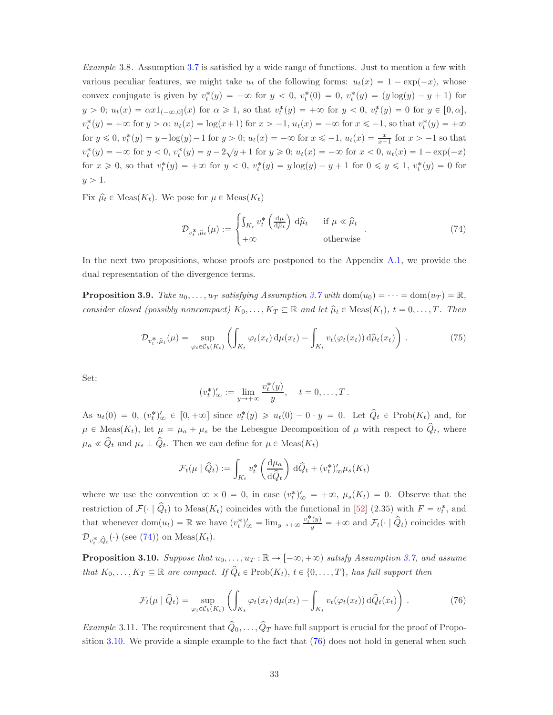Example 3.8. Assumption [3.7](#page-31-2) is satisfied by a wide range of functions. Just to mention a few with various peculiar features, we might take  $u_t$  of the following forms:  $u_t(x) = 1 - \exp(-x)$ , whose convex conjugate is given by  $v_t^*(y) = -\infty$  for  $y < 0$ ,  $v_t^*(0) = 0$ ,  $v_t^*(y) = (y \log(y) - y + 1)$  for  $y > 0$ ;  $u_t(x) = \alpha x 1_{(-\infty,0]}(x)$  for  $\alpha \ge 1$ , so that  $v_t^*(y) = +\infty$  for  $y < 0$ ,  $v_t^*(y) = 0$  for  $y \in [0,\alpha]$ ,  $v_t^*(y) = +\infty$  for  $y > \alpha$ ;  $u_t(x) = \log(x+1)$  for  $x > -1$ ,  $u_t(x) = -\infty$  for  $x \le -1$ , so that  $v_t^*(y) = +\infty$ for  $y \le 0$ ,  $v_t^*(y) = y - \log(y) - 1$  for  $y > 0$ ;  $u_t(x) = -\infty$  for  $x \le -1$ ,  $u_t(x) = \frac{x}{x+1}$  for  $x > -1$  so that  $v_t^*(y) = -\infty$  for  $y < 0$ ,  $v_t^*(y) = y - 2\sqrt{y} + 1$  for  $y \ge 0$ ;  $u_t(x) = -\infty$  for  $x < 0$ ,  $u_t(x) = 1 - \exp(-x)$ for  $x \ge 0$ , so that  $v_t^*(y) = +\infty$  for  $y < 0$ ,  $v_t^*(y) = y \log(y) - y + 1$  for  $0 \le y \le 1$ ,  $v_t^*(y) = 0$  for  $y > 1$ .

Fix  $\hat{\mu}_t \in \text{Meas}(K_t)$ . We pose for  $\mu \in \text{Meas}(K_t)$ 

<span id="page-32-0"></span>
$$
\mathcal{D}_{v_t^*,\hat{\mu}_t}(\mu) := \begin{cases} \int_{K_t} v_t^* \left( \frac{d\mu}{d\hat{\mu}_t} \right) d\hat{\mu}_t & \text{if } \mu \ll \hat{\mu}_t \\ +\infty & \text{otherwise} \end{cases} (74)
$$

In the next two propositions, whose proofs are postponed to the Appendix [A.1,](#page-51-1) we provide the dual representation of the divergence terms.

<span id="page-32-3"></span>**Proposition 3.9.** Take  $u_0, \ldots, u_T$  satisfying Assumption [3.7](#page-31-2) with dom $(u_0) = \cdots = \text{dom}(u_T) = \mathbb{R}$ , consider closed (possibly noncompact)  $K_0, \ldots, K_T \subseteq \mathbb{R}$  and let  $\hat{\mu}_t \in \text{Meas}(K_t), t = 0, \ldots, T$ . Then

<span id="page-32-4"></span>
$$
\mathcal{D}_{v_t^*,\hat{\mu}_t}(\mu) = \sup_{\varphi_t \in \mathcal{C}_b(K_t)} \left( \int_{K_t} \varphi_t(x_t) \, \mathrm{d}\mu(x_t) - \int_{K_t} v_t(\varphi_t(x_t)) \, \mathrm{d}\hat{\mu}_t(x_t) \right). \tag{75}
$$

Set:

$$
(v_t^*)'_{\infty} := \lim_{y \to +\infty} \frac{v_t^*(y)}{y}, \quad t = 0, \dots, T.
$$

As  $u_t(0) = 0$ ,  $(v_t^*)'_{\infty} \in [0, +\infty]$  since  $v_t^*(y) \geq u_t(0) - 0 \cdot y = 0$ . Let  $\hat{Q}_t \in \text{Prob}(K_t)$  and, for  $\mu \in \text{Meas}(K_t)$ , let  $\mu = \mu_a + \mu_s$  be the Lebesgue Decomposition of  $\mu$  with respect to  $\hat{Q}_t$ , where  $\mu_a \ll \hat{Q}_t$  and  $\mu_s \perp \hat{Q}_t$ . Then we can define for  $\mu \in \text{Meas}(K_t)$ 

$$
\mathcal{F}_t(\mu \mid \hat{Q}_t) := \int_{K_t} v_t^* \left( \frac{\mathrm{d}\mu_a}{\mathrm{d}\hat{Q}_t} \right) \mathrm{d}\hat{Q}_t + (v_t^*)'_{\infty} \mu_s(K_t)
$$

where we use the convention  $\infty \times 0 = 0$ , in case  $(v_t^*)'_{\infty} = +\infty$ ,  $\mu_s(K_t) = 0$ . Observe that the restriction of  $\mathcal{F}(\cdot | \hat{Q}_t)$  to Meas $(K_t)$  coincides with the functional in [\[52\]](#page-56-0) (2.35) with  $F = v_t^*$ , and that whenever  $\text{dom}(u_t) = \mathbb{R}$  we have  $(v_t^*)'_{\infty} = \lim_{y \to +\infty} \frac{v_t^*(y)}{y} = +\infty$  and  $\mathcal{F}_t(\cdot | \hat{Q}_t)$  coincides with  $\mathcal{D}_{v_t^*,\hat{Q}_t}(\cdot)$  (see [\(74\)](#page-32-0)) on Meas( $K_t$ ).

<span id="page-32-1"></span>**Proposition 3.10.** Suppose that  $u_0, \ldots, u_T : \mathbb{R} \to [-\infty, +\infty)$  satisfy Assumption [3.7,](#page-31-2) and assume that  $K_0, \ldots, K_T \subseteq \mathbb{R}$  are compact. If  $\hat{Q}_t \in \text{Prob}(K_t)$ ,  $t \in \{0, \ldots, T\}$ , has full support then

<span id="page-32-2"></span>
$$
\mathcal{F}_t(\mu \mid \hat{Q}_t) = \sup_{\varphi_t \in \mathcal{C}_b(K_t)} \left( \int_{K_t} \varphi_t(x_t) \, \mathrm{d}\mu(x_t) - \int_{K_t} v_t(\varphi_t(x_t)) \, \mathrm{d}\hat{Q}_t(x_t) \right). \tag{76}
$$

*Example* 3.11. The requirement that  $\hat{Q}_0, \ldots, \hat{Q}_T$  have full support is crucial for the proof of Proposition [3.10.](#page-32-1) We provide a simple example to the fact that [\(76\)](#page-32-2) does not hold in general when such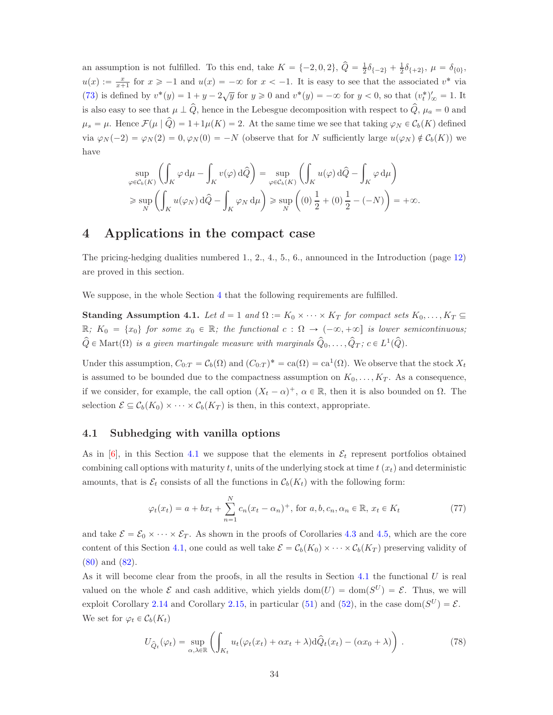an assumption is not fulfilled. To this end, take  $K = \{-2, 0, 2\}$ ,  $\hat{Q} = \frac{1}{2}\delta_{\{-2\}} + \frac{1}{2}\delta_{\{+2\}}$ ,  $\mu = \delta_{\{0\}}$ ,  $u(x) := \frac{x}{x+1}$  for  $x \ge -1$  and  $u(x) = -\infty$  for  $x < -1$ . It is easy to see that the associated  $v^*$  via [\(73\)](#page-31-3) is defined by  $v^*(y) = 1 + y - 2\sqrt{y}$  for  $y \ge 0$  and  $v^*(y) = -\infty$  for  $y < 0$ , so that  $(v_t^*)'_{\infty} = 1$ . It is also easy to see that  $\mu \perp \hat{Q}$ , hence in the Lebesgue decomposition with respect to  $\hat{Q}$ ,  $\mu_a = 0$  and  $\mu_s = \mu$ . Hence  $\mathcal{F}(\mu \mid \hat{Q}) = 1 + 1\mu(K) = 2$ . At the same time we see that taking  $\varphi_N \in C_b(K)$  defined via  $\varphi_N(-2) = \varphi_N(2) = 0, \varphi_N(0) = -N$  (observe that for N sufficiently large  $u(\varphi_N) \notin C_b(K)$ ) we have

$$
\sup_{\varphi \in \mathcal{C}_b(K)} \left( \int_K \varphi \, d\mu - \int_K v(\varphi) \, d\widehat{Q} \right) = \sup_{\varphi \in \mathcal{C}_b(K)} \left( \int_K u(\varphi) \, d\widehat{Q} - \int_K \varphi \, d\mu \right)
$$
  
\n
$$
\geq \sup_N \left( \int_K u(\varphi_N) \, d\widehat{Q} - \int_K \varphi_N \, d\mu \right) \geq \sup_N \left( (0) \frac{1}{2} + (0) \frac{1}{2} - (-N) \right) = +\infty.
$$

# <span id="page-33-1"></span>4 Applications in the compact case

The pricing-hedging dualities numbered 1., 2., 4., 5., 6., announced in the Introduction (page [12\)](#page-11-0) are proved in this section.

We suppose, in the whole Section [4](#page-33-1) that the following requirements are fulfilled.

<span id="page-33-4"></span>**Standing Assumption 4.1.** Let  $d = 1$  and  $\Omega := K_0 \times \cdots \times K_T$  for compact sets  $K_0, \ldots, K_T \subseteq$  $\mathbb{R}; K_0 = \{x_0\}$  for some  $x_0 \in \mathbb{R};$  the functional  $c : \Omega \to (-\infty, +\infty]$  is lower semicontinuous;  $\hat{Q} \in \text{Mart}(\Omega)$  is a given martingale measure with marginals  $\hat{Q}_0, \ldots, \hat{Q}_T$ ;  $c \in L^1(\hat{Q})$ .

Under this assumption,  $C_{0:T} = C_b(\Omega)$  and  $(C_{0:T})^* = ca(\Omega) = ca^1(\Omega)$ . We observe that the stock  $X_t$ is assumed to be bounded due to the compactness assumption on  $K_0, \ldots, K_T$ . As a consequence, if we consider, for example, the call option  $(X_t - \alpha)^+$ ,  $\alpha \in \mathbb{R}$ , then it is also bounded on  $\Omega$ . The selection  $\mathcal{E} \subseteq \mathcal{C}_b(K_0) \times \cdots \times \mathcal{C}_b(K_T)$  is then, in this context, appropriate.

#### <span id="page-33-2"></span>4.1 Subhedging with vanilla options

As in  $\vert 6 \vert$ , in this Section [4.1](#page-33-2) we suppose that the elements in  $\mathcal{E}_t$  represent portfolios obtained combining call options with maturity t, units of the underlying stock at time  $t(x_t)$  and deterministic amounts, that is  $\mathcal{E}_t$  consists of all the functions in  $\mathcal{C}_b(K_t)$  with the following form:

<span id="page-33-0"></span>
$$
\varphi_t(x_t) = a + bx_t + \sum_{n=1}^N c_n (x_t - \alpha_n)^+, \text{ for } a, b, c_n, \alpha_n \in \mathbb{R}, x_t \in K_t
$$
\n
$$
(77)
$$

and take  $\mathcal{E} = \mathcal{E}_0 \times \cdots \times \mathcal{E}_T$ . As shown in the proofs of Corollaries [4.3](#page-34-1) and [4.5,](#page-36-2) which are the core content of this Section [4.1,](#page-33-2) one could as well take  $\mathcal{E} = \mathcal{C}_b(K_0) \times \cdots \times \mathcal{C}_b(K_T)$  preserving validity of [\(80\)](#page-34-2) and [\(82\)](#page-36-3).

As it will become clear from the proofs, in all the results in Section [4.1](#page-33-2) the functional  $U$  is real valued on the whole  $\mathcal E$  and cash additive, which yields  $dom(U) = dom(S^U) = \mathcal E$ . Thus, we will exploit Corollary [2.14](#page-20-4) and Corollary [2.15,](#page-20-1) in particular [\(51\)](#page-20-5) and [\(52\)](#page-20-6), in the case dom $(S^U) = \mathcal{E}$ . We set for  $\varphi_t \in \mathcal{C}_b(K_t)$ 

<span id="page-33-3"></span>
$$
U_{\hat{Q}_t}(\varphi_t) = \sup_{\alpha,\lambda \in \mathbb{R}} \left( \int_{K_t} u_t(\varphi_t(x_t) + \alpha x_t + \lambda) \mathrm{d}\hat{Q}_t(x_t) - (\alpha x_0 + \lambda) \right). \tag{78}
$$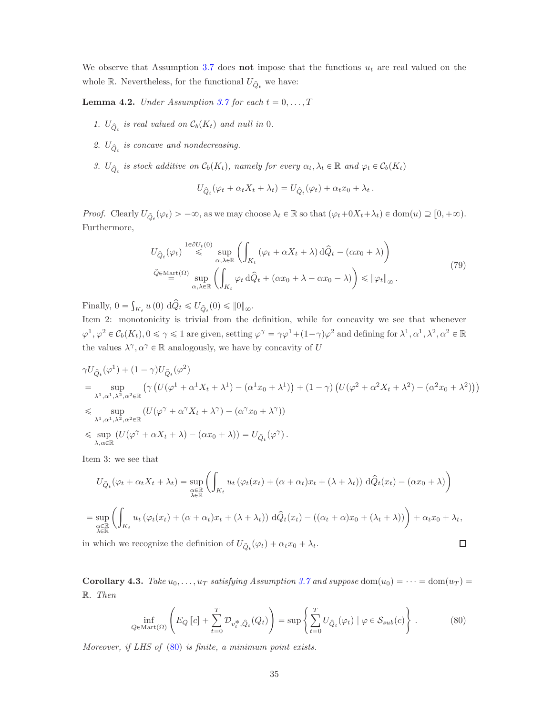We observe that Assumption [3.7](#page-31-2) does not impose that the functions  $u_t$  are real valued on the whole  $\mathbb R.$  Nevertheless, for the functional  $U_{\hat{Q}_t}$  we have:

<span id="page-34-0"></span>**Lemma 4.2.** Under Assumption [3.7](#page-31-2) for each  $t = 0, \ldots, T$ 

- 1.  $U_{\hat{Q}_t}$  is real valued on  $\mathcal{C}_b(K_t)$  and null in 0.
- 2.  $U_{\hat{Q}_t}$  is concave and nondecreasing.
- 3.  $U_{\hat{Q}_t}$  is stock additive on  $C_b(K_t)$ , namely for every  $\alpha_t, \lambda_t \in \mathbb{R}$  and  $\varphi_t \in C_b(K_t)$

$$
U_{\hat{Q}_t}(\varphi_t + \alpha_t X_t + \lambda_t) = U_{\hat{Q}_t}(\varphi_t) + \alpha_t x_0 + \lambda_t.
$$

*Proof.* Clearly  $U_{\hat{Q}_t}(\varphi_t) > -\infty$ , as we may choose  $\lambda_t \in \mathbb{R}$  so that  $(\varphi_t + 0X_t + \lambda_t) \in \text{dom}(u) \supseteq [0, +\infty)$ . Furthermore,

$$
U_{\hat{Q}_t}(\varphi_t) \stackrel{1 \in \partial U_t(0)}{\leq} \sup_{\alpha,\lambda \in \mathbb{R}} \left( \int_{K_t} (\varphi_t + \alpha X_t + \lambda) d\hat{Q}_t - (\alpha x_0 + \lambda) \right)
$$
  

$$
\hat{Q} \in \mathcal{M}_{\text{diff}}(\Omega) \sup_{\alpha,\lambda \in \mathbb{R}} \left( \int_{K_t} \varphi_t d\hat{Q}_t + (\alpha x_0 + \lambda - \alpha x_0 - \lambda) \right) \leq \|\varphi_t\|_{\infty}.
$$
 (79)

<span id="page-34-3"></span>Finally,  $0 = \int_{K_t} u(0) d\hat{Q}_t \leq U_{\hat{Q}_t}(0) \leq \|0\|_{\infty}$ .

Item 2: monotonicity is trivial from the definition, while for concavity we see that whenever  $\varphi^1, \varphi^2 \in C_b(K_t), 0 \le \gamma \le 1$  are given, setting  $\varphi^\gamma = \gamma \varphi^1 + (1 - \gamma) \varphi^2$  and defining for  $\lambda^1, \alpha^1, \lambda^2, \alpha^2 \in \mathbb{R}$ the values  $\lambda^\gamma, \alpha^\gamma \in \mathbb{R}$  analogously, we have by concavity of  $U$ 

$$
\gamma U_{\hat{Q}_t}(\varphi^1) + (1 - \gamma)U_{\hat{Q}_t}(\varphi^2)
$$
\n
$$
= \sup_{\lambda^1, \alpha^1, \lambda^2, \alpha^2 \in \mathbb{R}} \left( \gamma \left( U(\varphi^1 + \alpha^1 X_t + \lambda^1) - (\alpha^1 x_0 + \lambda^1) \right) + (1 - \gamma) \left( U(\varphi^2 + \alpha^2 X_t + \lambda^2) - (\alpha^2 x_0 + \lambda^2) \right) \right)
$$
\n
$$
\leq \sup_{\lambda^1, \alpha^1, \lambda^2, \alpha^2 \in \mathbb{R}} \left( U(\varphi^{\gamma} + \alpha^{\gamma} X_t + \lambda^{\gamma}) - (\alpha^{\gamma} x_0 + \lambda^{\gamma}) \right)
$$
\n
$$
\leq \sup_{\lambda, \alpha \in \mathbb{R}} \left( U(\varphi^{\gamma} + \alpha X_t + \lambda) - (\alpha x_0 + \lambda) \right) = U_{\hat{Q}_t}(\varphi^{\gamma}).
$$

Item 3: we see that

$$
U_{\hat{Q}_t}(\varphi_t + \alpha_t X_t + \lambda_t) = \sup_{\substack{\alpha \in \mathbb{R} \\ \lambda \in \mathbb{R}}} \left( \int_{K_t} u_t \left( \varphi_t(x_t) + (\alpha + \alpha_t)x_t + (\lambda + \lambda_t) \right) d\hat{Q}_t(x_t) - (\alpha x_0 + \lambda) \right)
$$
  
\n
$$
= \sup_{\substack{\alpha \in \mathbb{R} \\ \lambda \in \mathbb{R}}} \left( \int_{K_t} u_t \left( \varphi_t(x_t) + (\alpha + \alpha_t)x_t + (\lambda + \lambda_t) \right) d\hat{Q}_t(x_t) - ((\alpha_t + \alpha)x_0 + (\lambda_t + \lambda)) \right) + \alpha_t x_0 + \lambda_t,
$$
  
\nIn which we recognize the definition of  $U_{\hat{Q}_t}(\varphi_t) + \alpha_t x_0 + \lambda_t$ .

in which we recognize the definition of  $U_{\hat{Q}_t}(\varphi_t) + \alpha_t x_0 + \lambda_t$ .

<span id="page-34-1"></span>**Corollary 4.3.** Take  $u_0, \ldots, u_T$  satisfying Assumption [3.7](#page-31-2) and suppose dom $(u_0) = \cdots = \text{dom}(u_T) =$ R. Then

<span id="page-34-2"></span>
$$
\inf_{Q \in \text{Mart}(\Omega)} \left( E_Q \left[ c \right] + \sum_{t=0}^T \mathcal{D}_{v_t^*, \hat{Q}_t}(Q_t) \right) = \sup \left\{ \sum_{t=0}^T U_{\hat{Q}_t}(\varphi_t) \mid \varphi \in \mathcal{S}_{sub}(c) \right\} . \tag{80}
$$

Moreover, if LHS of [\(80\)](#page-34-2) is finite, a minimum point exists.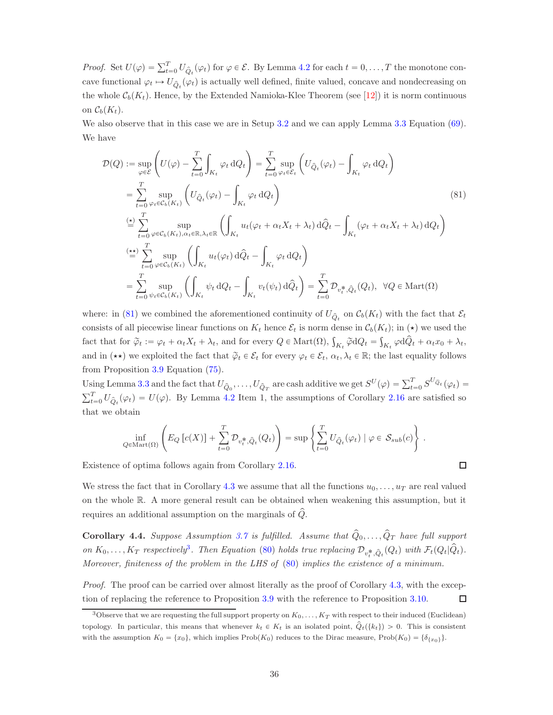*Proof.* Set  $U(\varphi) = \sum_{t=0}^{T} U_{\hat{Q}_t}(\varphi_t)$  for  $\varphi \in \mathcal{E}$ . By Lemma [4.2](#page-34-0) for each  $t = 0, \ldots, T$  the monotone concave functional  $\varphi_t \mapsto U_{\hat{Q}_t}(\varphi_t)$  is actually well defined, finite valued, concave and nondecreasing on the whole  $\mathcal{C}_b(K_t)$ . Hence, by the Extended Namioka-Klee Theorem (see [\[12\]](#page-53-11)) it is norm continuous on  $\mathcal{C}_b(K_t)$ .

We also observe that in this case we are in Setup [3.2](#page-29-1) and we can apply Lemma [3.3](#page-29-3) Equation [\(69\)](#page-29-2). We have

$$
\mathcal{D}(Q) := \sup_{\varphi \in \mathcal{E}} \left( U(\varphi) - \sum_{t=0}^{T} \int_{K_t} \varphi_t dQ_t \right) = \sum_{t=0}^{T} \sup_{\varphi_t \in \mathcal{E}_t} \left( U_{\hat{Q}_t}(\varphi_t) - \int_{K_t} \varphi_t dQ_t \right)
$$
\n
$$
= \sum_{t=0}^{T} \sup_{\varphi_t \in \mathcal{C}_b(K_t)} \left( U_{\hat{Q}_t}(\varphi_t) - \int_{K_t} \varphi_t dQ_t \right) \tag{81}
$$
\n
$$
\stackrel{\text{(b)}{=} \sum_{t=0}^{T} \sup_{\varphi \in \mathcal{C}_b(K_t), \alpha_t \in \mathbb{R}, \lambda_t \in \mathbb{R}} \left( \int_{K_t} u_t(\varphi_t + \alpha_t X_t + \lambda_t) d\hat{Q}_t - \int_{K_t} (\varphi_t + \alpha_t X_t + \lambda_t) dQ_t \right)
$$
\n
$$
\stackrel{\text{(**)}}{=} \sum_{t=0}^{T} \sup_{\varphi \in \mathcal{C}_b(K_t)} \left( \int_{K_t} u_t(\varphi_t) d\hat{Q}_t - \int_{K_t} \varphi_t dQ_t \right)
$$
\n
$$
= \sum_{t=0}^{T} \sup_{\psi_t \in \mathcal{C}_b(K_t)} \left( \int_{K_t} \psi_t dQ_t - \int_{K_t} v_t(\psi_t) d\hat{Q}_t \right) = \sum_{t=0}^{T} \mathcal{D}_{v_t^*, \hat{Q}_t}(Q_t), \ \ \forall Q \in \text{Mart}(\Omega)
$$

where: in [\(81\)](#page-35-1) we combined the aforementioned continuity of  $U_{\hat{Q}_t}$  on  $\mathcal{C}_b(K_t)$  with the fact that  $\mathcal{E}_t$ consists of all piecewise linear functions on  $K_t$  hence  $\mathcal{E}_t$  is norm dense in  $\mathcal{C}_b(K_t)$ ; in  $(\star)$  we used the fact that for  $\tilde{\varphi}_t := \varphi_t + \alpha_t X_t + \lambda_t$ , and for every  $Q \in \text{Mart}(\Omega)$ ,  $\int_{K_t} \tilde{\varphi} dQ_t = \int_{K_t} \varphi d\hat{Q}_t + \alpha_t x_0 + \lambda_t$ , and in  $(\star \star)$  we exploited the fact that  $\tilde{\varphi}_t \in \mathcal{E}_t$  for every  $\varphi_t \in \mathcal{E}_t$ ,  $\alpha_t, \lambda_t \in \mathbb{R}$ ; the last equality follows from Proposition [3.9](#page-32-3) Equation [\(75\)](#page-32-4).

Using Lemma [3.3](#page-29-3) and the fact that  $U_{\hat{Q}_0}, \ldots, U_{\hat{Q}_T}$  are cash additive we get  $S^U(\varphi) = \sum_{t=0}^T S^{U_{\hat{Q}_t}}(\varphi_t) =$  $\sum_{t=0}^{T} U_{\hat{Q}_t}(\varphi_t) = U(\varphi)$ . By Lemma [4.2](#page-34-0) Item 1, the assumptions of Corollary [2.16](#page-21-0) are satisfied so that we obtain

$$
\inf_{Q \in \text{Mart}(\Omega)} \left( E_Q \left[ c(X) \right] + \sum_{t=0}^T \mathcal{D}_{v_t^*, \hat{Q}_t}(Q_t) \right) = \sup \left\{ \sum_{t=0}^T U_{\hat{Q}_t}(\varphi_t) \mid \varphi \in \mathcal{S}_{sub}(c) \right\}.
$$

<span id="page-35-1"></span> $\Box$ 

Existence of optima follows again from Corollary [2.16.](#page-21-0)

We stress the fact that in Corollary [4.3](#page-34-1) we assume that all the functions  $u_0, \ldots, u_T$  are real valued on the whole R. A more general result can be obtained when weakening this assumption, but it requires an additional assumption on the marginals of  $\hat{Q}$ .

<span id="page-35-0"></span>**Corollary 4.4.** Suppose Assumption [3.7](#page-31-2) is fulfilled. Assume that  $\hat{Q}_0, \ldots, \hat{Q}_T$  have full support on  $K_0, \ldots, K_T$  respectively<sup>[3](#page-35-2)</sup>. Then Equation [\(80\)](#page-34-2) holds true replacing  $\mathcal{D}_{v_t^*, \hat{Q}_t}(Q_t)$  with  $\mathcal{F}_t(Q_t|\hat{Q}_t)$ . Moreover, finiteness of the problem in the LHS of [\(80\)](#page-34-2) implies the existence of a minimum.

Proof. The proof can be carried over almost literally as the proof of Corollary [4.3,](#page-34-1) with the exception of replacing the reference to Proposition [3.9](#page-32-4) with the reference to Proposition [3.10.](#page-32-1)  $\Box$ 

<span id="page-35-2"></span><sup>&</sup>lt;sup>3</sup>Observe that we are requesting the full support property on  $K_0, \ldots, K_T$  with respect to their induced (Euclidean) topology. In particular, this means that whenever  $k_t \in K_t$  is an isolated point,  $\hat{Q}_t({k_t}) > 0$ . This is consistent with the assumption  $K_0 = \{x_0\}$ , which implies Prob $(K_0)$  reduces to the Dirac measure, Prob $(K_0) = \{\delta_{\{x_0\}}\}$ .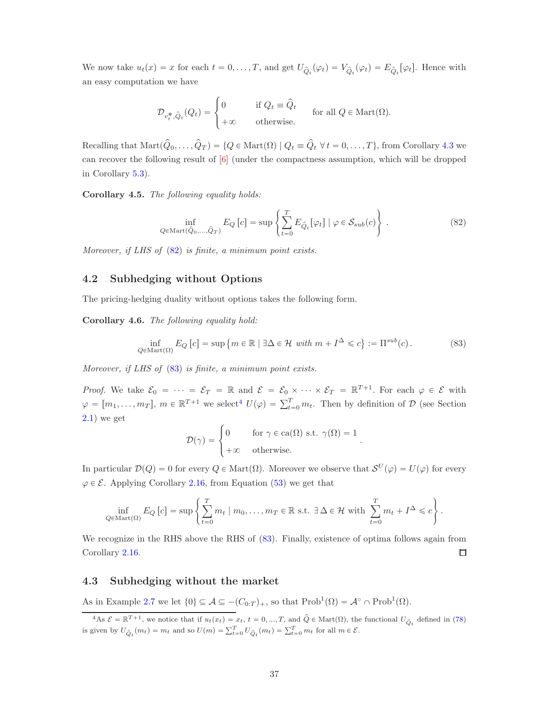We now take  $u_t(x) = x$  for each  $t = 0, ..., T$ , and get  $U_{\hat{Q}_t}(\varphi_t) = V_{\hat{Q}_t}(\varphi_t) = E_{\hat{Q}_t}[\varphi_t]$ . Hence with an easy computation we have

$$
\mathcal{D}_{v_t^*,\hat{Q}_t}(Q_t) = \begin{cases} 0 & \text{if } Q_t \equiv \hat{Q}_t \\ +\infty & \text{otherwise.} \end{cases} \quad \text{for all } Q \in \text{Mart}(\Omega).
$$

Recalling that  $\text{Mart}(\hat{Q}_0, \ldots, \hat{Q}_T) = \{Q \in \text{Mart}(\Omega) \mid Q_t \equiv \hat{Q}_t \ \forall \ t = 0, \ldots, T\}$ , from Corollary [4.3](#page-34-1) we can recover the following result of [\[6\]](#page-53-3) (under the compactness assumption, which will be dropped in Corollary [5.3\)](#page-45-0).

<span id="page-36-2"></span>Corollary 4.5. The following equality holds:

<span id="page-36-3"></span>
$$
\inf_{Q \in \text{Mart}(\hat{Q}_0, ..., \hat{Q}_T)} E_Q [c] = \sup \left\{ \sum_{t=0}^T E_{\hat{Q}_t} [\varphi_t] \mid \varphi \in \mathcal{S}_{sub}(c) \right\} . \tag{82}
$$

Moreover, if LHS of  $(82)$  is finite, a minimum point exists.

#### 4.2 Subhedging without Options

The pricing-hedging duality without options takes the following form.

<span id="page-36-0"></span>Corollary 4.6. The following equality hold:

<span id="page-36-4"></span>
$$
\inf_{Q \in \text{Mart}(\Omega)} E_Q [c] = \sup \{ m \in \mathbb{R} \mid \exists \Delta \in \mathcal{H} \text{ with } m + I^{\Delta} \leqslant c \} := \Pi^{sub}(c). \tag{83}
$$

Moreover, if LHS of  $(83)$  is finite, a minimum point exists.

*Proof.* We take  $\mathcal{E}_0 = \cdots = \mathcal{E}_T = \mathbb{R}$  and  $\mathcal{E} = \mathcal{E}_0 \times \cdots \times \mathcal{E}_T = \mathbb{R}^{T+1}$ . For each  $\varphi \in \mathcal{E}$  with  $\varphi = [m_1, \ldots, m_T], m \in \mathbb{R}^{T+1}$  we select<sup>[4](#page-36-5)</sup>  $U(\varphi) = \sum_{t=0}^{T} m_t$ . Then by definition of  $\mathcal{D}$  (see Section [2.1\)](#page-12-2) we get

$$
\mathcal{D}(\gamma) = \begin{cases} 0 & \text{for } \gamma \in \text{ca}(\Omega) \text{ s.t. } \gamma(\Omega) = 1 \\ +\infty & \text{otherwise.} \end{cases}
$$

In particular  $\mathcal{D}(Q) = 0$  for every  $Q \in \text{Mart}(\Omega)$ . Moreover we observe that  $\mathcal{S}^U(\varphi) = U(\varphi)$  for every  $\varphi \in \mathcal{E}$ . Applying Corollary [2.16,](#page-21-0) from Equation [\(53\)](#page-20-2) we get that

$$
\inf_{Q \in \text{Mart}(\Omega)} E_Q [c] = \sup \left\{ \sum_{t=0}^T m_t \mid m_0, \dots, m_T \in \mathbb{R} \text{ s.t. } \exists \Delta \in \mathcal{H} \text{ with } \sum_{t=0}^T m_t + I^{\Delta} \leq c \right\}.
$$

We recognize in the RHS above the RHS of  $(83)$ . Finally, existence of optima follows again from Corollary [2.16.](#page-21-0)  $\Box$ 

#### <span id="page-36-1"></span>4.3 Subhedging without the market

As in Example [2.7](#page-17-8) we let  $\{0\} \subseteq \mathcal{A} \subseteq -(C_{0:T})_+$ , so that  $\text{Prob}^1(\Omega) = \mathcal{A}^{\circ} \cap \text{Prob}^1(\Omega)$ .

<span id="page-36-5"></span> $\mathcal{A}^4$ As  $\mathcal{E} = \mathbb{R}^{T+1}$ , we notice that if  $u_t(x_t) = x_t$ ,  $t = 0, ..., T$ , and  $\hat{Q} \in \text{Mart}(\Omega)$ , the functional  $U_{\hat{Q}_t}$  defined in [\(78\)](#page-33-3) is given by  $U_{\hat{Q}_t}(m_t) = m_t$  and so  $U(m) = \sum_{t=0}^T U_{\hat{Q}_t}(m_t) = \sum_{t=0}^T m_t$  for all  $m \in \mathcal{E}$ .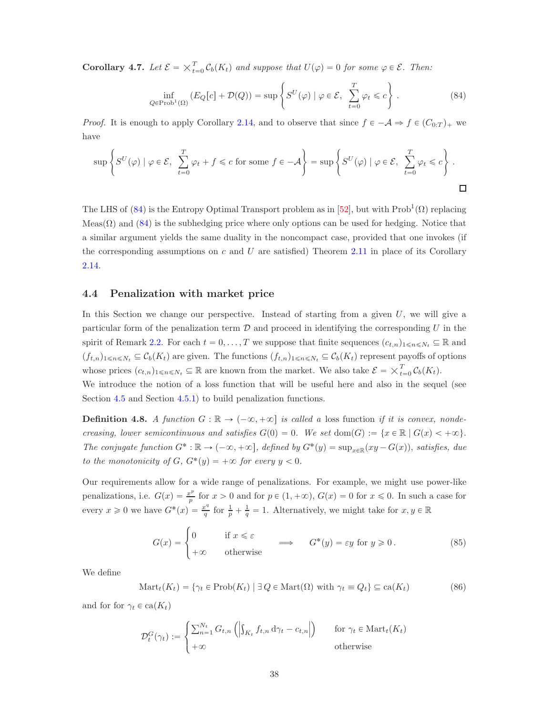**Corollary 4.7.** Let  $\mathcal{E} = \times_{t=0}^{T} \mathcal{C}_b(K_t)$  and suppose that  $U(\varphi) = 0$  for some  $\varphi \in \mathcal{E}$ . Then:

<span id="page-37-1"></span>
$$
\inf_{Q \in \text{Prob}^1(\Omega)} \left( E_Q[c] + \mathcal{D}(Q) \right) = \sup \left\{ S^U(\varphi) \mid \varphi \in \mathcal{E}, \sum_{t=0}^T \varphi_t \leq c \right\}. \tag{84}
$$

*Proof.* It is enough to apply Corollary [2.14,](#page-20-4) and to observe that since  $f \in -A \Rightarrow f \in (C_{0:T})_+$  we have

$$
\sup \left\{ S^{U}(\varphi) \mid \varphi \in \mathcal{E}, \sum_{t=0}^{T} \varphi_{t} + f \leq c \text{ for some } f \in -\mathcal{A} \right\} = \sup \left\{ S^{U}(\varphi) \mid \varphi \in \mathcal{E}, \sum_{t=0}^{T} \varphi_{t} \leq c \right\}.
$$

The LHS of [\(84\)](#page-37-1) is the Entropy Optimal Transport problem as in [\[52\]](#page-56-0), but with  $\text{Prob}^1(\Omega)$  replacing  $Meas(\Omega)$  and [\(84\)](#page-37-1) is the subhedging price where only options can be used for hedging. Notice that a similar argument yields the same duality in the noncompact case, provided that one invokes (if the corresponding assumptions on  $c$  and  $U$  are satisfied) Theorem [2.11](#page-19-0) in place of its Corollary [2.14.](#page-20-4)

#### <span id="page-37-0"></span>4.4 Penalization with market price

In this Section we change our perspective. Instead of starting from a given  $U$ , we will give a particular form of the penalization term  $D$  and proceed in identifying the corresponding  $U$  in the spirit of Remark [2.2.](#page-14-2) For each  $t = 0, \ldots, T$  we suppose that finite sequences  $(c_{t,n})_{1 \leq n \leq N_t} \subseteq \mathbb{R}$  and  $(f_{t,n})_{1\leq n\leq N_t}\subseteq \mathcal{C}_b(K_t)$  are given. The functions  $(f_{t,n})_{1\leq n\leq N_t}\subseteq \mathcal{C}_b(K_t)$  represent payoffs of options whose prices  $(c_{t,n})_{1 \le n \le N_t} \subseteq \mathbb{R}$  are known from the market. We also take  $\mathcal{E} = \times_{t=0}^{T} \mathcal{C}_b(K_t)$ . We introduce the notion of a loss function that will be useful here and also in the sequel (see

Section [4.5](#page-40-0) and Section [4.5.1\)](#page-42-0) to build penalization functions.

<span id="page-37-3"></span>**Definition 4.8.** A function  $G : \mathbb{R} \to (-\infty, +\infty]$  is called a loss function if it is convex, nondecreasing, lower semicontinuous and satisfies  $G(0) = 0$ . We set dom $(G) := \{x \in \mathbb{R} \mid G(x) < +\infty\}.$ The conjugate function  $G^* : \mathbb{R} \to (-\infty, +\infty]$ , defined by  $G^*(y) = \sup_{x \in \mathbb{R}} (xy - G(x))$ , satisfies, due to the monotonicity of  $G, G^*(y) = +\infty$  for every  $y < 0$ .

Our requirements allow for a wide range of penalizations. For example, we might use power-like penalizations, i.e.  $G(x) = \frac{x^p}{p}$  $\frac{p^e}{p}$  for  $x > 0$  and for  $p \in (1, +\infty)$ ,  $G(x) = 0$  for  $x \le 0$ . In such a case for every  $x \geq 0$  we have  $G^*(x) = \frac{x^q}{q}$  $\frac{e^q}{q}$  for  $\frac{1}{p} + \frac{1}{q} = 1$ . Alternatively, we might take for  $x, y \in \mathbb{R}$ 

<span id="page-37-2"></span>
$$
G(x) = \begin{cases} 0 & \text{if } x \le \varepsilon \\ +\infty & \text{otherwise} \end{cases} \implies G^*(y) = \varepsilon y \text{ for } y \ge 0. \tag{85}
$$

We define

<span id="page-37-4"></span>
$$
Mart_t(K_t) = \{ \gamma_t \in Prob(K_t) \mid \exists Q \in Mart(\Omega) \text{ with } \gamma_t \equiv Q_t \} \subseteq ca(K_t)
$$
 (86)

and for for  $\gamma_t \in \text{ca}(K_t)$ 

$$
\mathcal{D}_t^G(\gamma_t) := \begin{cases} \sum_{n=1}^{N_t} G_{t,n} \left( \left| \int_{K_t} f_{t,n} \, \mathrm{d}\gamma_t - c_{t,n} \right| \right) & \text{for } \gamma_t \in \mathrm{Mart}_t(K_t) \\ +\infty & \text{otherwise} \end{cases}
$$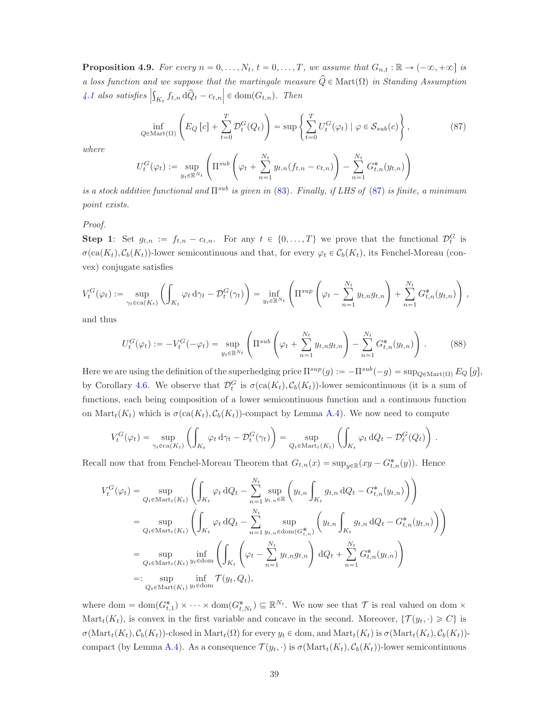<span id="page-38-0"></span>**Proposition 4.9.** For every  $n = 0, \ldots, N_t, t = 0, \ldots, T$ , we assume that  $G_{n,t} : \mathbb{R} \to (-\infty, +\infty]$  is a loss function and we suppose that the martingale measure  $\widehat{Q} \in \text{Mart}(\Omega)$  in Standing Assumption  $\left. 4.1 \right|$  $\left. 4.1 \right|$  $\left. 4.1 \right|$  also satisfies  $\Big|$  $\int_{K_t} f_{t,n} d\hat{Q}_t - c_{t,n} \Big| \in \text{dom}(G_{t,n}).$  Then

<span id="page-38-1"></span>
$$
\inf_{Q \in \text{Mart}(\Omega)} \left( E_Q \left[ c \right] + \sum_{t=0}^T \mathcal{D}_t^G(Q_t) \right) = \sup \left\{ \sum_{t=0}^T U_t^G(\varphi_t) \mid \varphi \in \mathcal{S}_{sub}(c) \right\},\tag{87}
$$

where

$$
U_t^G(\varphi_t) := \sup_{y_t \in \mathbb{R}^{N_t}} \left( \Pi^{sub} \left( \varphi_t + \sum_{n=1}^{N_t} y_{t,n} (f_{t,n} - c_{t,n}) \right) - \sum_{n=1}^{N_t} G_{t,n}^*(y_{t,n}) \right)
$$

is a stock additive functional and  $\Pi^{sub}$  is given in [\(83\)](#page-36-4). Finally, if LHS of [\(87\)](#page-38-1) is finite, a minimum point exists.

Proof.

**Step 1:** Set  $g_{t,n} := f_{t,n} - c_{t,n}$ . For any  $t \in \{0, ..., T\}$  we prove that the functional  $\mathcal{D}_t^G$  is  $\sigma(\text{ca}(K_t), C_b(K_t))$ -lower semicontinuous and that, for every  $\varphi_t \in C_b(K_t)$ , its Fenchel-Moreau (convex) conjugate satisfies

$$
V_t^G(\varphi_t) := \sup_{\gamma_t \in ca(K_t)} \left( \int_{K_t} \varphi_t d\gamma_t - \mathcal{D}_t^G(\gamma_t) \right) = \inf_{y_t \in \mathbb{R}^{N_t}} \left( \Pi^{sup} \left( \varphi_t - \sum_{n=1}^{N_t} y_{t,n} g_{t,n} \right) + \sum_{n=1}^{N_t} G_{t,n}^*(y_{t,n}) \right),
$$

and thus

<span id="page-38-2"></span>
$$
U_t^G(\varphi_t) := -V_t^G(-\varphi_t) = \sup_{y_t \in \mathbb{R}^{N_t}} \left( \Pi^{sub} \left( \varphi_t + \sum_{n=1}^{N_t} y_{t,n} g_{t,n} \right) - \sum_{n=1}^{N_t} G_{t,n}^*(y_{t,n}) \right). \tag{88}
$$

Here we are using the definition of the superhedging price  $\Pi^{sup}(g) := -\Pi^{sub}(-g) = \sup_{Q \in \text{Mart}(\Omega)} E_Q[g],$ by Corollary [4.6.](#page-36-0) We observe that  $\mathcal{D}_t^G$  is  $\sigma(\text{ca}(K_t), \mathcal{C}_b(K_t))$ -lower semicontinuous (it is a sum of functions, each being composition of a lower semicontinuous function and a continuous function on  $\text{Mart}_t(K_t)$  which is  $\sigma(\text{ca}(K_t), C_b(K_t))$ -compact by Lemma [A.4\)](#page-50-1). We now need to compute

$$
V_t^G(\varphi_t) = \sup_{\gamma_t \in \text{ca}(K_t)} \left( \int_{K_t} \varphi_t \, d\gamma_t - \mathcal{D}_t^G(\gamma_t) \right) = \sup_{Q_t \in \text{Mart}_t(K_t)} \left( \int_{K_t} \varphi_t \, dQ_t - \mathcal{D}_t^G(Q_t) \right).
$$

Recall now that from Fenchel-Moreau Theorem that  $G_{t,n}(x) = \sup_{y \in \mathbb{R}} (xy - G_{t,n}^*(y))$ . Hence

$$
V_t^G(\varphi_t) = \sup_{Q_t \in \text{Mart}_t(K_t)} \left( \int_{K_t} \varphi_t dQ_t - \sum_{n=1}^{N_t} \sup_{y_{t,n} \in \mathbb{R}} \left( y_{t,n} \int_{K_t} g_{t,n} dQ_t - G_{t,n}^*(y_{t,n}) \right) \right)
$$
  
\n
$$
= \sup_{Q_t \in \text{Mart}_t(K_t)} \left( \int_{K_t} \varphi_t dQ_t - \sum_{n=1}^{N_t} \sup_{y_{t,n} \in \text{dom}(G_{t,n}^*)} \left( y_{t,n} \int_{K_t} g_{t,n} dQ_t - G_{t,n}^*(y_{t,n}) \right) \right)
$$
  
\n
$$
= \sup_{Q_t \in \text{Mart}_t(K_t)} \inf_{y_t \in \text{dom}} \left( \int_{K_t} \left( \varphi_t - \sum_{n=1}^{N_t} y_{t,n} g_{t,n} \right) dQ_t + \sum_{n=1}^{N_t} G_{t,n}^*(y_{t,n}) \right)
$$
  
\n
$$
=: \sup_{Q_t \in \text{Mart}(K_t)} \inf_{y_t \in \text{dom}} \mathcal{T}(y_t, Q_t),
$$

where dom =  $dom(G_{t,1}^*) \times \cdots \times dom(G_{t,N_t}^*) \subseteq \mathbb{R}^{N_t}$ . We now see that  $\mathcal T$  is real valued on dom  $\times$ Mart<sub>t</sub> $(K_t)$ , is convex in the first variable and concave in the second. Moreover,  $\{T(y_t, \cdot) \geq C\}$  is  $\sigma(\text{Mart}_t(K_t), C_b(K_t))$ -closed in  $\text{Mart}_t(\Omega)$  for every  $y_t \in \text{dom}$ , and  $\text{Mart}_t(K_t)$  is  $\sigma(\text{Mart}_t(K_t), C_b(K_t))$ -compact (by Lemma [A.4\)](#page-50-1). As a consequence  $\mathcal{T}(y_t, \cdot)$  is  $\sigma(\text{Mart}_t(K_t), C_b(K_t))$ -lower semicontinuous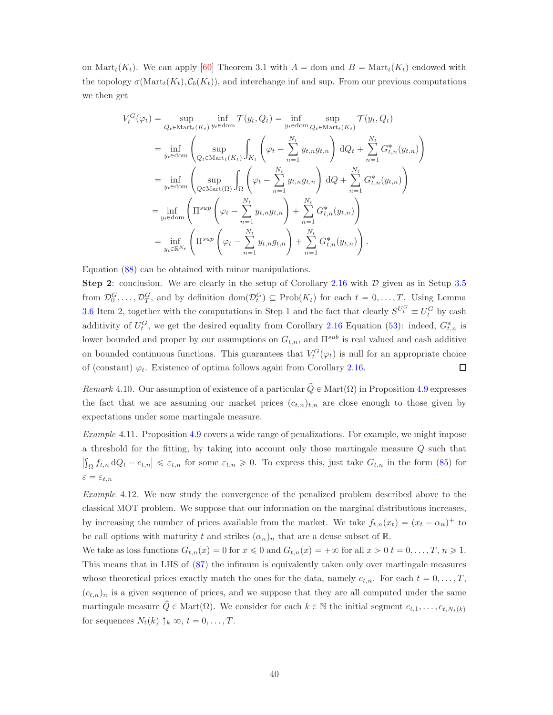on Mart<sub>t</sub> $(K_t)$ . We can apply [\[60\]](#page-56-15) Theorem 3.1 with  $A =$  dom and  $B = \text{Mart}_t(K_t)$  endowed with the topology  $\sigma(\text{Mart}_t(K_t), \mathcal{C}_b(K_t))$ , and interchange inf and sup. From our previous computations we then get

$$
V_t^G(\varphi_t) = \sup_{Q_t \in \text{Mart}_t(K_t)} \inf_{y_t \in \text{dom}} \mathcal{T}(y_t, Q_t) = \inf_{y_t \in \text{dom}} \sup_{Q_t \in \text{Mart}_t(K_t)} \mathcal{T}(y_t, Q_t)
$$
  
\n
$$
= \inf_{y_t \in \text{dom}} \left( \sup_{Q_t \in \text{Mart}_t(K_t)} \int_{K_t} \left( \varphi_t - \sum_{n=1}^{N_t} y_{t,n} g_{t,n} \right) dQ_t + \sum_{n=1}^{N_t} G_{t,n}^*(y_{t,n}) \right)
$$
  
\n
$$
= \inf_{y_t \in \text{dom}} \left( \sup_{Q \in \text{Mart}(\Omega)} \int_{\Omega} \left( \varphi_t - \sum_{n=1}^{N_t} y_{t,n} g_{t,n} \right) dQ + \sum_{n=1}^{N_t} G_{t,n}^*(y_{t,n}) \right)
$$
  
\n
$$
= \inf_{y_t \in \text{dom}} \left( \prod^{sup} \left( \varphi_t - \sum_{n=1}^{N_t} y_{t,n} g_{t,n} \right) + \sum_{n=1}^{N_t} G_{t,n}^*(y_{t,n}) \right)
$$
  
\n
$$
= \inf_{y_t \in \mathbb{R}^{N_t}} \left( \prod^{sup} \left( \varphi_t - \sum_{n=1}^{N_t} y_{t,n} g_{t,n} \right) + \sum_{n=1}^{N_t} G_{t,n}^*(y_{t,n}) \right).
$$

Equation [\(88\)](#page-38-2) can be obtained with minor manipulations.

Step 2: conclusion. We are clearly in the setup of Corollary [2.16](#page-21-0) with  $\mathcal D$  given as in Setup [3.5](#page-30-1) from  $\mathcal{D}_0^G, \ldots, \mathcal{D}_T^G$ , and by definition  $\text{dom}(\mathcal{D}_t^G) \subseteq \text{Prob}(K_t)$  for each  $t = 0, \ldots, T$ . Using Lemma [3.6](#page-30-4) Item 2, together with the computations in Step 1 and the fact that clearly  $S^{U_t^G} \equiv U_t^G$  by cash additivity of  $U_t^G$ , we get the desired equality from Corollary [2.16](#page-21-0) Equation [\(53\)](#page-20-2): indeed,  $G_{t,n}^*$  is lower bounded and proper by our assumptions on  $G_{t,n}$ , and  $\Pi^{sub}$  is real valued and cash additive on bounded continuous functions. This guarantees that  $V_t^G(\varphi_t)$  is null for an appropriate choice of (constant)  $\varphi_t$ . Existence of optima follows again from Corollary [2.16.](#page-21-0)  $\Box$ 

Remark 4.10. Our assumption of existence of a particular  $\hat{Q} \in \text{Mart}(\Omega)$  in Proposition [4.9](#page-38-0) expresses the fact that we are assuming our market prices  $(c_{t,n})_{t,n}$  are close enough to those given by expectations under some martingale measure.

Example 4.11. Proposition [4.9](#page-38-0) covers a wide range of penalizations. For example, we might impose a threshold for the fitting, by taking into account only those martingale measure Q such that  $\left|\int_{\Omega} f_{t,n} dQ_t - c_{t,n}\right| \leq \varepsilon_{t,n}$  for some  $\varepsilon_{t,n} \geq 0$ . To express this, just take  $G_{t,n}$  in the form [\(85\)](#page-37-2) for  $\varepsilon = \varepsilon_{t,n}$ 

<span id="page-39-0"></span>Example 4.12. We now study the convergence of the penalized problem described above to the classical MOT problem. We suppose that our information on the marginal distributions increases, by increasing the number of prices available from the market. We take  $f_{t,n}(x_t) = (x_t - \alpha_n)^+$  to be call options with maturity t and strikes  $(\alpha_n)_n$  that are a dense subset of R.

We take as loss functions  $G_{t,n}(x) = 0$  for  $x \leq 0$  and  $G_{t,n}(x) = +\infty$  for all  $x > 0$   $t = 0, \ldots, T, n \geq 1$ . This means that in LHS of [\(87\)](#page-38-1) the infimum is equivalently taken only over martingale measures whose theoretical prices exactly match the ones for the data, namely  $c_{t,n}$ . For each  $t = 0, \ldots, T$ ,  $(c_{t,n})_n$  is a given sequence of prices, and we suppose that they are all computed under the same martingale measure  $\hat{Q} \in \text{Mart}(\Omega)$ . We consider for each  $k \in \mathbb{N}$  the initial segment  $c_{t,1}, \ldots, c_{t,N_t(k)}$ for sequences  $N_t(k) \uparrow_k \infty, t = 0, \ldots, T$ .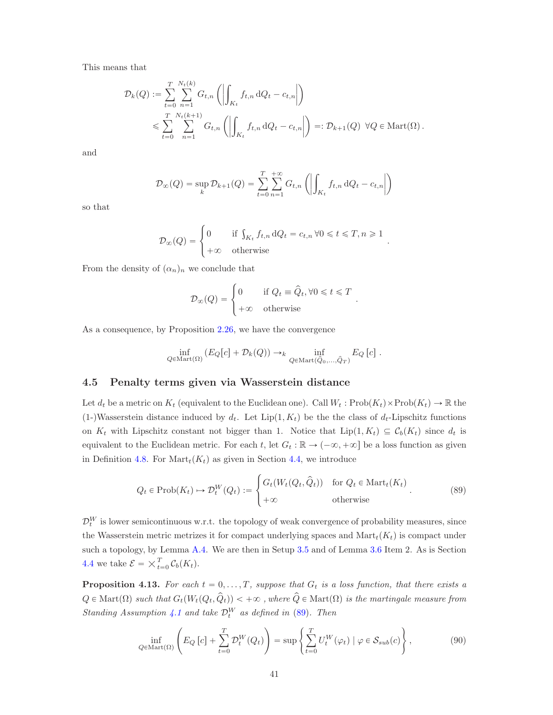This means that

$$
\mathcal{D}_k(Q) := \sum_{t=0}^T \sum_{n=1}^{N_t(k)} G_{t,n} \left( \left| \int_{K_t} f_{t,n} dQ_t - c_{t,n} \right| \right)
$$
  

$$
\leqslant \sum_{t=0}^T \sum_{n=1}^{N_t(k+1)} G_{t,n} \left( \left| \int_{K_t} f_{t,n} dQ_t - c_{t,n} \right| \right) =: \mathcal{D}_{k+1}(Q) \ \forall Q \in \text{Mart}(\Omega).
$$

and

$$
\mathcal{D}_{\infty}(Q) = \sup_{k} \mathcal{D}_{k+1}(Q) = \sum_{t=0}^{T} \sum_{n=1}^{+\infty} G_{t,n} \left( \left| \int_{K_t} f_{t,n} \, dQ_t - c_{t,n} \right| \right)
$$

so that

$$
\mathcal{D}_{\infty}(Q) = \begin{cases} 0 & \text{if } \int_{K_t} f_{t,n} dQ_t = c_{t,n} \,\forall 0 \leq t \leq T, n \geq 1 \\ +\infty & \text{otherwise} \end{cases}.
$$

From the density of  $(\alpha_n)_n$  we conclude that

$$
\mathcal{D}_{\infty}(Q) = \begin{cases} 0 & \text{if } Q_t \equiv \hat{Q}_t, \forall 0 \leq t \leq T \\ +\infty & \text{otherwise} \end{cases}
$$

.

As a consequence, by Proposition [2.26,](#page-27-2) we have the convergence

$$
\inf_{Q \in \text{Mart}(\Omega)} \left( E_Q[c] + \mathcal{D}_k(Q) \right) \to_k \inf_{Q \in \text{Mart}(\hat{Q}_0, ..., \hat{Q}_T)} E_Q[c] .
$$

#### <span id="page-40-0"></span>4.5 Penalty terms given via Wasserstein distance

Let  $d_t$  be a metric on  $K_t$  (equivalent to the Euclidean one). Call  $W_t : \text{Prob}(K_t) \to \mathbb{R}$  the (1-)Wasserstein distance induced by  $d_t$ . Let  $Lip(1, K_t)$  be the class of  $d_t$ -Lipschitz functions on  $K_t$  with Lipschitz constant not bigger than 1. Notice that  $\text{Lip}(1, K_t) \subseteq C_b(K_t)$  since  $d_t$  is equivalent to the Euclidean metric. For each t, let  $G_t : \mathbb{R} \to (-\infty, +\infty]$  be a loss function as given in Definition [4.8.](#page-37-3) For  $\text{Mart}_t(K_t)$  as given in Section [4.4,](#page-37-0) we introduce

<span id="page-40-1"></span>
$$
Q_t \in \text{Prob}(K_t) \mapsto \mathcal{D}_t^W(Q_t) := \begin{cases} G_t(W_t(Q_t, \hat{Q}_t)) & \text{for } Q_t \in \text{Mart}_t(K_t) \\ +\infty & \text{otherwise} \end{cases} . \tag{89}
$$

 $\mathcal{D}_{t}^{W}$  is lower semicontinuous w.r.t. the topology of weak convergence of probability measures, since the Wasserstein metric metrizes it for compact underlying spaces and  $\text{Mart}_t(K_t)$  is compact under such a topology, by Lemma [A.4.](#page-50-1) We are then in Setup [3.5](#page-30-1) and of Lemma [3.6](#page-30-4) Item 2. As is Section [4.4](#page-37-0) we take  $\mathcal{E} = \times_{t=0}^{T} \mathcal{C}_b(K_t)$ .

<span id="page-40-3"></span>**Proposition 4.13.** For each  $t = 0, \ldots, T$ , suppose that  $G_t$  is a loss function, that there exists a  $Q \in \text{Mart}(\Omega)$  such that  $G_t(W_t(Q_t, \hat{Q}_t)) < +\infty$ , where  $\hat{Q} \in \text{Mart}(\Omega)$  is the martingale measure from Standing Assumption [4.1](#page-33-4) and take  $\mathcal{D}_{t}^{W}$  as defined in [\(89\)](#page-40-1). Then

<span id="page-40-2"></span>
$$
\inf_{Q \in \text{Mart}(\Omega)} \left( E_Q \left[ c \right] + \sum_{t=0}^T \mathcal{D}_t^W(Q_t) \right) = \sup \left\{ \sum_{t=0}^T U_t^W(\varphi_t) \mid \varphi \in \mathcal{S}_{sub}(c) \right\},\tag{90}
$$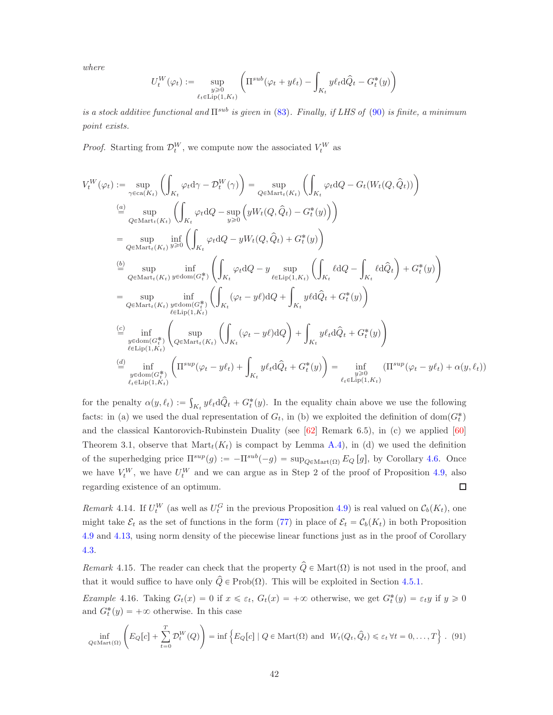where

$$
U_t^W(\varphi_t):=\sup_{\substack{y\geqslant 0\\ \ell_t\in \mathrm{Lip}(1,K_t)}}\left(\Pi^{sub}(\varphi_t+y\ell_t)-\int_{K_t}y\ell_t\mathrm{d}\hat{Q}_t-G_t^*(y)\right)
$$

is a stock additive functional and  $\Pi^{sub}$  is given in [\(83\)](#page-36-4). Finally, if LHS of [\(90\)](#page-40-2) is finite, a minimum point exists.

*Proof.* Starting from  $\mathcal{D}_t^W$ , we compute now the associated  $V_t^W$  as

$$
V_t^W(\varphi_t) := \sup_{\gamma \in \text{ca}(K_t)} \left( \int_{K_t} \varphi_t d\gamma - \mathcal{D}_t^W(\gamma) \right) = \sup_{Q \in \text{Mart}_t(K_t)} \left( \int_{K_t} \varphi_t dQ - G_t(W_t(Q, \hat{Q}_t)) \right)
$$
  
\n
$$
\stackrel{(a)}{=} \sup_{Q \in \text{Mart}_t(K_t)} \left( \int_{K_t} \varphi_t dQ - \sup_{y \ge 0} \left( yW_t(Q, \hat{Q}_t) - G_t^*(y) \right) \right)
$$
  
\n
$$
= \sup_{Q \in \text{Mart}_t(K_t)} \inf_{y \ge 0} \left( \int_{K_t} \varphi_t dQ - yW_t(Q, \hat{Q}_t) + G_t^*(y) \right)
$$
  
\n
$$
\stackrel{(b)}{=} \sup_{Q \in \text{Mart}_t(K_t)} \inf_{y \in \text{dom}(G_t^*)} \left( \int_{K_t} \varphi_t dQ - y \sup_{\ell \in \text{Lip}(1, K_t)} \left( \int_{K_t} \ell dQ - \int_{K_t} \ell d\hat{Q}_t \right) + G_t^*(y) \right)
$$
  
\n
$$
= \sup_{Q \in \text{Mart}_t(K_t)} \inf_{y \in \text{dom}(G_t^*)} \left( \int_{K_t} (\varphi_t - y\ell) dQ + \int_{K_t} y\ell d\hat{Q}_t + G_t^*(y) \right)
$$
  
\n
$$
\stackrel{(c)}{=} \inf_{\substack{y \in \text{dom}(G_t^*) \\ \ell \in \text{Lip}(1, K_t)}} \left( \sup_{Q \in \text{Mart}_t(K_t)} \left( \int_{K_t} (\varphi_t - y\ell) dQ \right) + \int_{K_t} y\ell_t d\hat{Q}_t + G_t^*(y) \right)
$$
  
\n
$$
\stackrel{\n\text{(d)}}{=} \inf_{\substack{y \in \text{dom}(G_t^*) \\ \ell_t \in \text{Lip}(1, K_t)}} \left( \text{Tr}^{sup}(\varphi_t - y\ell_t) + \int_{K_t} y\ell_t d\hat{Q}_t + G_t^*(y) \right) = \inf_{\substack{\ell_t \in \text{Lip}(1, K_t)} (\text{Tr}^{sup}(\varphi_t - y\ell_t) + \alpha(y, \ell_t
$$

for the penalty  $\alpha(y,\ell_t) := \int_{K_t} y \ell_t d\hat{Q}_t + G_t^*(y)$ . In the equality chain above we use the following facts: in (a) we used the dual representation of  $G_t$ , in (b) we exploited the definition of  $dom(G_t^*)$ and the classical Kantorovich-Rubinstein Duality (see [\[62\]](#page-56-16) Remark 6.5), in (c) we applied [\[60\]](#page-56-15) Theorem 3.1, observe that  $\text{Mart}_t(K_t)$  is compact by Lemma [A.4\)](#page-50-1), in (d) we used the definition of the superhedging price  $\Pi^{sup}(g) := -\Pi^{sub}(-g) = \sup_{Q \in \text{Mart}(\Omega)} E_Q[g]$ , by Corollary [4.6.](#page-36-0) Once we have  $V_t^W$ , we have  $U_t^W$  and we can argue as in Step 2 of the proof of Proposition [4.9,](#page-38-0) also regarding existence of an optimum.  $\Box$ 

Remark 4.14. If  $U_t^W$  (as well as  $U_t^G$  in the previous Proposition [4.9\)](#page-38-0) is real valued on  $\mathcal{C}_b(K_t)$ , one might take  $\mathcal{E}_t$  as the set of functions in the form [\(77\)](#page-33-0) in place of  $\mathcal{E}_t = \mathcal{C}_b(K_t)$  in both Proposition [4.9](#page-38-0) and [4.13,](#page-40-3) using norm density of the piecewise linear functions just as in the proof of Corollary [4.3.](#page-34-1)

<span id="page-41-2"></span>Remark 4.15. The reader can check that the property  $\hat{Q} \in \text{Mart}(\Omega)$  is not used in the proof, and that it would suffice to have only  $\hat{Q} \in \text{Prob}(\Omega)$ . This will be exploited in Section [4.5.1.](#page-42-0)

<span id="page-41-0"></span>Example 4.16. Taking  $G_t(x) = 0$  if  $x \leq \varepsilon_t$ ,  $G_t(x) = +\infty$  otherwise, we get  $G_t^*(y) = \varepsilon_t y$  if  $y \geq 0$ and  $G_t^*(y) = +\infty$  otherwise. In this case

<span id="page-41-1"></span>
$$
\inf_{Q \in \text{Mart}(\Omega)} \left( E_Q[c] + \sum_{t=0}^T \mathcal{D}_t^W(Q) \right) = \inf \left\{ E_Q[c] \mid Q \in \text{Mart}(\Omega) \text{ and } W_t(Q_t, \hat{Q}_t) \le \varepsilon_t \,\forall t = 0, \dots, T \right\}. \tag{91}
$$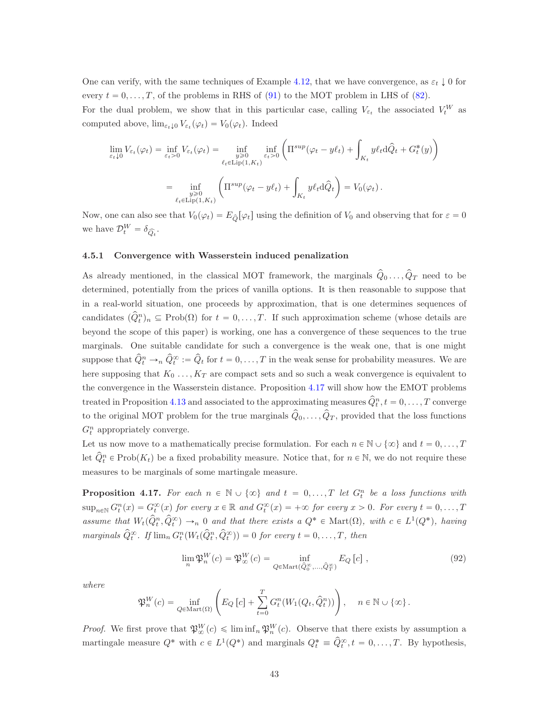One can verify, with the same techniques of Example [4.12,](#page-39-0) that we have convergence, as  $\varepsilon_t \downarrow 0$  for every  $t = 0, \ldots, T$ , of the problems in RHS of [\(91\)](#page-41-1) to the MOT problem in LHS of [\(82\)](#page-36-3).

For the dual problem, we show that in this particular case, calling  $V_{\varepsilon_t}$  the associated  $V_t^W$  as computed above,  $\lim_{\varepsilon_t \downarrow 0} V_{\varepsilon_t}(\varphi_t) = V_0(\varphi_t)$ . Indeed

$$
\lim_{\varepsilon_t \downarrow 0} V_{\varepsilon_t}(\varphi_t) = \inf_{\varepsilon_t > 0} V_{\varepsilon_t}(\varphi_t) = \inf_{\substack{y \ge 0 \\ \ell_t \in \text{Lip}(1, K_t)}} \inf_{\varepsilon_t > 0} \left( \Pi^{sup}(\varphi_t - y\ell_t) + \int_{K_t} y\ell_t \,d\hat{Q}_t + G_t^*(y) \right)
$$
\n
$$
= \inf_{\substack{y \ge 0 \\ \ell_t \in \text{Lip}(1, K_t)}} \left( \Pi^{sup}(\varphi_t - y\ell_t) + \int_{K_t} y\ell_t \,d\hat{Q}_t \right) = V_0(\varphi_t).
$$

Now, one can also see that  $V_0(\varphi_t) = E_{\hat{Q}}[\varphi_t]$  using the definition of  $V_0$  and observing that for  $\varepsilon = 0$ we have  $\mathcal{D}_{t}^{W} = \delta_{\widehat{Q}_{t}}$ .

#### <span id="page-42-0"></span>4.5.1 Convergence with Wasserstein induced penalization

As already mentioned, in the classical MOT framework, the marginals  $\hat{Q}_0 \dots, \hat{Q}_T$  need to be determined, potentially from the prices of vanilla options. It is then reasonable to suppose that in a real-world situation, one proceeds by approximation, that is one determines sequences of candidates  $(\hat{Q}_t^n)_n \subseteq \text{Prob}(\Omega)$  for  $t = 0, \ldots, T$ . If such approximation scheme (whose details are beyond the scope of this paper) is working, one has a convergence of these sequences to the true marginals. One suitable candidate for such a convergence is the weak one, that is one might suppose that  $\hat{Q}_t^n \to_n \hat{Q}_t^{\infty} := \hat{Q}_t$  for  $t = 0, \ldots, T$  in the weak sense for probability measures. We are here supposing that  $K_0 \ldots, K_T$  are compact sets and so such a weak convergence is equivalent to the convergence in the Wasserstein distance. Proposition [4.17](#page-42-1) will show how the EMOT problems treated in Proposition [4.13](#page-40-3) and associated to the approximating measures  $\hat{Q}_t^n, t = 0, \ldots, T$  converge to the original MOT problem for the true marginals  $\hat{Q}_0, \ldots, \hat{Q}_T$ , provided that the loss functions  $G_t^n$  appropriately converge.

Let us now move to a mathematically precise formulation. For each  $n \in \mathbb{N} \cup \{\infty\}$  and  $t = 0, \ldots, T$ let  $\hat{Q}_t^n \in \text{Prob}(K_t)$  be a fixed probability measure. Notice that, for  $n \in \mathbb{N}$ , we do not require these measures to be marginals of some martingale measure.

<span id="page-42-1"></span>**Proposition 4.17.** For each  $n \in \mathbb{N} \cup \{\infty\}$  and  $t = 0, \ldots, T$  let  $G_t^n$  be a loss functions with  $\sup_{n\in\mathbb{N}} G_t^n(x) = G_t^{\infty}(x)$  for every  $x \in \mathbb{R}$  and  $G_t^{\infty}(x) = +\infty$  for every  $x > 0$ . For every  $t = 0, \ldots, T$ assume that  $W_t(\hat{Q}_t^n, \hat{Q}_t^{\infty}) \to_n 0$  and that there exists a  $Q^* \in \text{Mart}(\Omega)$ , with  $c \in L^1(Q^*)$ , having marginals  $\widehat{Q}_t^{\infty}$ . If  $\lim_n G_t^n(W_t(\widehat{Q}_t^n, \widehat{Q}_t^{\infty})) = 0$  for every  $t = 0, ..., T$ , then

<span id="page-42-2"></span>
$$
\lim_{n} \mathfrak{P}_{n}^{W}(c) = \mathfrak{P}_{\infty}^{W}(c) = \inf_{Q \in \text{Mart}(\hat{Q}_{0}^{\infty}, \dots, \hat{Q}_{T}^{\infty})} E_{Q}[c], \qquad (92)
$$

where

$$
\mathfrak{P}_n^W(c) = \inf_{Q \in \text{Mart}(\Omega)} \left( E_Q \left[ c \right] + \sum_{t=0}^T G_t^n(W_1(Q_t, \hat{Q}_t^n)) \right), \quad n \in \mathbb{N} \cup \{ \infty \}.
$$

*Proof.* We first prove that  $\mathfrak{P}_{\infty}^{W}(c) \leq \liminf_{n} \mathfrak{P}_{n}^{W}(c)$ . Observe that there exists by assumption a martingale measure  $Q^*$  with  $c \in L^1(Q^*)$  and marginals  $Q_t^* \equiv \hat{Q}_t^{\infty}, t = 0, \ldots, T$ . By hypothesis,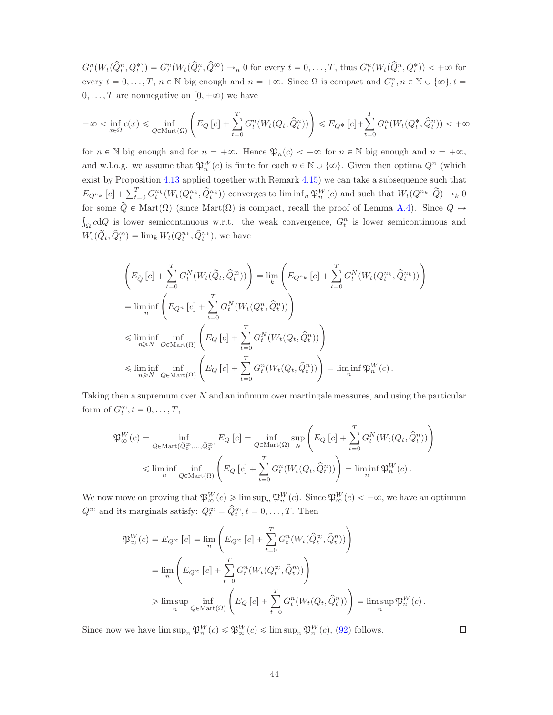$G_t^n(W_t(\hat{Q}_t^n, Q_t^*)) = G_t^n(W_t(\hat{Q}_t^n, \hat{Q}_t^{\infty}) \to_n 0 \text{ for every } t = 0, \dots, T, \text{ thus } G_t^n(W_t(\hat{Q}_t^n, Q_t^*)) < +\infty \text{ for } t \in [0, T]$ every  $t = 0, \ldots, T, n \in \mathbb{N}$  big enough and  $n = +\infty$ . Since  $\Omega$  is compact and  $G_t^n, n \in \mathbb{N} \cup \{\infty\}, t =$  $0, \ldots, T$  are nonnegative on  $[0, +\infty)$  we have

$$
-\infty < \inf_{x \in \Omega} c(x) \le \inf_{Q \in \text{Mart}(\Omega)} \left( E_Q \left[ c \right] + \sum_{t=0}^T G^n_t(W_t(Q_t, \widehat{Q}^n_t)) \right) \le E_{Q^*} \left[ c \right] + \sum_{t=0}^T G^n_t(W_t(Q^*_t, \widehat{Q}^n_t)) < +\infty
$$

for  $n \in \mathbb{N}$  big enough and for  $n = +\infty$ . Hence  $\mathfrak{P}_n(c) < +\infty$  for  $n \in \mathbb{N}$  big enough and  $n = +\infty$ , and w.l.o.g. we assume that  $\mathfrak{P}_n^W(c)$  is finite for each  $n \in \mathbb{N} \cup \{\infty\}$ . Given then optima  $Q^n$  (which exist by Proposition [4.13](#page-40-3) applied together with Remark [4.15\)](#page-41-2) we can take a subsequence such that  $E_{Q^{n_k}}[c] + \sum_{t=0}^T G_t^{n_k}(W_t(Q_t^{n_k}, \hat{Q}_t^{n_k}))$  converges to  $\liminf_n \mathfrak{P}_n^W(c)$  and such that  $W_t(Q^{n_k}, \tilde{Q}) \to_k 0$ for some  $\tilde{Q} \in \text{Mart}(\Omega)$  (since Mart $(\Omega)$ ) is compact, recall the proof of Lemma [A.4\)](#page-50-1). Since  $Q \mapsto$  $C_{\Omega}$  cdQ is lower semicontinuous w.r.t. the weak convergence,  $G_t^n$  is lower semicontinuous and  $W_t(\widetilde{Q}_t, \widehat{Q}_t^{\infty}) = \lim_k W_t(Q_t^{n_k}, \widehat{Q}_t^{n_k}),$  we have

$$
\left(E_{\tilde{Q}}\left[c\right] + \sum_{t=0}^{T} G_t^N(W_t(\tilde{Q}_t, \hat{Q}_t^{\infty}))\right) = \lim_{k} \left(E_{Q^{n_k}}\left[c\right] + \sum_{t=0}^{T} G_t^N(W_t(Q_t^{n_k}, \hat{Q}_t^{n_k}))\right)
$$
\n
$$
= \liminf_{n} \left(E_{Q^n}\left[c\right] + \sum_{t=0}^{T} G_t^N(W_t(Q_t^n, \hat{Q}_t^n))\right)
$$
\n
$$
\leq \liminf_{n \geq N} \inf_{Q \in \text{Mart}(\Omega)} \left(E_Q\left[c\right] + \sum_{t=0}^{T} G_t^N(W_t(Q_t, \hat{Q}_t^n))\right)
$$
\n
$$
\leq \liminf_{n \geq N} \inf_{Q \in \text{Mart}(\Omega)} \left(E_Q\left[c\right] + \sum_{t=0}^{T} G_t^N(W_t(Q_t, \hat{Q}_t^n))\right) = \liminf_{n} \mathfrak{P}_n^W(c).
$$

Taking then a supremum over N and an infimum over martingale measures, and using the particular form of  $G_t^{\infty}, t = 0, \ldots, T$ ,

$$
\mathfrak{P}_{\infty}^{W}(c) = \inf_{Q \in \text{Mart}(\hat{Q}_{0}^{\infty}, ..., \hat{Q}_{T}^{\infty})} E_{Q}[c] = \inf_{Q \in \text{Mart}(\Omega)} \sup_{N} \left( E_{Q}[c] + \sum_{t=0}^{T} G_{t}^{N}(W_{t}(Q_{t}, \hat{Q}_{t}^{n})) \right)
$$
  

$$
\leq \liminf_{n} \inf_{Q \in \text{Mart}(\Omega)} \left( E_{Q}[c] + \sum_{t=0}^{T} G_{t}^{n}(W_{t}(Q_{t}, \hat{Q}_{t}^{n})) \right) = \liminf_{n} \mathfrak{P}_{n}^{W}(c).
$$

We now move on proving that  $\mathfrak{P}_\infty^W(c) \geq \limsup_n \mathfrak{P}_n^W(c)$ . Since  $\mathfrak{P}_\infty^W(c) < +\infty$ , we have an optimum  $Q^{\infty}$  and its marginals satisfy:  $Q_t^{\infty} = \hat{Q}_t^{\infty}, t = 0, \ldots, T$ . Then

$$
\begin{split} \mathfrak{P}^W_\infty(c) &= E_{Q^\infty}\left[c\right] = \lim_n \left( E_{Q^\infty}\left[c\right] + \sum_{t=0}^T G^n_t(W_t(\hat{Q}^\infty_t, \hat{Q}^n_t)) \right) \\ &= \lim_n \left( E_{Q^\infty}\left[c\right] + \sum_{t=0}^T G^n_t(W_t(Q^\infty_t, \hat{Q}^n_t)) \right) \\ &\geqslant \limsup_n \inf_{Q \in \text{Mart}(\Omega)} \left( E_Q\left[c\right] + \sum_{t=0}^T G^n_t(W_t(Q_t, \hat{Q}^n_t)) \right) = \limsup_n \mathfrak{P}^W_n(c) \,. \end{split}
$$

Since now we have  $\limsup_n \mathfrak{P}_n^W(c) \leq \mathfrak{P}_\infty^W(c) \leq \limsup_n \mathfrak{P}_n^W(c)$ , [\(92\)](#page-42-2) follows.

 $\Box$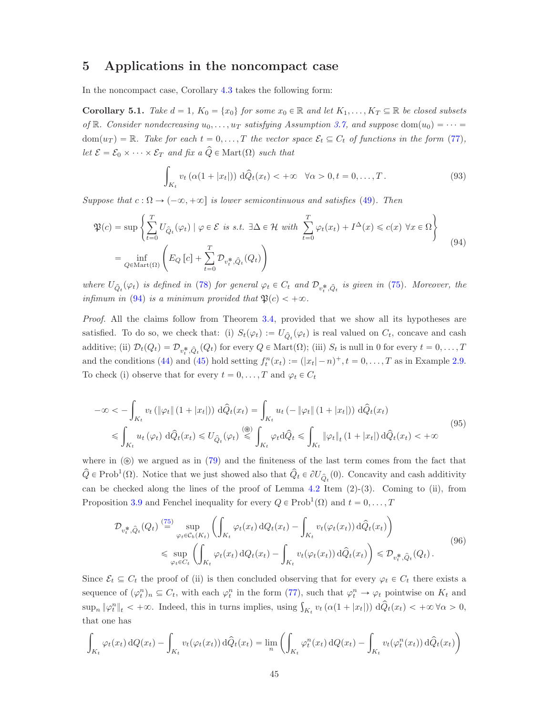## <span id="page-44-0"></span>5 Applications in the noncompact case

In the noncompact case, Corollary [4.3](#page-34-1) takes the following form:

<span id="page-44-3"></span>**Corollary 5.1.** Take  $d = 1$ ,  $K_0 = \{x_0\}$  for some  $x_0 \in \mathbb{R}$  and let  $K_1, \ldots, K_T \subseteq \mathbb{R}$  be closed subsets of R. Consider nondecreasing  $u_0, \ldots, u_T$  satisfying Assumption [3.7,](#page-31-2) and suppose dom $(u_0) = \cdots =$  $dom(u_T) = \mathbb{R}$ . Take for each  $t = 0, ..., T$  the vector space  $\mathcal{E}_t \subseteq C_t$  of functions in the form [\(77\)](#page-33-0), let  $\mathcal{E} = \mathcal{E}_0 \times \cdots \times \mathcal{E}_T$  and fix  $a \widehat{Q} \in \text{Mart}(\Omega)$  such that

<span id="page-44-2"></span>
$$
\int_{K_t} v_t \left( \alpha(1+|x_t|) \right) d\hat{Q}_t(x_t) < +\infty \quad \forall \alpha > 0, t = 0, \dots, T. \tag{93}
$$

Suppose that  $c : \Omega \to (-\infty, +\infty]$  is lower semicontinuous and satisfies [\(49\)](#page-19-1). Then

<span id="page-44-1"></span>
$$
\mathfrak{P}(c) = \sup \left\{ \sum_{t=0}^{T} U_{\hat{Q}_t}(\varphi_t) \mid \varphi \in \mathcal{E} \text{ is s.t. } \exists \Delta \in \mathcal{H} \text{ with } \sum_{t=0}^{T} \varphi_t(x_t) + I^{\Delta}(x) \leq c(x) \,\forall x \in \Omega \right\}
$$
\n
$$
= \inf_{Q \in \text{Mart}(\Omega)} \left( E_Q \left[ c \right] + \sum_{t=0}^{T} \mathcal{D}_{v_t^*, \hat{Q}_t}(Q_t) \right) \tag{94}
$$

where  $U_{\hat{Q}_t}(\varphi_t)$  is defined in [\(78\)](#page-33-3) for general  $\varphi_t \in C_t$  and  $\mathcal{D}_{v_t^*,\hat{Q}_t}$  is given in [\(75\)](#page-32-4). Moreover, the infimum in [\(94\)](#page-44-1) is a minimum provided that  $\mathfrak{P}(c) < +\infty$ .

Proof. All the claims follow from Theorem [3.4,](#page-29-0) provided that we show all its hypotheses are satisfied. To do so, we check that: (i)  $S_t(\varphi_t) := U_{\hat{Q}_t}(\varphi_t)$  is real valued on  $C_t$ , concave and cash additive; (ii)  $\mathcal{D}_t(Q_t) = \mathcal{D}_{v_t^*, \hat{Q}_t}(Q_t)$  for every  $Q \in \text{Mart}(\Omega)$ ; (iii)  $S_t$  is null in 0 for every  $t = 0, \ldots, T$ and the conditions [\(44\)](#page-18-2) and [\(45\)](#page-18-0) hold setting  $f_t^n(x_t) := (|x_t| - n)^+, t = 0, \ldots, T$  as in Example [2.9.](#page-18-4) To check (i) observe that for every  $t = 0, \ldots, T$  and  $\varphi_t \in C_t$ 

<span id="page-44-4"></span>
$$
-\infty < -\int_{K_t} v_t \left( \|\varphi_t\| \left(1 + |x_t|\right) \right) d\hat{Q}_t(x_t) = \int_{K_t} u_t \left( -\|\varphi_t\| \left(1 + |x_t|\right) \right) d\hat{Q}_t(x_t)
$$
  

$$
\leqslant \int_{K_t} u_t \left( \varphi_t \right) d\hat{Q}_t(x_t) \leqslant U_{\hat{Q}_t}(\varphi_t) \stackrel{\text{(B)}}{\leqslant} \int_{K_t} \varphi_t d\hat{Q}_t \leqslant \int_{K_t} \|\varphi_t\|_t \left(1 + |x_t|\right) d\hat{Q}_t(x_t) < +\infty
$$
\n(95)

where in  $(\circledast)$  we argued as in [\(79\)](#page-34-3) and the finiteness of the last term comes from the fact that  $\hat{Q} \in \text{Prob}^1(\Omega)$ . Notice that we just showed also that  $\hat{Q}_t \in \partial U_{\hat{Q}_t}(0)$ . Concavity and cash additivity can be checked along the lines of the proof of Lemma  $4.2$  Item  $(2)-(3)$ . Coming to (ii), from Proposition [3.9](#page-32-3) and Fenchel inequality for every  $Q \in \text{Prob}^1(\Omega)$  and  $t = 0, \ldots, T$ 

<span id="page-44-5"></span>
$$
\mathcal{D}_{v_t^*,\hat{Q}_t}(Q_t) \stackrel{(75)}{=} \sup_{\varphi_t \in C_b(K_t)} \left( \int_{K_t} \varphi_t(x_t) \, dQ_t(x_t) - \int_{K_t} v_t(\varphi_t(x_t)) \, d\hat{Q}_t(x_t) \right) \n\leq \sup_{\varphi_t \in C_t} \left( \int_{K_t} \varphi_t(x_t) \, dQ_t(x_t) - \int_{K_t} v_t(\varphi_t(x_t)) \, d\hat{Q}_t(x_t) \right) \leq \mathcal{D}_{v_t^*,\hat{Q}_t}(Q_t).
$$
\n(96)

Since  $\mathcal{E}_t \subseteq C_t$  the proof of (ii) is then concluded observing that for every  $\varphi_t \in C_t$  there exists a sequence of  $(\varphi_t^n)_n \subseteq C_t$ , with each  $\varphi_t^n$  in the form [\(77\)](#page-33-0), such that  $\varphi_t^n \to \varphi_t$  pointwise on  $K_t$  and  $\sup_n \|\varphi_t^n\|_t < +\infty$ . Indeed, this in turns implies, using  $\int_{K_t} v_t(\alpha(1+|x_t|)) d\hat{Q}_t(x_t) < +\infty \,\forall \alpha > 0$ , that one has

$$
\int_{K_t} \varphi_t(x_t) dQ(x_t) - \int_{K_t} v_t(\varphi_t(x_t)) d\widehat{Q}_t(x_t) = \lim_n \left( \int_{K_t} \varphi_t^n(x_t) dQ(x_t) - \int_{K_t} v_t(\varphi_t^n(x_t)) d\widehat{Q}_t(x_t) \right)
$$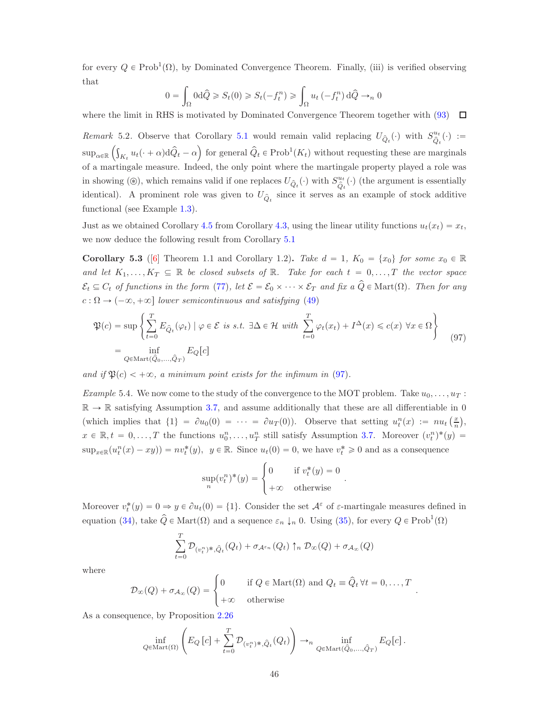for every  $Q \in \text{Prob}^1(\Omega)$ , by Dominated Convergence Theorem. Finally, (iii) is verified observing that

$$
0 = \int_{\Omega} 0 \, d\hat{Q} \ge S_t(0) \ge S_t(-f_t^n) \ge \int_{\Omega} u_t(-f_t^n) \, d\hat{Q} \to_n 0
$$

where the limit in RHS is motivated by Dominated Convergence Theorem together with  $(93)$   $\Box$ 

Remark 5.2. Observe that Corollary [5.1](#page-44-3) would remain valid replacing  $U_{\hat{Q}_t}(\cdot)$  with  $S_{\hat{Q}_t}^{u_t}$  $\stackrel{u_t}{\hat{Q}_t}(\cdot) :=$  $\sup_{\alpha\in\mathbb{R}}\left(\int_{K_t}u_t(\cdot+\alpha)\mathrm{d}\hat{Q}_t-\alpha\right)$  for general  $\hat{Q}_t \in \text{Prob}^1(K_t)$  without requesting these are marginals of a martingale measure. Indeed, the only point where the martingale property played a role was in showing (⊛), which remains valid if one replaces  $U_{\hat{Q}_t}(\cdot)$  with  $S_{\hat{Q}_t}^{u_t}$  $\hat{Q}_t^{u_t}(\cdot)$  (the argument is essentially identical). A prominent role was given to  $U_{\hat{Q}_t}$  since it serves as an example of stock additive functional (see Example [1.3\)](#page-9-1).

Just as we obtained Corollary [4.5](#page-36-2) from Corollary [4.3,](#page-34-1) using the linear utility functions  $u_t(x_t) = x_t$ , we now deduce the following result from Corollary [5.1](#page-44-3)

**Corollary 5.3** ([\[6\]](#page-53-3) Theorem 1.1 and Corollary 1.2). Take  $d = 1$ ,  $K_0 = \{x_0\}$  for some  $x_0 \in \mathbb{R}$ and let  $K_1, \ldots, K_T \subseteq \mathbb{R}$  be closed subsets of  $\mathbb{R}$ . Take for each  $t = 0, \ldots, T$  the vector space  $\mathcal{E}_t \subseteq C_t$  of functions in the form [\(77\)](#page-33-0), let  $\mathcal{E} = \mathcal{E}_0 \times \cdots \times \mathcal{E}_T$  and fix a  $\hat{Q} \in \text{Mart}(\Omega)$ . Then for any  $c : \Omega \to (-\infty, +\infty]$  lower semicontinuous and satisfying [\(49\)](#page-19-1)

<span id="page-45-0"></span>
$$
\mathfrak{P}(c) = \sup \left\{ \sum_{t=0}^{T} E_{\hat{Q}_t}(\varphi_t) \mid \varphi \in \mathcal{E} \text{ is s.t. } \exists \Delta \in \mathcal{H} \text{ with } \sum_{t=0}^{T} \varphi_t(x_t) + I^{\Delta}(x) \leq c(x) \forall x \in \Omega \right\}
$$
\n
$$
= \inf_{Q \in \text{Mart}(\hat{Q}_0, \dots, \hat{Q}_T)} E_Q[c]
$$
\n(97)

and if  $\mathfrak{P}(c) < +\infty$ , a minimum point exists for the infimum in [\(97\)](#page-45-0).

<span id="page-45-1"></span>*Example* 5.4. We now come to the study of the convergence to the MOT problem. Take  $u_0, \ldots, u_T$ :  $\mathbb{R} \to \mathbb{R}$  satisfying Assumption [3.7,](#page-31-2) and assume additionally that these are all differentiable in 0 (which implies that  $\{1\} = \partial u_0(0) = \cdots = \partial u_T(0)$ ). Observe that setting  $u_t^n(x) := nu_t\left(\frac{x}{n}\right)$ ,  $x \in \mathbb{R}, t = 0, \ldots, T$  the functions  $u_0^n, \ldots, u_T^n$  still satisfy Assumption [3.7.](#page-31-2) Moreover  $(v_t^n)^*(y) =$  $\sup_{x\in\mathbb{R}}(u_t^n(x)-xy))=nv_t^*(y),\ \ y\in\mathbb{R}.$  Since  $u_t(0)=0$ , we have  $v_t^*\geqslant 0$  and as a consequence

$$
\sup_{n}(v_{t}^{n})^{*}(y) = \begin{cases} 0 & \text{if } v_{t}^{*}(y) = 0\\ +\infty & \text{otherwise} \end{cases}
$$

.

Moreover  $v_t^*(y) = 0 \Rightarrow y \in \partial u_t(0) = \{1\}$ . Consider the set  $\mathcal{A}^{\varepsilon}$  of  $\varepsilon$ -martingale measures defined in equation [\(34\)](#page-16-3), take  $\hat{Q} \in \text{Mart}(\Omega)$  and a sequence  $\varepsilon_n \downarrow_n 0$ . Using [\(35\)](#page-17-9), for every  $Q \in \text{Prob}^1(\Omega)$ 

$$
\sum_{t=0}^{T} \mathcal{D}_{(v_t^n)^*, \hat{Q}_t}(Q_t) + \sigma_{\mathcal{A}^{\varepsilon_n}}(Q_t) \uparrow_n \mathcal{D}_{\infty}(Q) + \sigma_{\mathcal{A}_{\infty}}(Q)
$$

where

$$
\mathcal{D}_{\infty}(Q) + \sigma_{\mathcal{A}_{\infty}}(Q) = \begin{cases} 0 & \text{if } Q \in \text{Mart}(\Omega) \text{ and } Q_t \equiv \hat{Q}_t \,\forall t = 0, \dots, T \\ +\infty & \text{otherwise} \end{cases}.
$$

As a consequence, by Proposition [2.26](#page-27-2)

$$
\inf_{Q \in \text{Mart}(\Omega)} \left( E_Q \left[ c \right] + \sum_{t=0}^T \mathcal{D}_{(v_t^n)^*, \hat{Q}_t}(Q_t) \right) \to_n \inf_{Q \in \text{Mart}(\hat{Q}_0, \dots, \hat{Q}_T)} E_Q[c] .
$$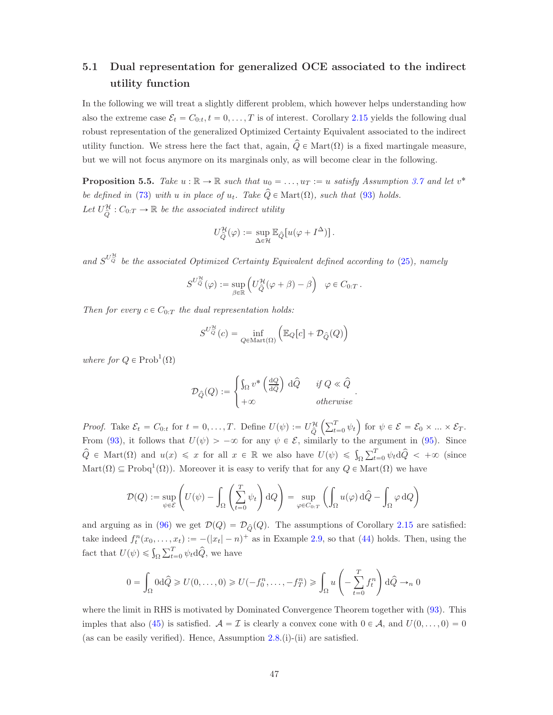# <span id="page-46-0"></span>5.1 Dual representation for generalized OCE associated to the indirect utility function

In the following we will treat a slightly different problem, which however helps understanding how also the extreme case  $\mathcal{E}_t = C_{0:t}, t = 0, \ldots, T$  is of interest. Corollary [2.15](#page-20-1) yields the following dual robust representation of the generalized Optimized Certainty Equivalent associated to the indirect utility function. We stress here the fact that, again,  $\hat{Q} \in \text{Mart}(\Omega)$  is a fixed martingale measure, but we will not focus anymore on its marginals only, as will become clear in the following.

**Proposition 5.5.** Take  $u : \mathbb{R} \to \mathbb{R}$  such that  $u_0 = \ldots, u_T := u$  satisfy Assumption [3.7](#page-31-2) and let  $v^*$ be defined in [\(73\)](#page-31-3) with u in place of  $u_t$ . Take  $\hat{Q} \in \text{Mart}(\Omega)$ , such that [\(93\)](#page-44-2) holds. Let  $U_{\hat{\alpha}}^{\mathcal{H}}$  $\widehat{Q}$  :  $C_{0:T} \to \mathbb{R}$  be the associated indirect utility

$$
U_{\widehat{Q}}^{\mathcal{H}}(\varphi) := \sup_{\Delta \in \mathcal{H}} \mathbb{E}_{\widehat{Q}}[u(\varphi + I^{\Delta})].
$$

and  $S^{U^{\mathcal{H}}_{\mathcal{Q}}}$  be the associated Optimized Certainty Equivalent defined according to [\(25\)](#page-10-2), namely

$$
S^{U^{\mathcal{H}}_{\widehat{Q}}}(\varphi) := \sup_{\beta \in \mathbb{R}} \left( U^{\mathcal{H}}_{\widehat{Q}}(\varphi + \beta) - \beta \right) \quad \varphi \in C_{0:T} .
$$

Then for every  $c \in C_{0:T}$  the dual representation holds:

$$
S^{U_{\widehat{Q}}^{\mathcal{H}}}(c) = \inf_{Q \in \mathrm{Mart}(\Omega)} \left( \mathbb{E}_{Q}[c] + \mathcal{D}_{\widehat{Q}}(Q) \right)
$$

where for  $Q \in Prob^1(\Omega)$ 

$$
\mathcal{D}_{\hat{Q}}(Q) := \begin{cases} \int_{\Omega} v^* \left( \frac{\mathrm{d}Q}{\mathrm{d}\hat{Q}} \right) \, \mathrm{d}\hat{Q} & \text{if } Q \ll \hat{Q} \\ +\infty & \text{otherwise} \end{cases}
$$

.

*Proof.* Take  $\mathcal{E}_t = C_{0:t}$  for  $t = 0, ..., T$ . Define  $U(\psi) := U_{\hat{Q}}^{\mathcal{H}}$  $\overline{Q}$  $\left(\sum_{t=0}^{T} \psi_t\right)$  for  $\psi \in \mathcal{E} = \mathcal{E}_0 \times ... \times \mathcal{E}_T$ . From [\(93\)](#page-44-2), it follows that  $U(\psi) > -\infty$  for any  $\psi \in \mathcal{E}$ , similarly to the argument in [\(95\)](#page-44-4). Since  $\hat{Q} \in \text{Mart}(\Omega)$  and  $u(x) \leq x$  for all  $x \in \mathbb{R}$  we also have  $U(\psi) \leq \int_{\Omega} \sum_{t=0}^{T} \psi_t d\hat{Q} < +\infty$  (since  $\text{Mart}(\Omega) \subseteq \text{Probq}^1(\Omega)$ . Moreover it is easy to verify that for any  $Q \in \text{Mart}(\Omega)$  we have

$$
\mathcal{D}(Q) := \sup_{\psi \in \mathcal{E}} \left( U(\psi) - \int_{\Omega} \left( \sum_{t=0}^{T} \psi_t \right) dQ \right) = \sup_{\varphi \in C_{0:T}} \left( \int_{\Omega} u(\varphi) d\hat{Q} - \int_{\Omega} \varphi dQ \right)
$$

and arguing as in [\(96\)](#page-44-5) we get  $\mathcal{D}(Q) = \mathcal{D}_{\hat{Q}}(Q)$ . The assumptions of Corollary [2.15](#page-20-1) are satisfied: take indeed  $f_t^n(x_0, \ldots, x_t) := -(|x_t| - n)^+$  as in Example [2.9,](#page-18-4) so that [\(44\)](#page-18-2) holds. Then, using the fact that  $U(\psi) \leqslant \int_{\Omega} \sum_{t=0}^{T} \psi_t d\hat{Q}$ , we have

$$
0 = \int_{\Omega} 0 \, d\hat{Q} \ge U(0, \dots, 0) \ge U(-f_0^n, \dots, -f_T^n) \ge \int_{\Omega} u \left( - \sum_{t=0}^T f_t^n \right) d\hat{Q} \to_n 0
$$

where the limit in RHS is motivated by Dominated Convergence Theorem together with  $(93)$ . This imples that also [\(45\)](#page-18-0) is satisfied.  $A = \mathcal{I}$  is clearly a convex cone with  $0 \in \mathcal{A}$ , and  $U(0, \ldots, 0) = 0$ (as can be easily verified). Hence, Assumption  $2.8$ .(i)-(ii) are satisfied.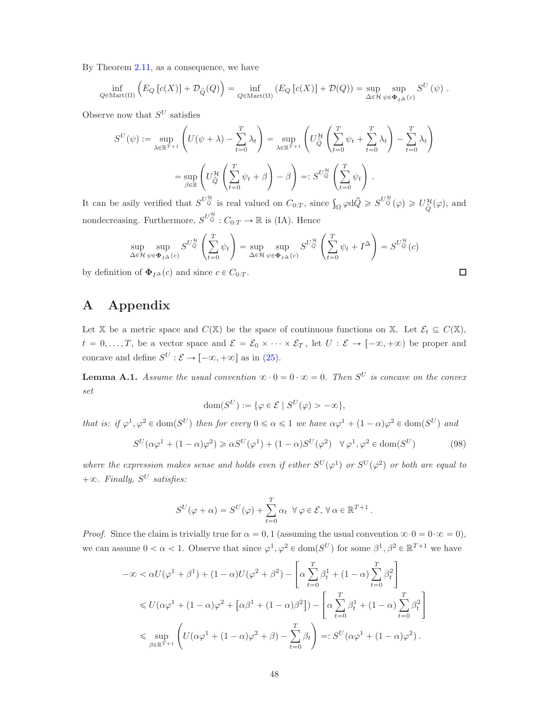By Theorem [2.11,](#page-19-0) as a consequence, we have

$$
\inf_{Q \in \text{Mart}(\Omega)} \left( E_Q \left[ c(X) \right] + \mathcal{D}_{\hat{Q}}(Q) \right) = \inf_{Q \in \text{Mart}(\Omega)} \left( E_Q \left[ c(X) \right] + \mathcal{D}(Q) \right) = \sup_{\Delta \in \mathcal{H}} \sup_{\psi \in \Phi_I \Delta(c)} S^U(\psi) .
$$

Observe now that  $S^U$  satisfies

$$
S^{U}(\psi) := \sup_{\lambda \in \mathbb{R}^{T+1}} \left( U(\psi + \lambda) - \sum_{t=0}^{T} \lambda_{t} \right) = \sup_{\lambda \in \mathbb{R}^{T+1}} \left( U_{\hat{Q}}^{\mathcal{H}} \left( \sum_{t=0}^{T} \psi_{t} + \sum_{t=0}^{T} \lambda_{t} \right) - \sum_{t=0}^{T} \lambda_{t} \right)
$$

$$
= \sup_{\beta \in \mathbb{R}} \left( U_{\hat{Q}}^{\mathcal{H}} \left( \sum_{t=0}^{T} \psi_{t} + \beta \right) - \beta \right) =: S^{U_{\hat{Q}}^{\mathcal{H}}} \left( \sum_{t=0}^{T} \psi_{t} \right).
$$

It can be asily verified that  $S^{U_{\widehat{Q}}^{\mathcal{H}}}$  is real valued on  $C_{0:T}$ , since  $\int_{\Omega} \varphi d\widehat{Q} \geqslant S^{U_{\widehat{Q}}^{\mathcal{H}}}(\varphi) \geqslant U_{\widehat{Q}}^{\mathcal{H}}$  $\hat{Q}^{H}(\varphi)$ , and nondecreasing. Furthermore,  $S^{U_{\widehat{Q}}^{\mathcal{H}}}: C_{0:T} \to \mathbb{R}$  is (IA). Hence

$$
\sup_{\Delta \in \mathcal{H}} \sup_{\psi \in \Phi_{I\Delta}(c)} S^{U\frac{\mathcal{H}}{Q}} \left( \sum_{t=0}^{T} \psi_t \right) = \sup_{\Delta \in \mathcal{H}} \sup_{\psi \in \Phi_{I\Delta}(c)} S^{U\frac{\mathcal{H}}{Q}} \left( \sum_{t=0}^{T} \psi_t + I^{\Delta} \right) = S^{U\frac{\mathcal{H}}{Q}}(c)
$$

 $\Box$ 

by definition of  $\Phi_{I^{\Delta}}(c)$  and since  $c \in C_{0:T}$ .

# A Appendix

Let X be a metric space and  $C(X)$  be the space of continuous functions on X. Let  $\mathcal{E}_t \subseteq C(X)$ ,  $t = 0, \ldots, T$ , be a vector space and  $\mathcal{E} = \mathcal{E}_0 \times \cdots \times \mathcal{E}_T$ , let  $U : \mathcal{E} \to [-\infty, +\infty)$  be proper and concave and define  $S^U : \mathcal{E} \to [-\infty, +\infty]$  as in [\(25\)](#page-10-2).

<span id="page-47-0"></span>**Lemma A.1.** Assume the usual convention  $\infty \cdot 0 = 0 \cdot \infty = 0$ . Then  $S^U$  is concave on the convex set

$$
\text{dom}(S^U) := \{ \varphi \in \mathcal{E} \mid S^U(\varphi) > -\infty \},
$$

that is: if  $\varphi^1, \varphi^2 \in \text{dom}(S^U)$  then for every  $0 \le \alpha \le 1$  we have  $\alpha \varphi^1 + (1 - \alpha) \varphi^2 \in \text{dom}(S^U)$  and

<span id="page-47-1"></span>
$$
S^{U}(\alpha \varphi^{1} + (1 - \alpha)\varphi^{2}) \geq \alpha S^{U}(\varphi^{1}) + (1 - \alpha)S^{U}(\varphi^{2}) \quad \forall \varphi^{1}, \varphi^{2} \in \text{dom}(S^{U})
$$
(98)

where the expression makes sense and holds even if either  $S^{U}(\varphi^{1})$  or  $S^{U}(\varphi^{2})$  or both are equal to  $+\infty$ . Finally,  $S^U$  satisfies:

$$
S^U(\varphi+\alpha)=S^U(\varphi)+\sum_{t=0}^T\alpha_t\;\;\forall\,\varphi\in\mathcal{E},\;\forall\,\alpha\in\mathbb{R}^{T+1}\,.
$$

*Proof.* Since the claim is trivially true for  $\alpha = 0, 1$  (assuming the usual convention  $\infty \cdot 0 = 0 \cdot \infty = 0$ ), we can assume  $0 < \alpha < 1$ . Observe that since  $\varphi^1, \varphi^2 \in \text{dom}(S^U)$  for some  $\beta^1, \beta^2 \in \mathbb{R}^{T+1}$  we have

$$
-\infty < \alpha U(\varphi^1 + \beta^1) + (1 - \alpha)U(\varphi^2 + \beta^2) - \left[\alpha \sum_{t=0}^T \beta_t^1 + (1 - \alpha) \sum_{t=0}^T \beta_t^2\right]
$$
  
\$\leq U(\alpha \varphi^1 + (1 - \alpha)\varphi^2 + [\alpha \beta^1 + (1 - \alpha)\beta^2]) - \left[\alpha \sum\_{t=0}^T \beta\_t^1 + (1 - \alpha) \sum\_{t=0}^T \beta\_t^2\right]\$  
\$\leq \sup\_{\beta \in \mathbb{R}^{T+1}} \left( U(\alpha \varphi^1 + (1 - \alpha)\varphi^2 + \beta) - \sum\_{t=0}^T \beta\_t \right) =: S^U(\alpha \varphi^1 + (1 - \alpha)\varphi^2).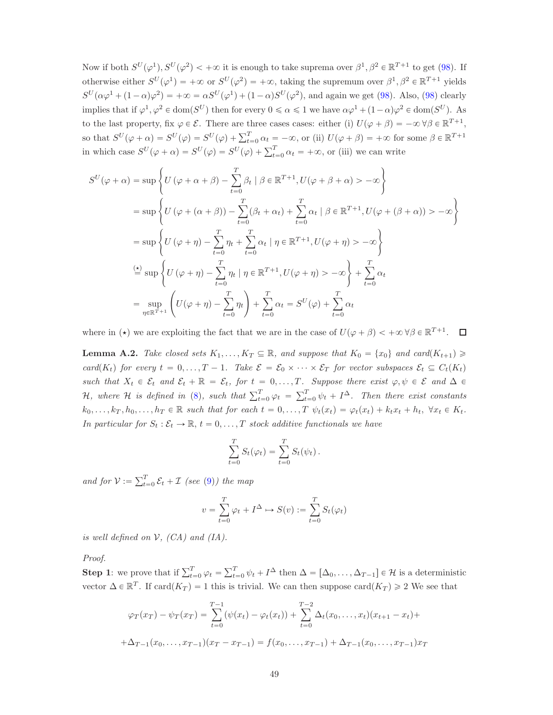Now if both  $S^U(\varphi^1), S^U(\varphi^2) < +\infty$  it is enough to take suprema over  $\beta^1, \beta^2 \in \mathbb{R}^{T+1}$  to get [\(98\)](#page-47-1). If otherwise either  $S^{U}(\varphi^1) = +\infty$  or  $S^{U}(\varphi^2) = +\infty$ , taking the supremum over  $\beta^1, \beta^2 \in \mathbb{R}^{T+1}$  yields  $S^{U}(\alpha\varphi^{1} + (1-\alpha)\varphi^{2}) = +\infty = \alpha S^{U}(\varphi^{1}) + (1-\alpha)S^{U}(\varphi^{2}),$  and again we get [\(98\)](#page-47-1). Also, (98) clearly implies that if  $\varphi^1, \varphi^2 \in \text{dom}(S^U)$  then for every  $0 \le \alpha \le 1$  we have  $\alpha \varphi^1 + (1 - \alpha) \varphi^2 \in \text{dom}(S^U)$ . As to the last property, fix  $\varphi \in \mathcal{E}$ . There are three cases cases: either (i)  $U(\varphi + \beta) = -\infty \,\forall \beta \in \mathbb{R}^{T+1}$ , so that  $S^{U}(\varphi + \alpha) = S^{U}(\varphi) = S^{U}(\varphi) + \sum_{t=0}^{T} \alpha_t = -\infty$ , or (ii)  $U(\varphi + \beta) = +\infty$  for some  $\beta \in \mathbb{R}^{T+1}$ in which case  $S^{U}(\varphi + \alpha) = S^{U}(\varphi) = S^{U}(\varphi) + \sum_{t=0}^{T} \alpha_t = +\infty$ , or (iii) we can write

$$
S^{U}(\varphi + \alpha) = \sup \left\{ U(\varphi + \alpha + \beta) - \sum_{t=0}^{T} \beta_{t} \mid \beta \in \mathbb{R}^{T+1}, U(\varphi + \beta + \alpha) > -\infty \right\}
$$
  
\n
$$
= \sup \left\{ U(\varphi + (\alpha + \beta)) - \sum_{t=0}^{T} (\beta_{t} + \alpha_{t}) + \sum_{t=0}^{T} \alpha_{t} \mid \beta \in \mathbb{R}^{T+1}, U(\varphi + (\beta + \alpha)) > -\infty \right\}
$$
  
\n
$$
= \sup \left\{ U(\varphi + \eta) - \sum_{t=0}^{T} \eta_{t} + \sum_{t=0}^{T} \alpha_{t} \mid \eta \in \mathbb{R}^{T+1}, U(\varphi + \eta) > -\infty \right\}
$$
  
\n
$$
\stackrel{(4)}{=} \sup \left\{ U(\varphi + \eta) - \sum_{t=0}^{T} \eta_{t} \mid \eta \in \mathbb{R}^{T+1}, U(\varphi + \eta) > -\infty \right\} + \sum_{t=0}^{T} \alpha_{t}
$$
  
\n
$$
= \sup_{\eta \in \mathbb{R}^{T+1}} \left( U(\varphi + \eta) - \sum_{t=0}^{T} \eta_{t} \right) + \sum_{t=0}^{T} \alpha_{t} = S^{U}(\varphi) + \sum_{t=0}^{T} \alpha_{t}
$$

where in ( $\star$ ) we are exploiting the fact that we are in the case of  $U(\varphi + \beta) < +\infty \forall \beta \in \mathbb{R}^{T+1}$ .

<span id="page-48-0"></span>**Lemma A.2.** Take closed sets  $K_1, \ldots, K_T \subseteq \mathbb{R}$ , and suppose that  $K_0 = \{x_0\}$  and card $(K_{t+1}) \geq$ card(K<sub>t</sub>) for every  $t = 0, \ldots, T - 1$ . Take  $\mathcal{E} = \mathcal{E}_0 \times \cdots \times \mathcal{E}_T$  for vector subspaces  $\mathcal{E}_t \subseteq C_t(K_t)$ such that  $X_t \in \mathcal{E}_t$  and  $\mathcal{E}_t + \mathbb{R} = \mathcal{E}_t$ , for  $t = 0, \ldots, T$ . Suppose there exist  $\varphi, \psi \in \mathcal{E}$  and  $\Delta \in$ H, where H is defined in [\(8\)](#page-5-3), such that  $\sum_{t=0}^{T} \varphi_t = \sum_{t=0}^{T} \psi_t + I^{\Delta}$ . Then there exist constants  $k_0, \ldots, k_T, h_0, \ldots, h_T \in \mathbb{R}$  such that for each  $t = 0, \ldots, T$   $\psi_t(x_t) = \varphi_t(x_t) + k_t x_t + h_t, \ \forall x_t \in K_t$ . In particular for  $S_t : \mathcal{E}_t \to \mathbb{R}, t = 0, \ldots, T$  stock additive functionals we have

$$
\sum_{t=0}^{T} S_t(\varphi_t) = \sum_{t=0}^{T} S_t(\psi_t).
$$

and for  $V := \sum_{t=0}^{T} \mathcal{E}_t + \mathcal{I}$  (see [\(9\)](#page-5-4)) the map

$$
v = \sum_{t=0}^{T} \varphi_t + I^{\Delta} \mapsto S(v) := \sum_{t=0}^{T} S_t(\varphi_t)
$$

is well defined on  $V$ ,  $(CA)$  and  $(IA)$ .

Proof.

**Step 1**: we prove that if  $\sum_{t=0}^{T} \varphi_t = \sum_{t=0}^{T} \psi_t + I^{\Delta}$  then  $\Delta = [\Delta_0, \ldots, \Delta_{T-1}] \in \mathcal{H}$  is a deterministic vector  $\Delta \in \mathbb{R}^T$ . If card $(K_T) = 1$  this is trivial. We can then suppose card $(K_T) \geq 2$  We see that

$$
\varphi_T(x_T) - \psi_T(x_T) = \sum_{t=0}^{T-1} (\psi(x_t) - \varphi_t(x_t)) + \sum_{t=0}^{T-2} \Delta_t(x_0, \dots, x_t)(x_{t+1} - x_t) +
$$
  
+ 
$$
\Delta_{T-1}(x_0, \dots, x_{T-1})(x_T - x_{T-1}) = f(x_0, \dots, x_{T-1}) + \Delta_{T-1}(x_0, \dots, x_{T-1})x_T
$$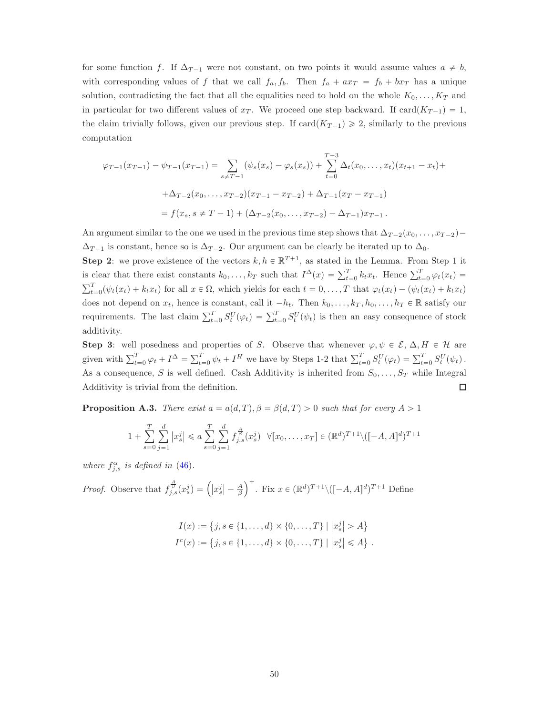for some function f. If  $\Delta_{T-1}$  were not constant, on two points it would assume values  $a \neq b$ , with corresponding values of f that we call  $f_a, f_b$ . Then  $f_a + ax_T = f_b + bx_T$  has a unique solution, contradicting the fact that all the equalities need to hold on the whole  $K_0, \ldots, K_T$  and in particular for two different values of  $x_T$ . We proceed one step backward. If  $card(K_{T-1}) = 1$ , the claim trivially follows, given our previous step. If  $card(K_{T-1}) \geq 2$ , similarly to the previous computation

$$
\varphi_{T-1}(x_{T-1}) - \psi_{T-1}(x_{T-1}) = \sum_{s \neq T-1} (\psi_s(x_s) - \varphi_s(x_s)) + \sum_{t=0}^{T-3} \Delta_t(x_0, \dots, x_t)(x_{t+1} - x_t) +
$$
  
+  $\Delta_{T-2}(x_0, \dots, x_{T-2})(x_{T-1} - x_{T-2}) + \Delta_{T-1}(x_T - x_{T-1})$   
=  $f(x_s, s \neq T-1) + (\Delta_{T-2}(x_0, \dots, x_{T-2}) - \Delta_{T-1})x_{T-1}.$ 

An argument similar to the one we used in the previous time step shows that  $\Delta_{T-2}(x_0, \ldots, x_{T-2})$  $\Delta_{T-1}$  is constant, hence so is  $\Delta_{T-2}$ . Our argument can be clearly be iterated up to  $\Delta_0$ .

**Step 2:** we prove existence of the vectors  $k, h \in \mathbb{R}^{T+1}$ , as stated in the Lemma. From Step 1 it is clear that there exist constants  $k_0, \ldots, k_T$  such that  $I^{\Delta}(x) = \sum_{t=0}^T k_t x_t$ . Hence  $\sum_{t=0}^T \varphi_t(x_t) =$  $\sum_{t=0}^{T} (\psi_t(x_t) + k_t x_t)$  for all  $x \in \Omega$ , which yields for each  $t = 0, \ldots, T$  that  $\varphi_t(x_t) - (\psi_t(x_t) + k_t x_t)$ does not depend on  $x_t$ , hence is constant, call it  $-h_t$ . Then  $k_0, \ldots, k_T, h_0, \ldots, h_T \in \mathbb{R}$  satisfy our requirements. The last claim  $\sum_{t=0}^{T} S_t^U(\varphi_t) = \sum_{t=0}^{T} S_t^U(\psi_t)$  is then an easy consequence of stock additivity.

Step 3: well posedness and properties of S. Observe that whenever  $\varphi, \psi \in \mathcal{E}, \Delta, H \in \mathcal{H}$  are given with  $\sum_{t=0}^{T} \varphi_t + I^{\Delta} = \sum_{t=0}^{T} \psi_t + I^H$  we have by Steps 1-2 that  $\sum_{t=0}^{T} S_t^U(\varphi_t) = \sum_{t=0}^{T} S_t^U(\psi_t)$ . As a consequence, S is well defined. Cash Additivity is inherited from  $S_0, \ldots, S_T$  while Integral Additivity is trivial from the definition.  $\Box$ 

<span id="page-49-0"></span>**Proposition A.3.** There exist  $a = a(d, T), \beta = \beta(d, T) > 0$  such that for every  $A > 1$ 

$$
1 + \sum_{s=0}^{T} \sum_{j=1}^{d} |x_s^j| \le a \sum_{s=0}^{T} \sum_{j=1}^{d} f_{j,s}^{\frac{A}{\beta}}(x_s^j) \quad \forall [x_0, \dots, x_T] \in (\mathbb{R}^d)^{T+1} \setminus ([-A, A]^d)^{T+1}
$$

where  $f_{j,s}^{\alpha}$  is defined in [\(46\)](#page-18-5).

*Proof.* Observe that  $f_{j,s}^{\frac{A}{\beta}}(x_s^j) = (x_s^j - \frac{A}{\beta})$ )<sup>+</sup>. Fix  $x \in (\mathbb{R}^d)^{T+1} \setminus ([-A, A]^d)^{T+1}$  Define

$$
I(x) := \{j, s \in \{1, ..., d\} \times \{0, ..., T\} \mid |x_s^j| > A\}
$$
  

$$
I^c(x) := \{j, s \in \{1, ..., d\} \times \{0, ..., T\} \mid |x_s^j| \le A\}.
$$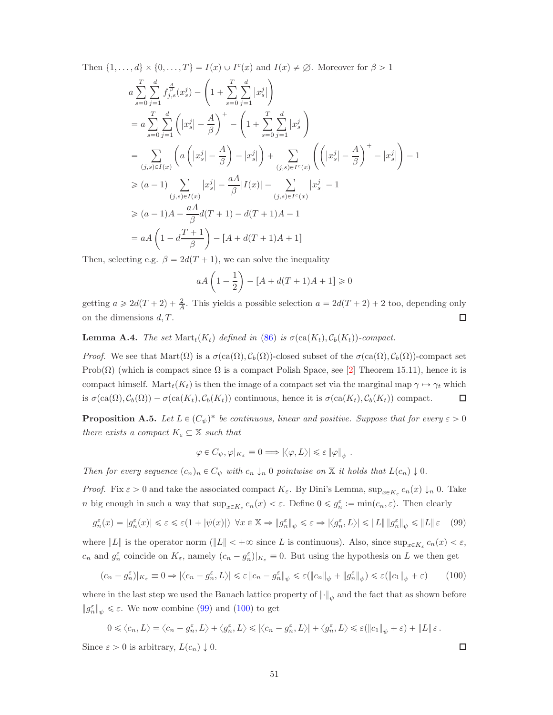Then  $\{1, ..., d\} \times \{0, ..., T\} = I(x) \cup I^{c}(x)$  and  $I(x) \neq \emptyset$ . Moreover for  $\beta > 1$ 

$$
a \sum_{s=0}^{T} \sum_{j=1}^{d} f_{j,s}^{\frac{A}{\beta}}(x_s^j) - \left(1 + \sum_{s=0}^{T} \sum_{j=1}^{d} |x_s^j| \right)
$$
  
\n
$$
= a \sum_{s=0}^{T} \sum_{j=1}^{d} \left( |x_s^j| - \frac{A}{\beta} \right)^+ - \left(1 + \sum_{s=0}^{T} \sum_{j=1}^{d} |x_s^j| \right)
$$
  
\n
$$
= \sum_{(j,s)\in I(x)} \left( a \left( |x_s^j| - \frac{A}{\beta} \right) - |x_s^j| \right) + \sum_{(j,s)\in I^c(x)} \left( \left( |x_s^j| - \frac{A}{\beta} \right)^+ - |x_s^j| \right) - 1
$$
  
\n
$$
\geq (a-1) \sum_{(j,s)\in I(x)} |x_s^j| - \frac{aA}{\beta} |I(x)| - \sum_{(j,s)\in I^c(x)} |x_s^j| - 1
$$
  
\n
$$
\geq (a-1)A - \frac{aA}{\beta} d(T+1) - d(T+1)A - 1
$$
  
\n
$$
= aA \left(1 - d \frac{T+1}{\beta} \right) - [A + d(T+1)A + 1]
$$

Then, selecting e.g.  $\beta = 2d(T + 1)$ , we can solve the inequality

$$
aA\left(1-\frac{1}{2}\right) - [A + d(T + 1)A + 1] \ge 0
$$

getting  $a \geq 2d(T + 2) + \frac{2}{A}$ . This yields a possible selection  $a = 2d(T + 2) + 2$  too, depending only on the dimensions  $d, T$ .  $\Box$ 

<span id="page-50-1"></span>**Lemma A.4.** The set  $\text{Mart}_t(K_t)$  defined in [\(86\)](#page-37-4) is  $\sigma(\text{ca}(K_t), C_b(K_t))$ -compact.

*Proof.* We see that  $\text{Mart}(\Omega)$  is a  $\sigma(\text{ca}(\Omega), C_b(\Omega))$ -closed subset of the  $\sigma(\text{ca}(\Omega), C_b(\Omega))$ -compact set Prob( $\Omega$ ) (which is compact since  $\Omega$  is a compact Polish Space, see [\[2\]](#page-53-13) Theorem 15.11), hence it is compact himself. Mart $_t(K_t)$  is then the image of a compact set via the marginal map  $\gamma \mapsto \gamma_t$  which is  $\sigma(\text{ca}(\Omega), C_b(\Omega)) - \sigma(\text{ca}(K_t), C_b(K_t))$  continuous, hence it is  $\sigma(\text{ca}(K_t), C_b(K_t))$  compact.  $\Box$ 

<span id="page-50-0"></span>**Proposition A.5.** Let  $L \in (C_{\psi})^*$  be continuous, linear and positive. Suppose that for every  $\varepsilon > 0$ there exists a compact  $K_{\varepsilon} \subseteq \mathbb{X}$  such that

$$
\varphi \in C_{\psi}, \varphi|_{K_{\varepsilon}} \equiv 0 \Longrightarrow |\langle \varphi, L \rangle| \leqslant \varepsilon \|\varphi\|_{\psi} .
$$

Then for every sequence  $(c_n)_n \in C_{\psi}$  with  $c_n \downarrow_n 0$  pointwise on X it holds that  $L(c_n) \downarrow 0$ .

*Proof.* Fix  $\varepsilon > 0$  and take the associated compact  $K_{\varepsilon}$ . By Dini's Lemma,  $\sup_{x \in K_{\varepsilon}} c_n(x) \downarrow_n 0$ . Take *n* big enough in such a way that  $\sup_{x \in K_{\varepsilon}} c_n(x) < \varepsilon$ . Define  $0 \leq \tilde{g}_n^{\varepsilon} := \min(c_n, \varepsilon)$ . Then clearly

<span id="page-50-2"></span>
$$
g_n^{\varepsilon}(x) = |g_n^{\varepsilon}(x)| \leq \varepsilon \leq \varepsilon (1 + |\psi(x)|) \quad \forall x \in \mathbb{X} \Rightarrow \|g_n^{\varepsilon}\|_{\psi} \leq \varepsilon \Rightarrow |\langle g_n^{\varepsilon}, L \rangle| \leq \|L\| \, \|g_n^{\varepsilon}\|_{\psi} \leq \|L\| \, \varepsilon \tag{99}
$$

where  $||L||$  is the operator norm  $(||L|| < +\infty$  since L is continuous). Also, since  $\sup_{x \in K_{\varepsilon}} c_n(x) < \varepsilon$ ,  $c_n$  and  $g_n^{\varepsilon}$  coincide on  $K_{\varepsilon}$ , namely  $(c_n - g_n^{\varepsilon})|_{K_{\varepsilon}} \equiv 0$ . But using the hypothesis on L we then get

<span id="page-50-3"></span>
$$
(c_n - g_n^{\varepsilon})|_{K_{\varepsilon}} \equiv 0 \Rightarrow |\langle c_n - g_n^{\varepsilon}, L \rangle| \le \varepsilon \|c_n - g_n^{\varepsilon}\|_{\psi} \le \varepsilon (\|c_n\|_{\psi} + \|g_n^{\varepsilon}\|_{\psi}) \le \varepsilon (||c_1||_{\psi} + \varepsilon)
$$
(100)

where in the last step we used the Banach lattice property of  $\lVert \cdot \rVert_{\psi}$  and the fact that as shown before  $||g_n^{\varepsilon}||_{\psi} \leq \varepsilon$ . We now combine [\(99\)](#page-50-2) and [\(100\)](#page-50-3) to get

$$
0\leqslant \left\langle c_n,L\right\rangle=\left\langle c_n-g_n^\varepsilon,L\right\rangle+\left\langle g_n^\varepsilon,L\right\rangle\leqslant \left|\left\langle c_n-g_n^\varepsilon,L\right\rangle\right|+\left\langle g_n^\varepsilon,L\right\rangle\leqslant \varepsilon(\|c_1\|_\psi+\varepsilon)+\|L\|\,\varepsilon\,.
$$

Since  $\varepsilon > 0$  is arbitrary,  $L(c_n) \downarrow 0$ .

 $\Box$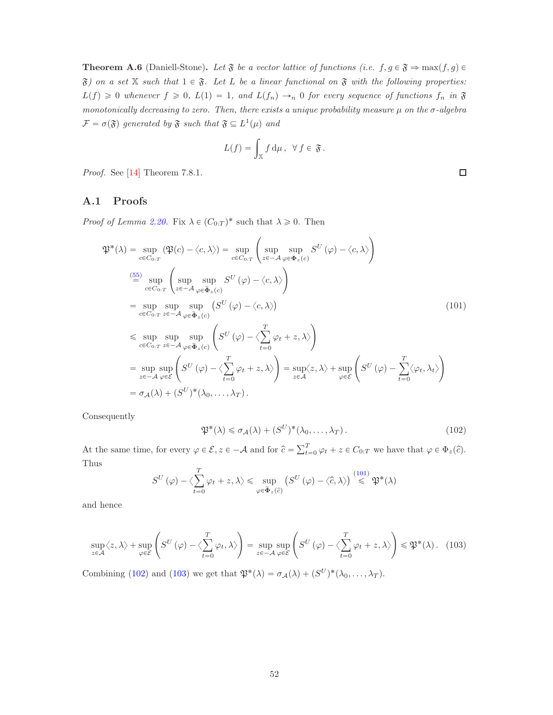<span id="page-51-0"></span>**Theorem A.6** (Daniell-Stone). Let  $\mathfrak F$  be a vector lattice of functions (i.e.  $f, g \in \mathfrak F \Rightarrow \max(f, g) \in$  $\mathfrak{F}$ ) on a set X such that  $1 \in \mathfrak{F}$ . Let L be a linear functional on  $\mathfrak{F}$  with the following properties:  $L(f) \geq 0$  whenever  $f \geq 0$ ,  $L(1) = 1$ , and  $L(f_n) \rightarrow_n 0$  for every sequence of functions  $f_n$  in  $\mathfrak F$ monotonically decreasing to zero. Then, there exists a unique probability measure  $\mu$  on the  $\sigma$ -algebra  $\mathcal{F} = \sigma(\mathfrak{F})$  generated by  $\mathfrak{F}$  such that  $\mathfrak{F} \subseteq L^1(\mu)$  and

$$
L(f) = \int_{\mathbb{X}} f d\mu, \ \ \forall f \in \mathfrak{F}.
$$

<span id="page-51-1"></span>Proof. See [\[14\]](#page-53-12) Theorem 7.8.1.

## A.1 Proofs

*Proof of Lemma [2.20.](#page-23-0)* Fix  $\lambda \in (C_{0:T})^*$  such that  $\lambda \geq 0$ . Then

$$
\mathfrak{P}^*(\lambda) = \sup_{c \in C_{0:T}} (\mathfrak{P}(c) - \langle c, \lambda \rangle) = \sup_{c \in C_{0:T}} \left( \sup_{z \in -\mathcal{A}} \sup_{\varphi \in \Phi_z(c)} S^U(\varphi) - \langle c, \lambda \rangle \right)
$$
\n
$$
\stackrel{(55)}{=} \sup_{c \in C_{0:T}} \left( \sup_{z \in -\mathcal{A}} \sup_{\varphi \in \widetilde{\Phi}_z(c)} S^U(\varphi) - \langle c, \lambda \rangle \right)
$$
\n
$$
= \sup_{c \in C_{0:T}} \sup_{z \in -\mathcal{A}} \sup_{\varphi \in \widetilde{\Phi}_z(c)} (S^U(\varphi) - \langle c, \lambda \rangle)
$$
\n
$$
\leq \sup_{c \in C_{0:T}} \sup_{z \in -\mathcal{A}} \sup_{\varphi \in \widetilde{\Phi}_z(c)} \left( S^U(\varphi) - \langle \sum_{t=0}^T \varphi_t + z, \lambda \rangle \right)
$$
\n
$$
= \sup_{z \in -\mathcal{A}} \sup_{\varphi \in \widetilde{\Phi}} \left( S^U(\varphi) - \langle \sum_{t=0}^T \varphi_t + z, \lambda \rangle \right) = \sup_{z \in \mathcal{A}} \langle z, \lambda \rangle + \sup_{\varphi \in \mathcal{E}} \left( S^U(\varphi) - \sum_{t=0}^T \langle \varphi_t, \lambda_t \rangle \right)
$$
\n
$$
= \sup_{z \in -\mathcal{A}} \sup_{\varphi \in \mathcal{E}} \left( S^U(\varphi) - \langle \sum_{t=0}^T \varphi_t + z, \lambda \rangle \right) = \sup_{z \in \mathcal{A}} \langle z, \lambda \rangle + \sup_{\varphi \in \mathcal{E}} \left( S^U(\varphi) - \sum_{t=0}^T \langle \varphi_t, \lambda_t \rangle \right)
$$
\n
$$
= \sigma_{\mathcal{A}}(\lambda) + (S^U)^*(\lambda_0, \dots, \lambda_T).
$$
\n(101)

Consequently

<span id="page-51-3"></span>
$$
\mathfrak{P}^*(\lambda) \leq \sigma_{\mathcal{A}}(\lambda) + (S^U)^*(\lambda_0, \dots, \lambda_T). \tag{102}
$$

At the same time, for every  $\varphi \in \mathcal{E}, z \in -\mathcal{A}$  and for  $\hat{c} = \sum_{t=0}^{T} \varphi_t + z \in C_{0:T}$  we have that  $\varphi \in \Phi_z(\hat{c})$ . Thus

$$
S^{U}\left(\varphi\right)-\langle\sum_{t=0}^{T}\varphi_{t}+z,\lambda\rangle\leqslant\sup_{\varphi\in\widetilde{\Phi}_{z}\left(\widehat{c}\right)}\left(S^{U}\left(\varphi\right)-\langle\widehat{c},\lambda\rangle\right)\stackrel{(101)}{\leqslant}\mathfrak{P}^{*}\left(\lambda\right)
$$

and hence

<span id="page-51-4"></span>
$$
\sup_{z \in \mathcal{A}} \langle z, \lambda \rangle + \sup_{\varphi \in \mathcal{E}} \left( S^{U} \left( \varphi \right) - \left\langle \sum_{t=0}^{T} \varphi_{t}, \lambda \right\rangle \right) = \sup_{z \in -\mathcal{A}} \sup_{\varphi \in \mathcal{E}} \left( S^{U} \left( \varphi \right) - \left\langle \sum_{t=0}^{T} \varphi_{t} + z, \lambda \right\rangle \right) \leq \mathfrak{P}^{*}(\lambda). \quad (103)
$$

Combining [\(102\)](#page-51-3) and [\(103\)](#page-51-4) we get that  $\mathfrak{P}^*(\lambda) = \sigma_{\mathcal{A}}(\lambda) + (S^U)^*(\lambda_0, \dots, \lambda_T)$ .

<span id="page-51-2"></span> $\Box$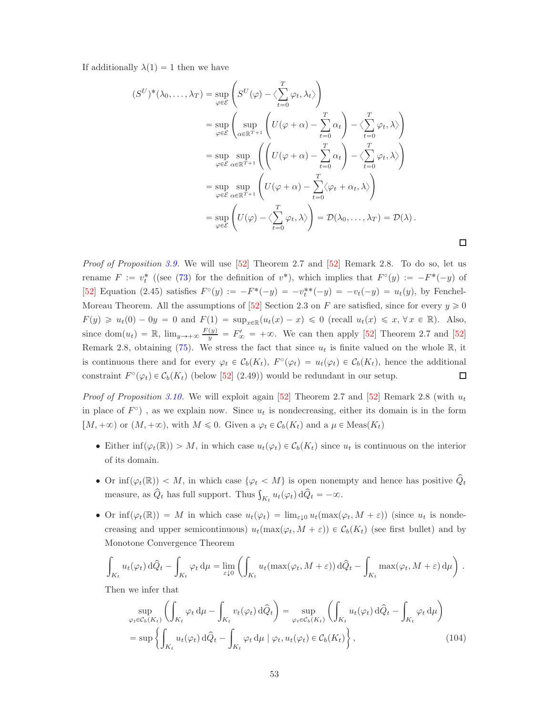If additionally  $\lambda(1) = 1$  then we have

$$
(S^{U})^{*}(\lambda_{0},..., \lambda_{T}) = \sup_{\varphi \in \mathcal{E}} \left( S^{U}(\varphi) - \left\langle \sum_{t=0}^{T} \varphi_{t}, \lambda_{t} \right\rangle \right)
$$
  
\n
$$
= \sup_{\varphi \in \mathcal{E}} \left( \sup_{\alpha \in \mathbb{R}^{T+1}} \left( U(\varphi + \alpha) - \sum_{t=0}^{T} \alpha_{t} \right) - \left\langle \sum_{t=0}^{T} \varphi_{t}, \lambda \right\rangle \right)
$$
  
\n
$$
= \sup_{\varphi \in \mathcal{E}} \sup_{\alpha \in \mathbb{R}^{T+1}} \left( \left( U(\varphi + \alpha) - \sum_{t=0}^{T} \alpha_{t} \right) - \left\langle \sum_{t=0}^{T} \varphi_{t}, \lambda \right\rangle \right)
$$
  
\n
$$
= \sup_{\varphi \in \mathcal{E}} \sup_{\alpha \in \mathbb{R}^{T+1}} \left( U(\varphi + \alpha) - \sum_{t=0}^{T} \left\langle \varphi_{t} + \alpha_{t}, \lambda \right\rangle \right)
$$
  
\n
$$
= \sup_{\varphi \in \mathcal{E}} \left( U(\varphi) - \left\langle \sum_{t=0}^{T} \varphi_{t}, \lambda \right\rangle \right) = \mathcal{D}(\lambda_{0}, ..., \lambda_{T}) = \mathcal{D}(\lambda).
$$

 $\Box$ 

Proof of Proposition [3.9.](#page-32-3) We will use [\[52\]](#page-56-0) Theorem 2.7 and [52] Remark 2.8. To do so, let us rename  $F := v_t^*$  ((see [\(73\)](#page-31-3) for the definition of  $v^*$ ), which implies that  $F^{\circ}(y) := -F^*(-y)$  of [\[52\]](#page-56-0) Equation (2.45) satisfies  $F^{\circ}(y) := -F^{*}(-y) = -v_t^{**}(-y) = -v_t(-y) = u_t(y)$ , by Fenchel-Moreau Theorem. All the assumptions of [\[52\]](#page-56-0) Section 2.3 on F are satisfied, since for every  $y \geq 0$  $F(y) \geq u_t(0) - 0y = 0$  and  $F(1) = \sup_{x \in \mathbb{R}} (u_t(x) - x) \leq 0$  (recall  $u_t(x) \leq x, \forall x \in \mathbb{R}$ ). Also, since  $\text{dom}(u_t) = \mathbb{R}$ ,  $\lim_{y \to +\infty} \frac{F(y)}{y} = F'_\infty = +\infty$ . We can then apply [\[52\]](#page-56-0) Theorem 2.7 and [52] Remark 2.8, obtaining [\(75\)](#page-32-4). We stress the fact that since  $u_t$  is finite valued on the whole  $\mathbb{R}$ , it is continuous there and for every  $\varphi_t \in C_b(K_t)$ ,  $F^{\circ}(\varphi_t) = u_t(\varphi_t) \in C_b(K_t)$ , hence the additional constraint  $F^{\circ}(\varphi_t) \in C_b(K_t)$  (below [\[52\]](#page-56-0) (2.49)) would be redundant in our setup.  $\Box$ 

*Proof of Proposition [3.10.](#page-32-1)* We will exploit again [\[52\]](#page-56-0) Theorem 2.7 and [52] Remark 2.8 (with  $u_t$ in place of  $F^{\circ}$ ), as we explain now. Since  $u_t$  is nondecreasing, either its domain is in the form  $[M, +\infty)$  or  $(M, +\infty)$ , with  $M \leq 0$ . Given a  $\varphi_t \in C_b(K_t)$  and a  $\mu \in \text{Meas}(K_t)$ 

- Either  $\inf(\varphi_t(\mathbb{R})) > M$ , in which case  $u_t(\varphi_t) \in C_b(K_t)$  since  $u_t$  is continuous on the interior of its domain.
- Or inf $(\varphi_t(\mathbb{R}))$  < M, in which case  $\{\varphi_t \langle M \rangle\}$  is open nonempty and hence has positive  $Q_t$ measure, as  $\hat{Q}_t$  has full support. Thus  $\int_{K_t} u_t(\varphi_t) d\hat{Q}_t = -\infty$ .
- Or inf $(\varphi_t(\mathbb{R})) = M$  in which case  $u_t(\varphi_t) = \lim_{\varepsilon \downarrow 0} u_t(\max(\varphi_t, M + \varepsilon))$  (since  $u_t$  is nondecreasing and upper semicontinuous)  $u_t(\max(\varphi_t, M + \varepsilon)) \in C_b(K_t)$  (see first bullet) and by Monotone Convergence Theorem

$$
\int_{K_t} u_t(\varphi_t) d\hat{Q}_t - \int_{K_t} \varphi_t d\mu = \lim_{\varepsilon \downarrow 0} \left( \int_{K_t} u_t(\max(\varphi_t, M + \varepsilon)) d\hat{Q}_t - \int_{K_t} \max(\varphi_t, M + \varepsilon) d\mu \right).
$$

Then we infer that

<span id="page-52-0"></span>
$$
\sup_{\varphi_t \in C_b(K_t)} \left( \int_{K_t} \varphi_t \, \mathrm{d}\mu - \int_{K_t} v_t(\varphi_t) \, \mathrm{d}\widehat{Q}_t \right) = \sup_{\varphi_t \in C_b(K_t)} \left( \int_{K_t} u_t(\varphi_t) \, \mathrm{d}\widehat{Q}_t - \int_{K_t} \varphi_t \, \mathrm{d}\mu \right)
$$
\n
$$
= \sup \left\{ \int_{K_t} u_t(\varphi_t) \, \mathrm{d}\widehat{Q}_t - \int_{K_t} \varphi_t \, \mathrm{d}\mu \mid \varphi_t, u_t(\varphi_t) \in C_b(K_t) \right\},\tag{104}
$$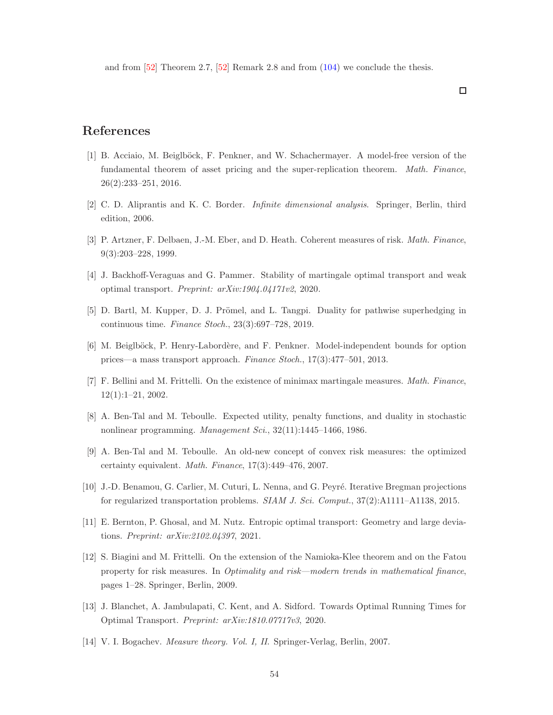and from [\[52\]](#page-56-0) Theorem 2.7, [\[52\]](#page-56-0) Remark 2.8 and from [\(104\)](#page-52-0) we conclude the thesis.

# <span id="page-53-2"></span>References

- [1] B. Acciaio, M. Beiglböck, F. Penkner, and W. Schachermayer. A model-free version of the fundamental theorem of asset pricing and the super-replication theorem. Math. Finance, 26(2):233–251, 2016.
- <span id="page-53-13"></span><span id="page-53-0"></span>[2] C. D. Aliprantis and K. C. Border. Infinite dimensional analysis. Springer, Berlin, third edition, 2006.
- <span id="page-53-5"></span>[3] P. Artzner, F. Delbaen, J.-M. Eber, and D. Heath. Coherent measures of risk. Math. Finance, 9(3):203–228, 1999.
- <span id="page-53-4"></span>[4] J. Backhoff-Veraguas and G. Pammer. Stability of martingale optimal transport and weak optimal transport. Preprint: arXiv:1904.04171v2, 2020.
- <span id="page-53-3"></span>[5] D. Bartl, M. Kupper, D. J. Prömel, and L. Tangpi. Duality for pathwise superhedging in continuous time. Finance Stoch., 23(3):697–728, 2019.
- <span id="page-53-1"></span>[6] M. Beiglböck, P. Henry-Labordère, and F. Penkner. Model-independent bounds for option prices—a mass transport approach. Finance Stoch., 17(3):477–501, 2013.
- <span id="page-53-9"></span>[7] F. Bellini and M. Frittelli. On the existence of minimax martingale measures. Math. Finance, 12(1):1–21, 2002.
- <span id="page-53-10"></span>[8] A. Ben-Tal and M. Teboulle. Expected utility, penalty functions, and duality in stochastic nonlinear programming. Management Sci., 32(11):1445–1466, 1986.
- <span id="page-53-6"></span>[9] A. Ben-Tal and M. Teboulle. An old-new concept of convex risk measures: the optimized certainty equivalent. Math. Finance, 17(3):449–476, 2007.
- <span id="page-53-7"></span>[10] J.-D. Benamou, G. Carlier, M. Cuturi, L. Nenna, and G. Peyré. Iterative Bregman projections for regularized transportation problems. SIAM J. Sci. Comput., 37(2):A1111–A1138, 2015.
- <span id="page-53-11"></span>[11] E. Bernton, P. Ghosal, and M. Nutz. Entropic optimal transport: Geometry and large deviations. Preprint: arXiv:2102.04397, 2021.
- [12] S. Biagini and M. Frittelli. On the extension of the Namioka-Klee theorem and on the Fatou property for risk measures. In Optimality and risk—modern trends in mathematical finance, pages 1–28. Springer, Berlin, 2009.
- <span id="page-53-12"></span><span id="page-53-8"></span>[13] J. Blanchet, A. Jambulapati, C. Kent, and A. Sidford. Towards Optimal Running Times for Optimal Transport. Preprint: arXiv:1810.07717v3, 2020.
- [14] V. I. Bogachev. Measure theory. Vol. I, II. Springer-Verlag, Berlin, 2007.

 $\Box$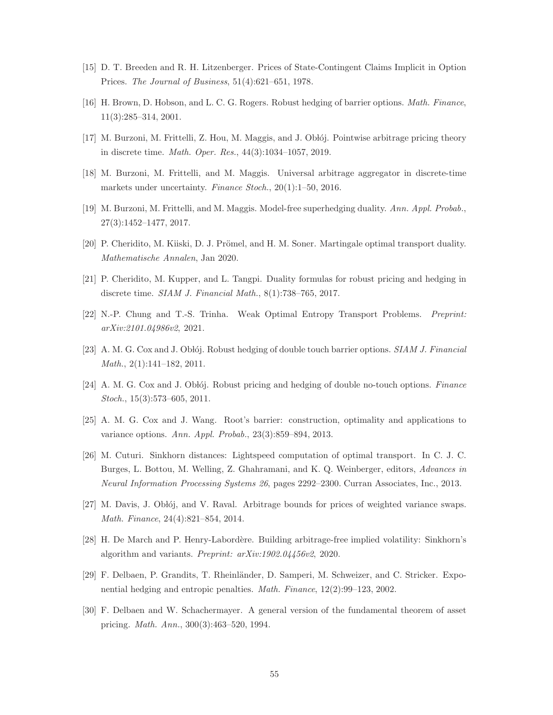- <span id="page-54-14"></span><span id="page-54-10"></span>[15] D. T. Breeden and R. H. Litzenberger. Prices of State-Contingent Claims Implicit in Option Prices. The Journal of Business, 51(4):621–651, 1978.
- <span id="page-54-4"></span>[16] H. Brown, D. Hobson, and L. C. G. Rogers. Robust hedging of barrier options. Math. Finance, 11(3):285–314, 2001.
- <span id="page-54-2"></span>[17] M. Burzoni, M. Frittelli, Z. Hou, M. Maggis, and J. Oblój. Pointwise arbitrage pricing theory in discrete time. Math. Oper. Res., 44(3):1034–1057, 2019.
- <span id="page-54-3"></span>[18] M. Burzoni, M. Frittelli, and M. Maggis. Universal arbitrage aggregator in discrete-time markets under uncertainty. Finance Stoch., 20(1):1-50, 2016.
- <span id="page-54-6"></span>[19] M. Burzoni, M. Frittelli, and M. Maggis. Model-free superhedging duality. Ann. Appl. Probab., 27(3):1452–1477, 2017.
- <span id="page-54-15"></span>[20] P. Cheridito, M. Kiiski, D. J. Prömel, and H. M. Soner. Martingale optimal transport duality. Mathematische Annalen, Jan 2020.
- <span id="page-54-9"></span>[21] P. Cheridito, M. Kupper, and L. Tangpi. Duality formulas for robust pricing and hedging in discrete time. SIAM J. Financial Math., 8(1):738–765, 2017.
- <span id="page-54-11"></span>[22] N.-P. Chung and T.-S. Trinha. Weak Optimal Entropy Transport Problems. Preprint: arXiv:2101.04986v2, 2021.
- <span id="page-54-12"></span>[23] A. M. G. Cox and J. Oblój. Robust hedging of double touch barrier options. SIAM J. Financial Math., 2(1):141–182, 2011.
- <span id="page-54-13"></span> $[24]$  A. M. G. Cox and J. Oblój. Robust pricing and hedging of double no-touch options. Finance Stoch., 15(3):573–605, 2011.
- <span id="page-54-7"></span>[25] A. M. G. Cox and J. Wang. Root's barrier: construction, optimality and applications to variance options. Ann. Appl. Probab., 23(3):859–894, 2013.
- [26] M. Cuturi. Sinkhorn distances: Lightspeed computation of optimal transport. In C. J. C. Burges, L. Bottou, M. Welling, Z. Ghahramani, and K. Q. Weinberger, editors, Advances in Neural Information Processing Systems 26, pages 2292–2300. Curran Associates, Inc., 2013.
- <span id="page-54-8"></span><span id="page-54-5"></span>[27] M. Davis, J. Oblój, and V. Raval. Arbitrage bounds for prices of weighted variance swaps. Math. Finance, 24(4):821–854, 2014.
- <span id="page-54-1"></span>[28] H. De March and P. Henry-Labord`ere. Building arbitrage-free implied volatility: Sinkhorn's algorithm and variants. Preprint: arXiv:1902.04456v2, 2020.
- <span id="page-54-0"></span>[29] F. Delbaen, P. Grandits, T. Rheinländer, D. Samperi, M. Schweizer, and C. Stricker. Exponential hedging and entropic penalties. Math. Finance, 12(2):99–123, 2002.
- [30] F. Delbaen and W. Schachermayer. A general version of the fundamental theorem of asset pricing. Math. Ann., 300(3):463–520, 1994.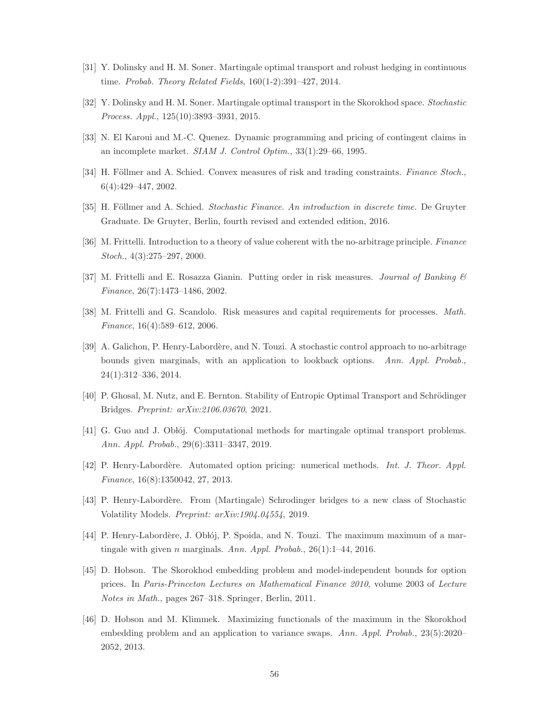- <span id="page-55-5"></span><span id="page-55-4"></span>[31] Y. Dolinsky and H. M. Soner. Martingale optimal transport and robust hedging in continuous time. Probab. Theory Related Fields, 160(1-2):391–427, 2014.
- <span id="page-55-0"></span>[32] Y. Dolinsky and H. M. Soner. Martingale optimal transport in the Skorokhod space. Stochastic Process. Appl., 125(10):3893–3931, 2015.
- <span id="page-55-3"></span>[33] N. El Karoui and M.-C. Quenez. Dynamic programming and pricing of contingent claims in an incomplete market. SIAM J. Control Optim., 33(1):29–66, 1995.
- <span id="page-55-15"></span>[34] H. Föllmer and A. Schied. Convex measures of risk and trading constraints. Finance Stoch., 6(4):429–447, 2002.
- <span id="page-55-1"></span>[35] H. Föllmer and A. Schied. Stochastic Finance. An introduction in discrete time. De Gruyter Graduate. De Gruyter, Berlin, fourth revised and extended edition, 2016.
- <span id="page-55-2"></span>[36] M. Frittelli. Introduction to a theory of value coherent with the no-arbitrage principle. Finance Stoch., 4(3):275–297, 2000.
- <span id="page-55-14"></span>[37] M. Frittelli and E. Rosazza Gianin. Putting order in risk measures. Journal of Banking & Finance, 26(7):1473–1486, 2002.
- <span id="page-55-6"></span>[38] M. Frittelli and G. Scandolo. Risk measures and capital requirements for processes. Math. Finance, 16(4):589–612, 2006.
- [39] A. Galichon, P. Henry-Labord`ere, and N. Touzi. A stochastic control approach to no-arbitrage bounds given marginals, with an application to lookback options. Ann. Appl. Probab., 24(1):312–336, 2014.
- <span id="page-55-10"></span><span id="page-55-9"></span>[40] P. Ghosal, M. Nutz, and E. Bernton. Stability of Entropic Optimal Transport and Schrödinger Bridges. Preprint: arXiv:2106.03670, 2021.
- <span id="page-55-7"></span>[41] G. Guo and J. Oblój. Computational methods for martingale optimal transport problems. Ann. Appl. Probab., 29(6):3311–3347, 2019.
- <span id="page-55-11"></span>[42] P. Henry-Labordère. Automated option pricing: numerical methods. Int. J. Theor. Appl. Finance, 16(8):1350042, 27, 2013.
- <span id="page-55-8"></span>[43] P. Henry-Labordère. From (Martingale) Schrodinger bridges to a new class of Stochastic Volatility Models. Preprint: arXiv:1904.04554, 2019.
- <span id="page-55-12"></span>[44] P. Henry-Labordère, J. Oblój, P. Spoida, and N. Touzi. The maximum maximum of a martingale with given n marginals. Ann. Appl. Probab.,  $26(1)$ :1-44, 2016.
- [45] D. Hobson. The Skorokhod embedding problem and model-independent bounds for option prices. In Paris-Princeton Lectures on Mathematical Finance 2010, volume 2003 of Lecture Notes in Math., pages 267–318. Springer, Berlin, 2011.
- <span id="page-55-13"></span>[46] D. Hobson and M. Klimmek. Maximizing functionals of the maximum in the Skorokhod embedding problem and an application to variance swaps. Ann. Appl. Probab., 23(5):2020– 2052, 2013.